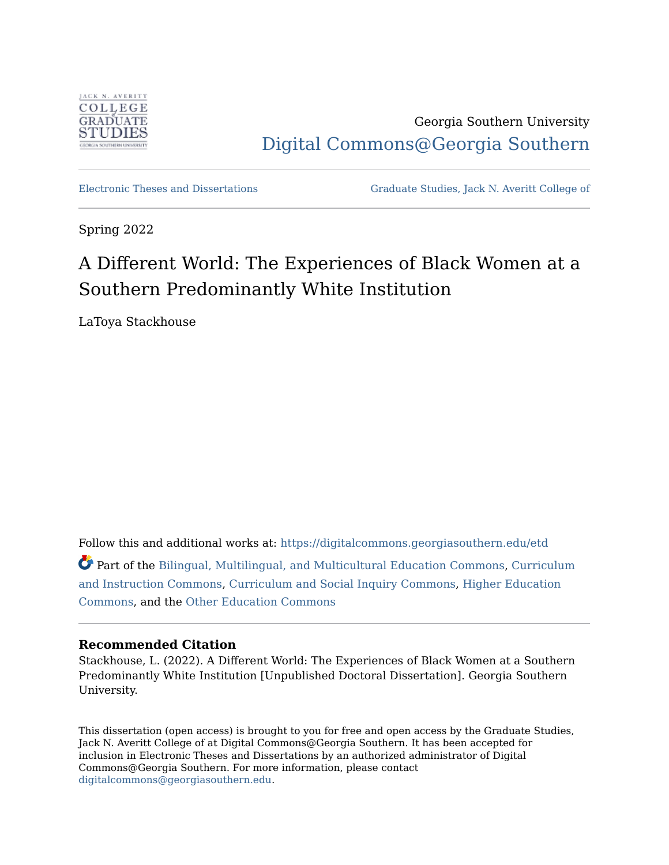

Georgia Southern University [Digital Commons@Georgia Southern](https://digitalcommons.georgiasouthern.edu/) 

[Electronic Theses and Dissertations](https://digitalcommons.georgiasouthern.edu/etd) [Graduate Studies, Jack N. Averitt College of](https://digitalcommons.georgiasouthern.edu/cogs) 

Spring 2022

# A Different World: The Experiences of Black Women at a Southern Predominantly White Institution

LaToya Stackhouse

Follow this and additional works at: [https://digitalcommons.georgiasouthern.edu/etd](https://digitalcommons.georgiasouthern.edu/etd?utm_source=digitalcommons.georgiasouthern.edu%2Fetd%2F2411&utm_medium=PDF&utm_campaign=PDFCoverPages)  Part of the [Bilingual, Multilingual, and Multicultural Education Commons](https://network.bepress.com/hgg/discipline/785?utm_source=digitalcommons.georgiasouthern.edu%2Fetd%2F2411&utm_medium=PDF&utm_campaign=PDFCoverPages), [Curriculum](https://network.bepress.com/hgg/discipline/786?utm_source=digitalcommons.georgiasouthern.edu%2Fetd%2F2411&utm_medium=PDF&utm_campaign=PDFCoverPages)

[and Instruction Commons](https://network.bepress.com/hgg/discipline/786?utm_source=digitalcommons.georgiasouthern.edu%2Fetd%2F2411&utm_medium=PDF&utm_campaign=PDFCoverPages), [Curriculum and Social Inquiry Commons](https://network.bepress.com/hgg/discipline/1038?utm_source=digitalcommons.georgiasouthern.edu%2Fetd%2F2411&utm_medium=PDF&utm_campaign=PDFCoverPages), [Higher Education](https://network.bepress.com/hgg/discipline/1245?utm_source=digitalcommons.georgiasouthern.edu%2Fetd%2F2411&utm_medium=PDF&utm_campaign=PDFCoverPages)  [Commons](https://network.bepress.com/hgg/discipline/1245?utm_source=digitalcommons.georgiasouthern.edu%2Fetd%2F2411&utm_medium=PDF&utm_campaign=PDFCoverPages), and the [Other Education Commons](https://network.bepress.com/hgg/discipline/811?utm_source=digitalcommons.georgiasouthern.edu%2Fetd%2F2411&utm_medium=PDF&utm_campaign=PDFCoverPages)

#### **Recommended Citation**

Stackhouse, L. (2022). A Different World: The Experiences of Black Women at a Southern Predominantly White Institution [Unpublished Doctoral Dissertation]. Georgia Southern University.

This dissertation (open access) is brought to you for free and open access by the Graduate Studies, Jack N. Averitt College of at Digital Commons@Georgia Southern. It has been accepted for inclusion in Electronic Theses and Dissertations by an authorized administrator of Digital Commons@Georgia Southern. For more information, please contact [digitalcommons@georgiasouthern.edu.](mailto:digitalcommons@georgiasouthern.edu)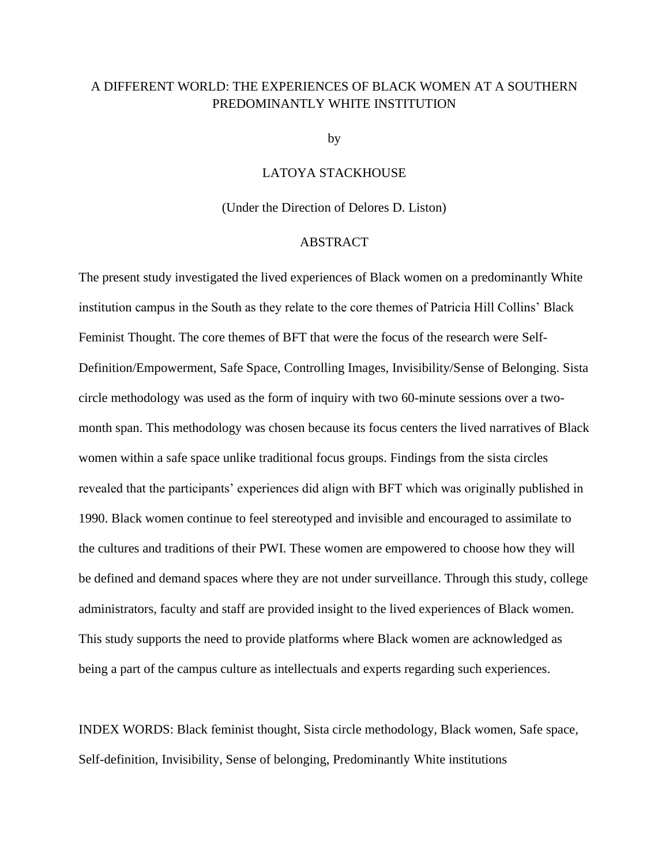### A DIFFERENT WORLD: THE EXPERIENCES OF BLACK WOMEN AT A SOUTHERN PREDOMINANTLY WHITE INSTITUTION

by

#### LATOYA STACKHOUSE

(Under the Direction of Delores D. Liston)

#### ABSTRACT

The present study investigated the lived experiences of Black women on a predominantly White institution campus in the South as they relate to the core themes of Patricia Hill Collins' Black Feminist Thought. The core themes of BFT that were the focus of the research were Self-Definition/Empowerment, Safe Space, Controlling Images, Invisibility/Sense of Belonging. Sista circle methodology was used as the form of inquiry with two 60-minute sessions over a twomonth span. This methodology was chosen because its focus centers the lived narratives of Black women within a safe space unlike traditional focus groups. Findings from the sista circles revealed that the participants' experiences did align with BFT which was originally published in 1990. Black women continue to feel stereotyped and invisible and encouraged to assimilate to the cultures and traditions of their PWI. These women are empowered to choose how they will be defined and demand spaces where they are not under surveillance. Through this study, college administrators, faculty and staff are provided insight to the lived experiences of Black women. This study supports the need to provide platforms where Black women are acknowledged as being a part of the campus culture as intellectuals and experts regarding such experiences.

INDEX WORDS: Black feminist thought, Sista circle methodology, Black women, Safe space, Self-definition, Invisibility, Sense of belonging, Predominantly White institutions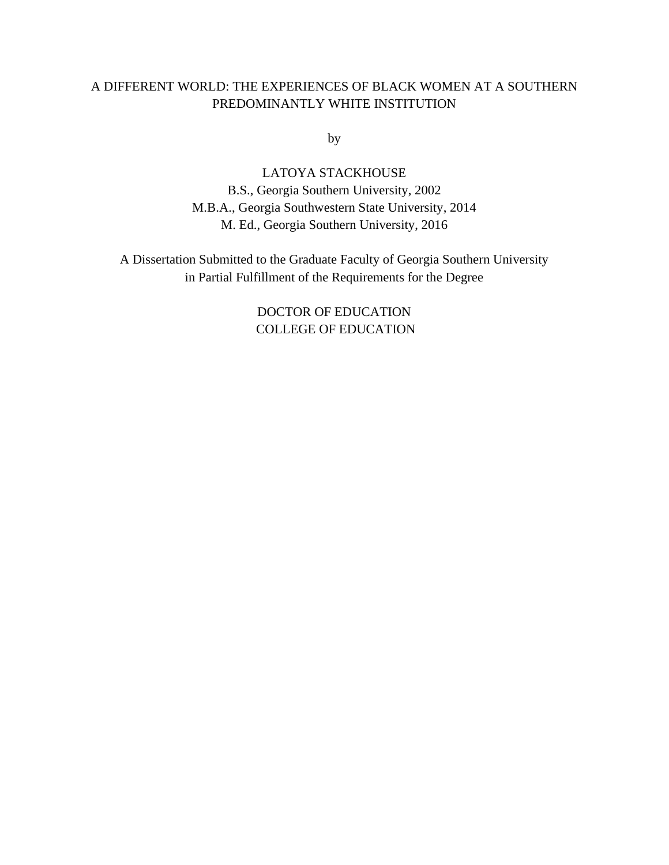### A DIFFERENT WORLD: THE EXPERIENCES OF BLACK WOMEN AT A SOUTHERN PREDOMINANTLY WHITE INSTITUTION

by

LATOYA STACKHOUSE B.S., Georgia Southern University, 2002 M.B.A., Georgia Southwestern State University, 2014 M. Ed., Georgia Southern University, 2016

A Dissertation Submitted to the Graduate Faculty of Georgia Southern University in Partial Fulfillment of the Requirements for the Degree

> DOCTOR OF EDUCATION COLLEGE OF EDUCATION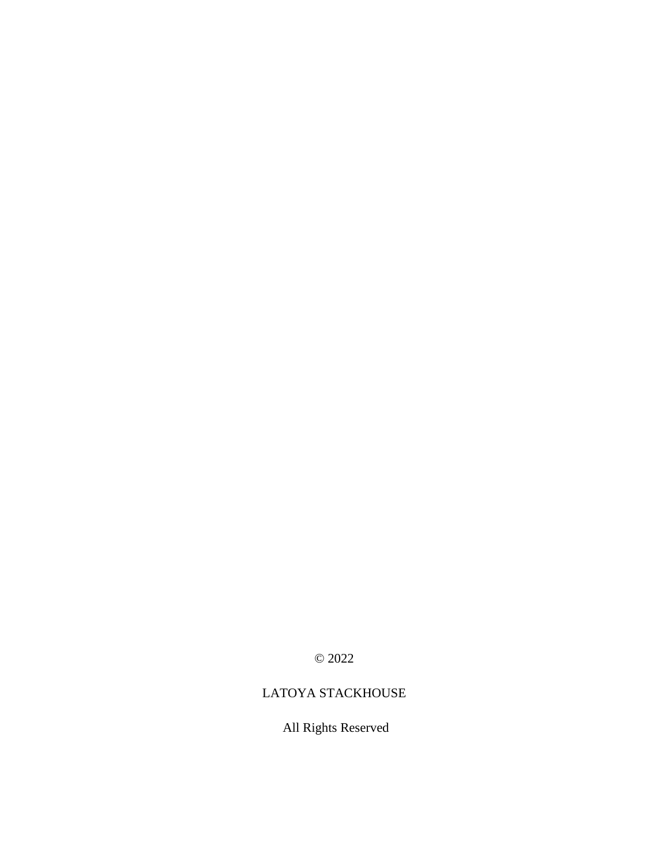© 2022

### LATOYA STACKHOUSE

## All Rights Reserved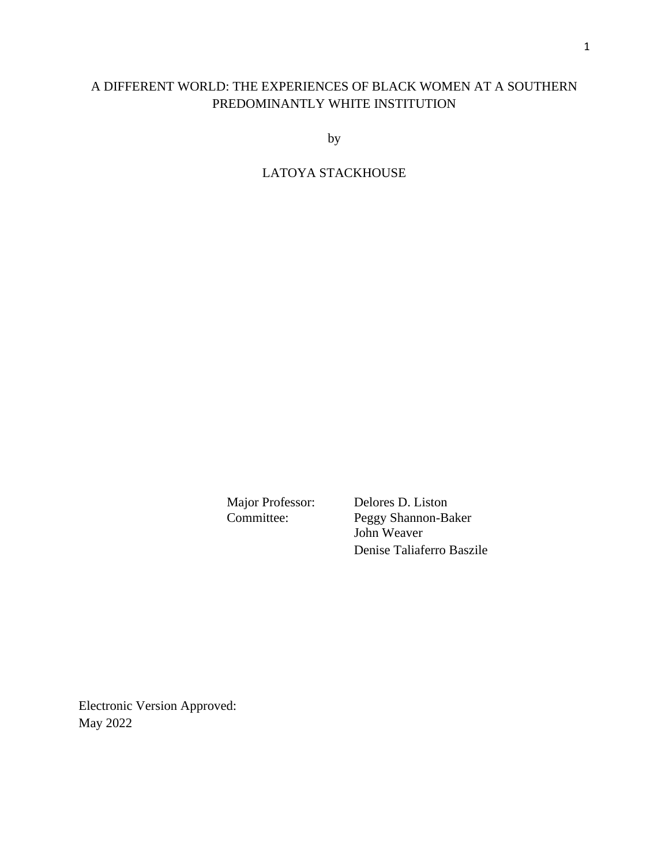### A DIFFERENT WORLD: THE EXPERIENCES OF BLACK WOMEN AT A SOUTHERN PREDOMINANTLY WHITE INSTITUTION

by

### LATOYA STACKHOUSE

Major Professor: Delores D. Liston<br>Committee: Peggy Shannon-Ba Peggy Shannon-Baker John Weaver Denise Taliaferro Baszile

Electronic Version Approved: May 2022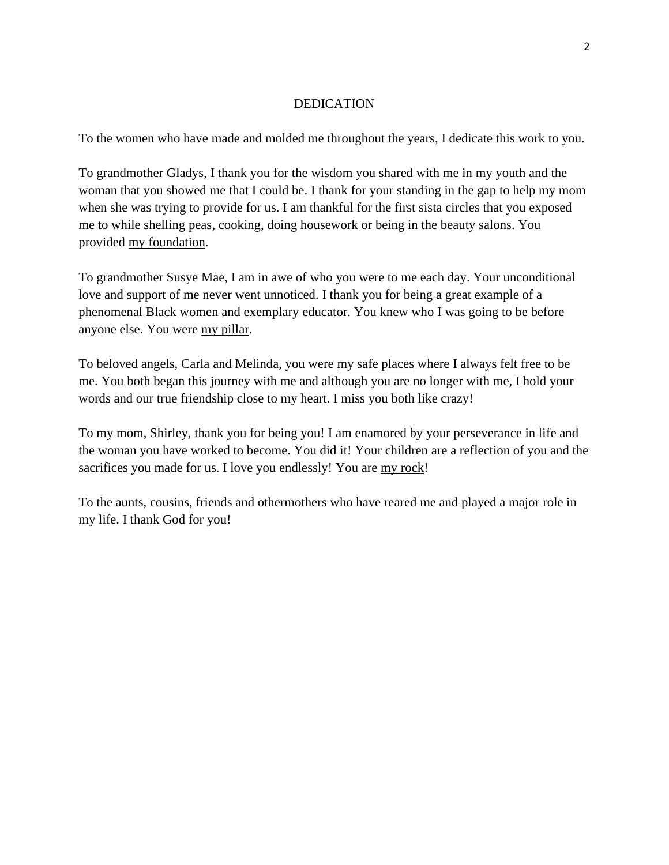#### DEDICATION

To the women who have made and molded me throughout the years, I dedicate this work to you.

To grandmother Gladys, I thank you for the wisdom you shared with me in my youth and the woman that you showed me that I could be. I thank for your standing in the gap to help my mom when she was trying to provide for us. I am thankful for the first sista circles that you exposed me to while shelling peas, cooking, doing housework or being in the beauty salons. You provided my foundation.

To grandmother Susye Mae, I am in awe of who you were to me each day. Your unconditional love and support of me never went unnoticed. I thank you for being a great example of a phenomenal Black women and exemplary educator. You knew who I was going to be before anyone else. You were my pillar.

To beloved angels, Carla and Melinda, you were my safe places where I always felt free to be me. You both began this journey with me and although you are no longer with me, I hold your words and our true friendship close to my heart. I miss you both like crazy!

To my mom, Shirley, thank you for being you! I am enamored by your perseverance in life and the woman you have worked to become. You did it! Your children are a reflection of you and the sacrifices you made for us. I love you endlessly! You are my rock!

To the aunts, cousins, friends and othermothers who have reared me and played a major role in my life. I thank God for you!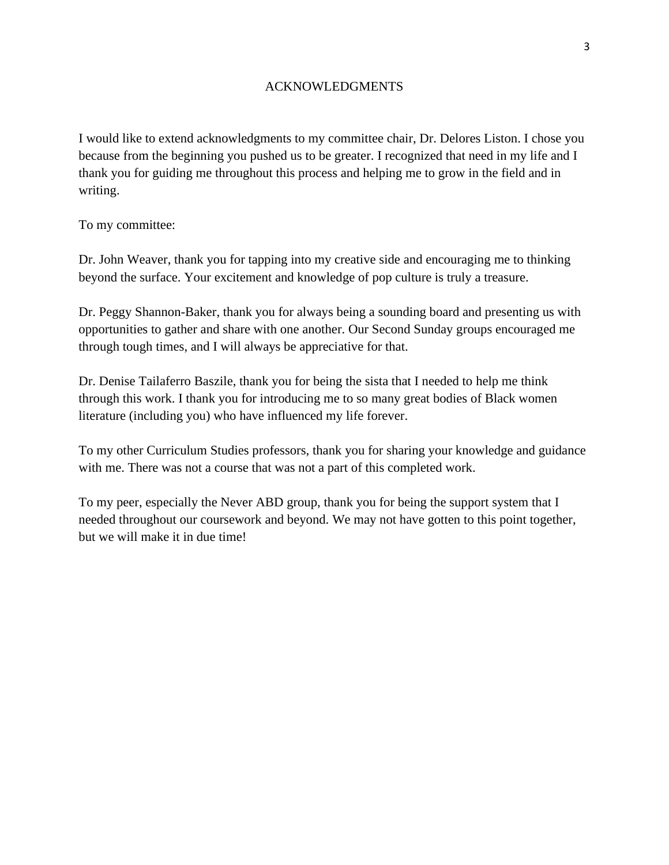#### ACKNOWLEDGMENTS

I would like to extend acknowledgments to my committee chair, Dr. Delores Liston. I chose you because from the beginning you pushed us to be greater. I recognized that need in my life and I thank you for guiding me throughout this process and helping me to grow in the field and in writing.

To my committee:

Dr. John Weaver, thank you for tapping into my creative side and encouraging me to thinking beyond the surface. Your excitement and knowledge of pop culture is truly a treasure.

Dr. Peggy Shannon-Baker, thank you for always being a sounding board and presenting us with opportunities to gather and share with one another. Our Second Sunday groups encouraged me through tough times, and I will always be appreciative for that.

Dr. Denise Tailaferro Baszile, thank you for being the sista that I needed to help me think through this work. I thank you for introducing me to so many great bodies of Black women literature (including you) who have influenced my life forever.

To my other Curriculum Studies professors, thank you for sharing your knowledge and guidance with me. There was not a course that was not a part of this completed work.

To my peer, especially the Never ABD group, thank you for being the support system that I needed throughout our coursework and beyond. We may not have gotten to this point together, but we will make it in due time!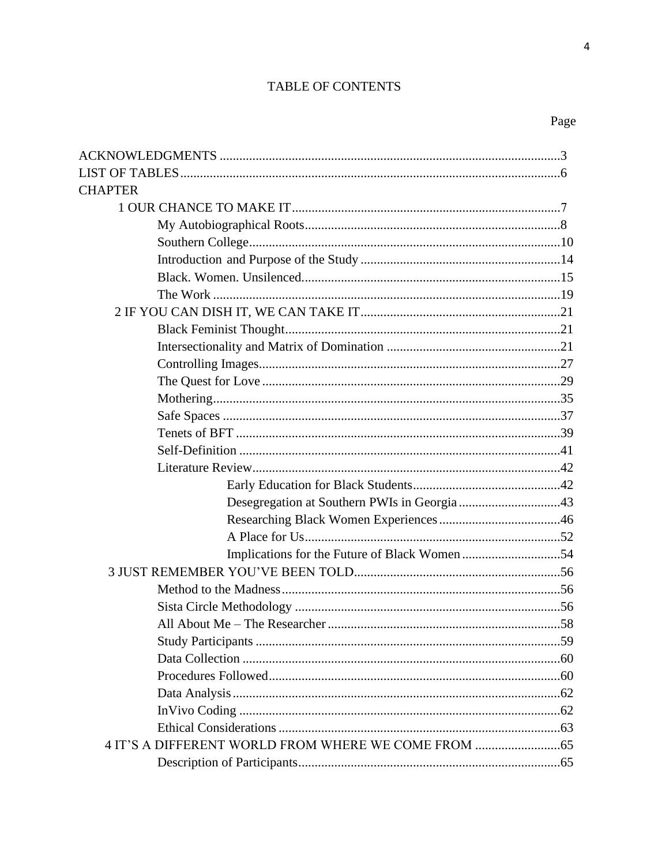### TABLE OF CONTENTS

Page

 $\overline{\mathbf{4}}$ 

| <b>CHAPTER</b>                                   |  |
|--------------------------------------------------|--|
|                                                  |  |
|                                                  |  |
|                                                  |  |
|                                                  |  |
|                                                  |  |
|                                                  |  |
|                                                  |  |
|                                                  |  |
|                                                  |  |
|                                                  |  |
|                                                  |  |
|                                                  |  |
|                                                  |  |
|                                                  |  |
|                                                  |  |
|                                                  |  |
|                                                  |  |
|                                                  |  |
|                                                  |  |
|                                                  |  |
|                                                  |  |
|                                                  |  |
|                                                  |  |
|                                                  |  |
|                                                  |  |
|                                                  |  |
|                                                  |  |
|                                                  |  |
|                                                  |  |
|                                                  |  |
|                                                  |  |
| 4 IT'S A DIFFERENT WORLD FROM WHERE WE COME FROM |  |
|                                                  |  |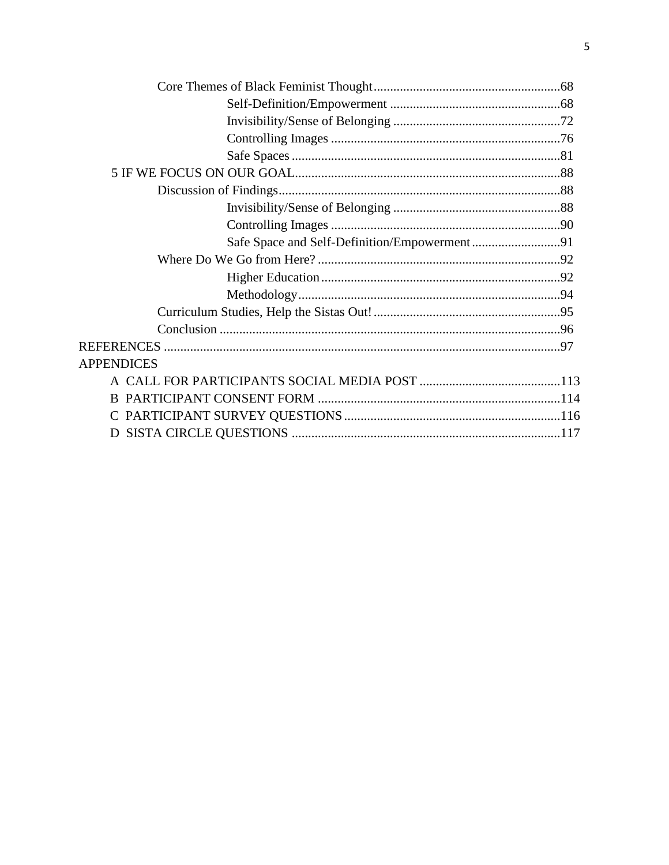| <b>APPENDICES</b> |  |
|-------------------|--|
|                   |  |
|                   |  |
|                   |  |
|                   |  |
|                   |  |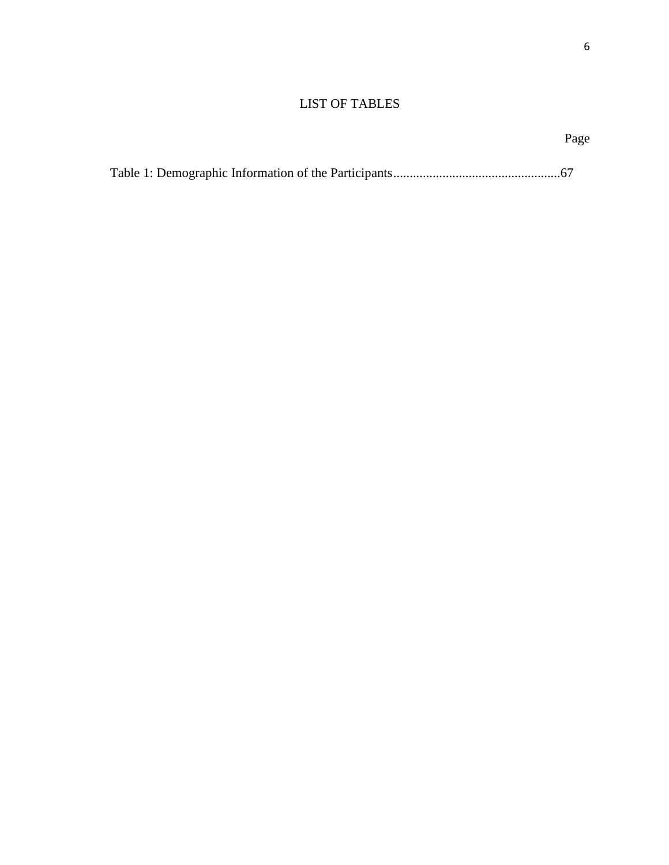### LIST OF TABLES

#### Page **Page**

|--|--|--|--|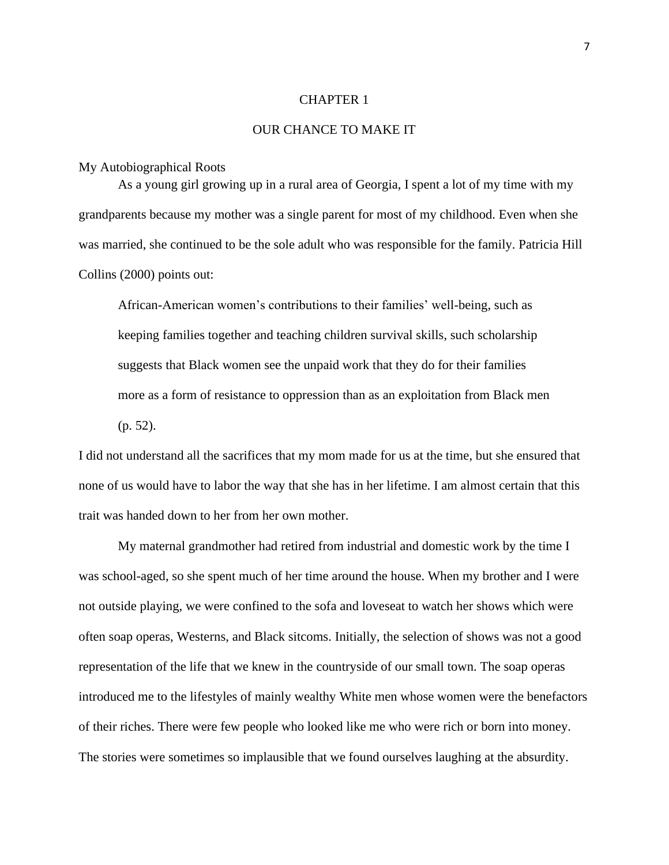#### CHAPTER 1

#### OUR CHANCE TO MAKE IT

#### My Autobiographical Roots

As a young girl growing up in a rural area of Georgia, I spent a lot of my time with my grandparents because my mother was a single parent for most of my childhood. Even when she was married, she continued to be the sole adult who was responsible for the family. Patricia Hill Collins (2000) points out:

African-American women's contributions to their families' well-being, such as keeping families together and teaching children survival skills, such scholarship suggests that Black women see the unpaid work that they do for their families more as a form of resistance to oppression than as an exploitation from Black men (p. 52).

I did not understand all the sacrifices that my mom made for us at the time, but she ensured that none of us would have to labor the way that she has in her lifetime. I am almost certain that this trait was handed down to her from her own mother.

My maternal grandmother had retired from industrial and domestic work by the time I was school-aged, so she spent much of her time around the house. When my brother and I were not outside playing, we were confined to the sofa and loveseat to watch her shows which were often soap operas, Westerns, and Black sitcoms. Initially, the selection of shows was not a good representation of the life that we knew in the countryside of our small town. The soap operas introduced me to the lifestyles of mainly wealthy White men whose women were the benefactors of their riches. There were few people who looked like me who were rich or born into money. The stories were sometimes so implausible that we found ourselves laughing at the absurdity.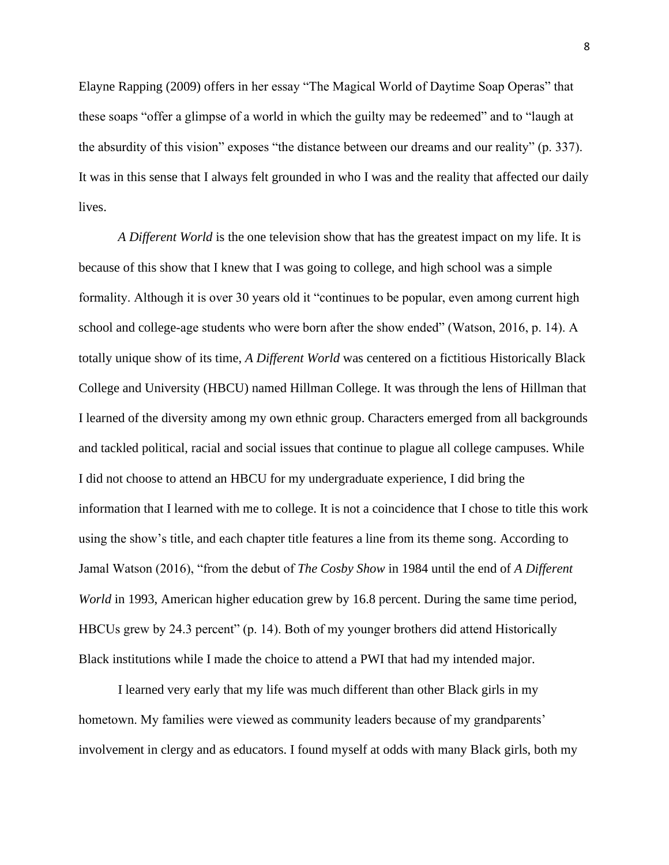Elayne Rapping (2009) offers in her essay "The Magical World of Daytime Soap Operas" that these soaps "offer a glimpse of a world in which the guilty may be redeemed" and to "laugh at the absurdity of this vision" exposes "the distance between our dreams and our reality" (p. 337). It was in this sense that I always felt grounded in who I was and the reality that affected our daily lives.

*A Different World* is the one television show that has the greatest impact on my life. It is because of this show that I knew that I was going to college, and high school was a simple formality. Although it is over 30 years old it "continues to be popular, even among current high school and college-age students who were born after the show ended" (Watson, 2016, p. 14). A totally unique show of its time, *A Different World* was centered on a fictitious Historically Black College and University (HBCU) named Hillman College. It was through the lens of Hillman that I learned of the diversity among my own ethnic group. Characters emerged from all backgrounds and tackled political, racial and social issues that continue to plague all college campuses. While I did not choose to attend an HBCU for my undergraduate experience, I did bring the information that I learned with me to college. It is not a coincidence that I chose to title this work using the show's title, and each chapter title features a line from its theme song. According to Jamal Watson (2016), "from the debut of *The Cosby Show* in 1984 until the end of *A Different World* in 1993, American higher education grew by 16.8 percent. During the same time period, HBCUs grew by 24.3 percent" (p. 14). Both of my younger brothers did attend Historically Black institutions while I made the choice to attend a PWI that had my intended major.

I learned very early that my life was much different than other Black girls in my hometown. My families were viewed as community leaders because of my grandparents' involvement in clergy and as educators. I found myself at odds with many Black girls, both my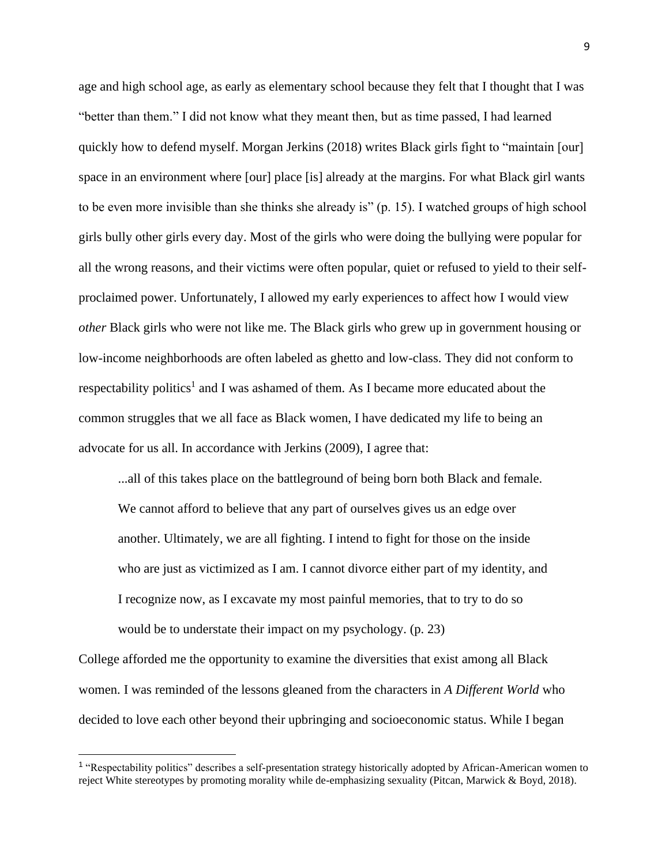age and high school age, as early as elementary school because they felt that I thought that I was "better than them." I did not know what they meant then, but as time passed, I had learned quickly how to defend myself. Morgan Jerkins (2018) writes Black girls fight to "maintain [our] space in an environment where [our] place [is] already at the margins. For what Black girl wants to be even more invisible than she thinks she already is" (p. 15). I watched groups of high school girls bully other girls every day. Most of the girls who were doing the bullying were popular for all the wrong reasons, and their victims were often popular, quiet or refused to yield to their selfproclaimed power. Unfortunately, I allowed my early experiences to affect how I would view *other* Black girls who were not like me. The Black girls who grew up in government housing or low-income neighborhoods are often labeled as ghetto and low-class. They did not conform to respectability politics<sup>1</sup> and I was ashamed of them. As I became more educated about the common struggles that we all face as Black women, I have dedicated my life to being an advocate for us all. In accordance with Jerkins (2009), I agree that:

...all of this takes place on the battleground of being born both Black and female. We cannot afford to believe that any part of ourselves gives us an edge over another. Ultimately, we are all fighting. I intend to fight for those on the inside who are just as victimized as I am. I cannot divorce either part of my identity, and I recognize now, as I excavate my most painful memories, that to try to do so would be to understate their impact on my psychology. (p. 23)

College afforded me the opportunity to examine the diversities that exist among all Black women. I was reminded of the lessons gleaned from the characters in *A Different World* who decided to love each other beyond their upbringing and socioeconomic status. While I began

<sup>&</sup>lt;sup>1</sup> "Respectability politics" describes a self-presentation strategy historically adopted by African-American women to reject White stereotypes by promoting morality while de-emphasizing sexuality (Pitcan, Marwick & Boyd, 2018).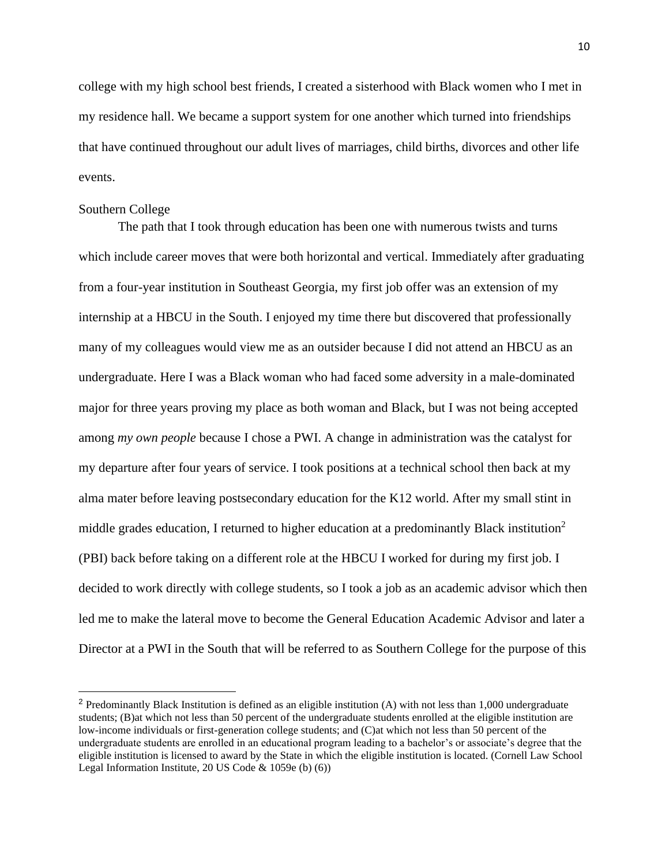college with my high school best friends, I created a sisterhood with Black women who I met in my residence hall. We became a support system for one another which turned into friendships that have continued throughout our adult lives of marriages, child births, divorces and other life events.

#### Southern College

The path that I took through education has been one with numerous twists and turns which include career moves that were both horizontal and vertical. Immediately after graduating from a four-year institution in Southeast Georgia, my first job offer was an extension of my internship at a HBCU in the South. I enjoyed my time there but discovered that professionally many of my colleagues would view me as an outsider because I did not attend an HBCU as an undergraduate. Here I was a Black woman who had faced some adversity in a male-dominated major for three years proving my place as both woman and Black, but I was not being accepted among *my own people* because I chose a PWI. A change in administration was the catalyst for my departure after four years of service. I took positions at a technical school then back at my alma mater before leaving postsecondary education for the K12 world. After my small stint in middle grades education, I returned to higher education at a predominantly Black institution<sup>2</sup> (PBI) back before taking on a different role at the HBCU I worked for during my first job. I decided to work directly with college students, so I took a job as an academic advisor which then led me to make the lateral move to become the General Education Academic Advisor and later a Director at a PWI in the South that will be referred to as Southern College for the purpose of this

<sup>&</sup>lt;sup>2</sup> Predominantly Black Institution is defined as an eligible institution (A) with not less than 1,000 undergraduate students; (B)at which not less than 50 percent of the undergraduate students enrolled at the eligible institution are low-income individuals or first-generation college students; and (C)at which not less than 50 percent of the undergraduate students are enrolled in an educational program leading to a bachelor's or associate's degree that the eligible institution is licensed to award by the State in which the eligible institution is located. (Cornell Law School Legal Information Institute, 20 US Code & 1059e (b) (6))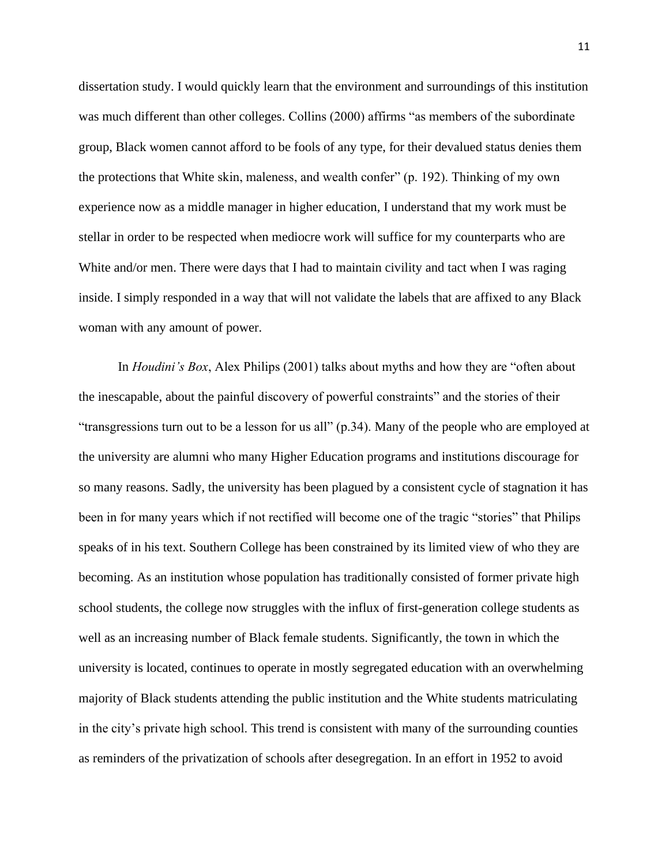dissertation study. I would quickly learn that the environment and surroundings of this institution was much different than other colleges. Collins (2000) affirms "as members of the subordinate group, Black women cannot afford to be fools of any type, for their devalued status denies them the protections that White skin, maleness, and wealth confer" (p. 192). Thinking of my own experience now as a middle manager in higher education, I understand that my work must be stellar in order to be respected when mediocre work will suffice for my counterparts who are White and/or men. There were days that I had to maintain civility and tact when I was raging inside. I simply responded in a way that will not validate the labels that are affixed to any Black woman with any amount of power.

In *Houdini's Box*, Alex Philips (2001) talks about myths and how they are "often about the inescapable, about the painful discovery of powerful constraints" and the stories of their "transgressions turn out to be a lesson for us all" (p.34). Many of the people who are employed at the university are alumni who many Higher Education programs and institutions discourage for so many reasons. Sadly, the university has been plagued by a consistent cycle of stagnation it has been in for many years which if not rectified will become one of the tragic "stories" that Philips speaks of in his text. Southern College has been constrained by its limited view of who they are becoming. As an institution whose population has traditionally consisted of former private high school students, the college now struggles with the influx of first-generation college students as well as an increasing number of Black female students. Significantly, the town in which the university is located, continues to operate in mostly segregated education with an overwhelming majority of Black students attending the public institution and the White students matriculating in the city's private high school. This trend is consistent with many of the surrounding counties as reminders of the privatization of schools after desegregation. In an effort in 1952 to avoid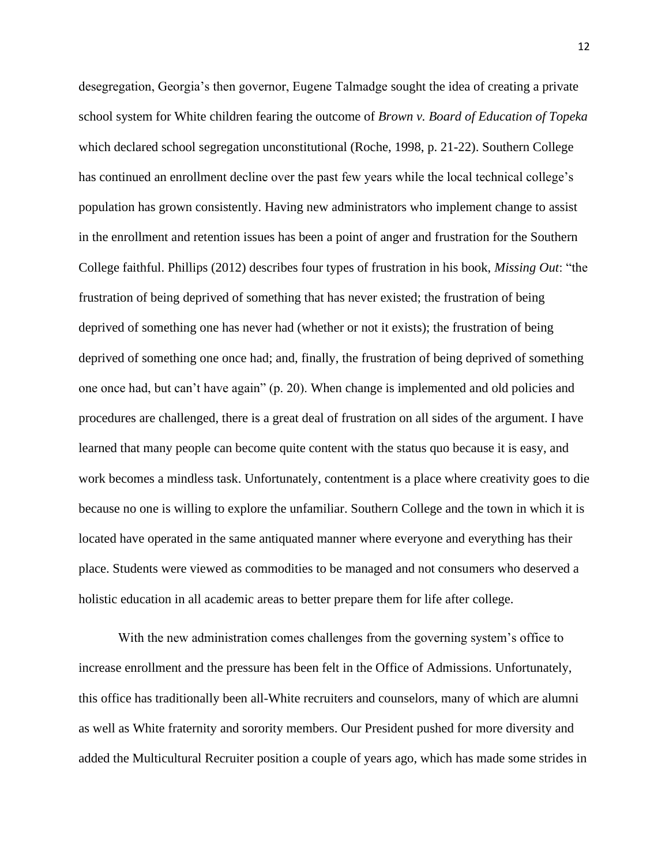desegregation, Georgia's then governor, Eugene Talmadge sought the idea of creating a private school system for White children fearing the outcome of *Brown v. Board of Education of Topeka* which declared school segregation unconstitutional (Roche, 1998, p. 21-22). Southern College has continued an enrollment decline over the past few years while the local technical college's population has grown consistently. Having new administrators who implement change to assist in the enrollment and retention issues has been a point of anger and frustration for the Southern College faithful. Phillips (2012) describes four types of frustration in his book, *Missing Out*: "the frustration of being deprived of something that has never existed; the frustration of being deprived of something one has never had (whether or not it exists); the frustration of being deprived of something one once had; and, finally, the frustration of being deprived of something one once had, but can't have again" (p. 20). When change is implemented and old policies and procedures are challenged, there is a great deal of frustration on all sides of the argument. I have learned that many people can become quite content with the status quo because it is easy, and work becomes a mindless task. Unfortunately, contentment is a place where creativity goes to die because no one is willing to explore the unfamiliar. Southern College and the town in which it is located have operated in the same antiquated manner where everyone and everything has their place. Students were viewed as commodities to be managed and not consumers who deserved a holistic education in all academic areas to better prepare them for life after college.

With the new administration comes challenges from the governing system's office to increase enrollment and the pressure has been felt in the Office of Admissions. Unfortunately, this office has traditionally been all-White recruiters and counselors, many of which are alumni as well as White fraternity and sorority members. Our President pushed for more diversity and added the Multicultural Recruiter position a couple of years ago, which has made some strides in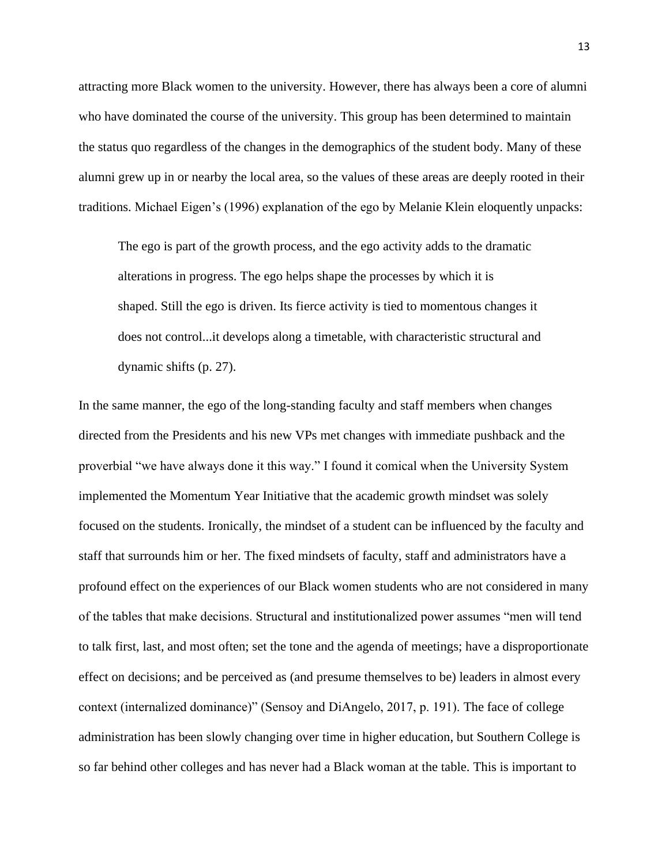attracting more Black women to the university. However, there has always been a core of alumni who have dominated the course of the university. This group has been determined to maintain the status quo regardless of the changes in the demographics of the student body. Many of these alumni grew up in or nearby the local area, so the values of these areas are deeply rooted in their traditions. Michael Eigen's (1996) explanation of the ego by Melanie Klein eloquently unpacks:

The ego is part of the growth process, and the ego activity adds to the dramatic alterations in progress. The ego helps shape the processes by which it is shaped. Still the ego is driven. Its fierce activity is tied to momentous changes it does not control...it develops along a timetable, with characteristic structural and dynamic shifts (p. 27).

In the same manner, the ego of the long-standing faculty and staff members when changes directed from the Presidents and his new VPs met changes with immediate pushback and the proverbial "we have always done it this way." I found it comical when the University System implemented the Momentum Year Initiative that the academic growth mindset was solely focused on the students. Ironically, the mindset of a student can be influenced by the faculty and staff that surrounds him or her. The fixed mindsets of faculty, staff and administrators have a profound effect on the experiences of our Black women students who are not considered in many of the tables that make decisions. Structural and institutionalized power assumes "men will tend to talk first, last, and most often; set the tone and the agenda of meetings; have a disproportionate effect on decisions; and be perceived as (and presume themselves to be) leaders in almost every context (internalized dominance)" (Sensoy and DiAngelo, 2017, p. 191). The face of college administration has been slowly changing over time in higher education, but Southern College is so far behind other colleges and has never had a Black woman at the table. This is important to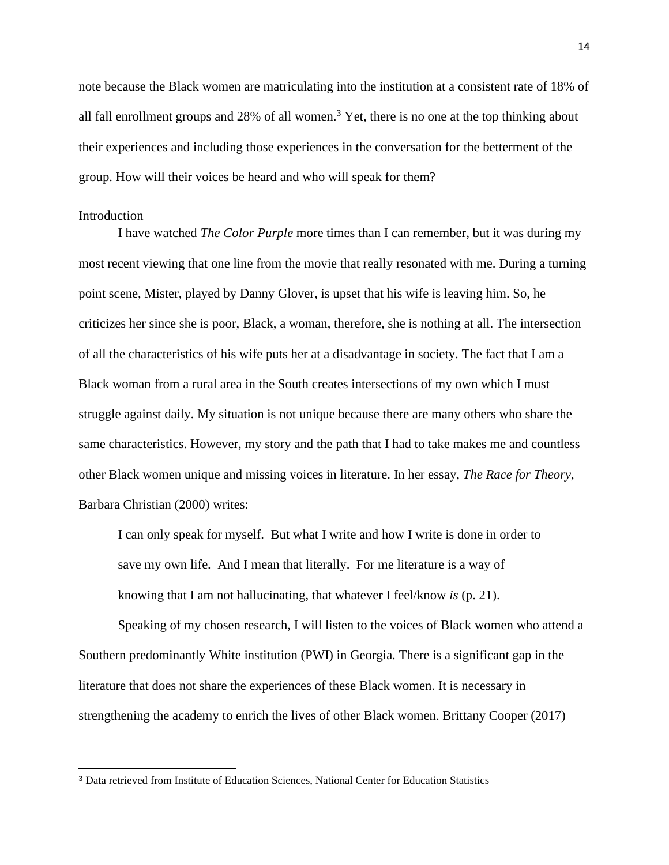note because the Black women are matriculating into the institution at a consistent rate of 18% of all fall enrollment groups and 28% of all women.<sup>3</sup> Yet, there is no one at the top thinking about their experiences and including those experiences in the conversation for the betterment of the group. How will their voices be heard and who will speak for them?

#### Introduction

I have watched *The Color Purple* more times than I can remember, but it was during my most recent viewing that one line from the movie that really resonated with me. During a turning point scene, Mister, played by Danny Glover, is upset that his wife is leaving him. So, he criticizes her since she is poor, Black, a woman, therefore, she is nothing at all. The intersection of all the characteristics of his wife puts her at a disadvantage in society. The fact that I am a Black woman from a rural area in the South creates intersections of my own which I must struggle against daily. My situation is not unique because there are many others who share the same characteristics. However, my story and the path that I had to take makes me and countless other Black women unique and missing voices in literature. In her essay, *The Race for Theory*, Barbara Christian (2000) writes:

I can only speak for myself. But what I write and how I write is done in order to save my own life. And I mean that literally. For me literature is a way of knowing that I am not hallucinating, that whatever I feel/know *is* (p. 21).

Speaking of my chosen research, I will listen to the voices of Black women who attend a Southern predominantly White institution (PWI) in Georgia. There is a significant gap in the literature that does not share the experiences of these Black women. It is necessary in strengthening the academy to enrich the lives of other Black women. Brittany Cooper (2017)

<sup>3</sup> Data retrieved from Institute of Education Sciences, National Center for Education Statistics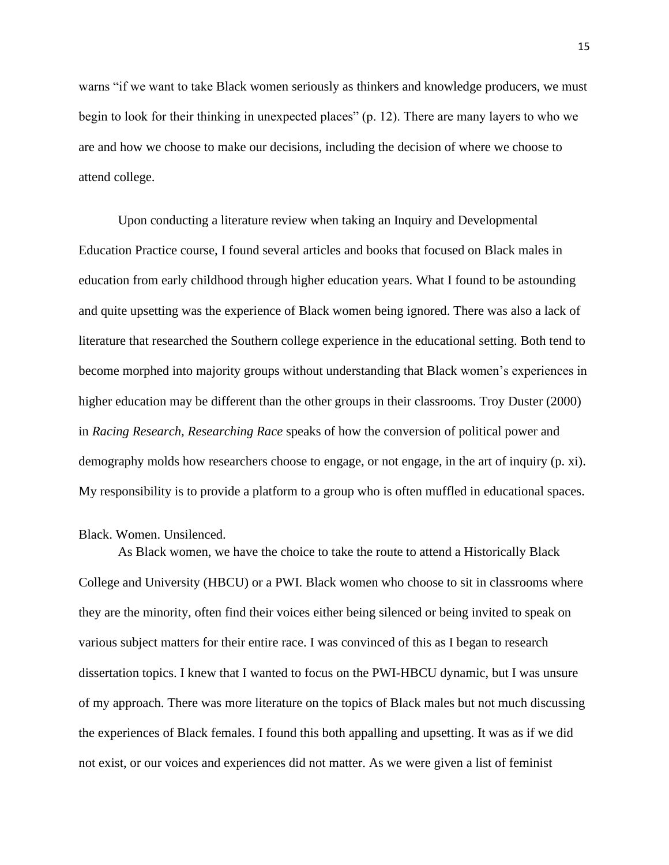warns "if we want to take Black women seriously as thinkers and knowledge producers, we must begin to look for their thinking in unexpected places" (p. 12). There are many layers to who we are and how we choose to make our decisions, including the decision of where we choose to attend college.

Upon conducting a literature review when taking an Inquiry and Developmental Education Practice course, I found several articles and books that focused on Black males in education from early childhood through higher education years. What I found to be astounding and quite upsetting was the experience of Black women being ignored. There was also a lack of literature that researched the Southern college experience in the educational setting. Both tend to become morphed into majority groups without understanding that Black women's experiences in higher education may be different than the other groups in their classrooms. Troy Duster (2000) in *Racing Research, Researching Race* speaks of how the conversion of political power and demography molds how researchers choose to engage, or not engage, in the art of inquiry (p. xi). My responsibility is to provide a platform to a group who is often muffled in educational spaces.

#### Black. Women. Unsilenced.

As Black women, we have the choice to take the route to attend a Historically Black College and University (HBCU) or a PWI. Black women who choose to sit in classrooms where they are the minority, often find their voices either being silenced or being invited to speak on various subject matters for their entire race. I was convinced of this as I began to research dissertation topics. I knew that I wanted to focus on the PWI-HBCU dynamic, but I was unsure of my approach. There was more literature on the topics of Black males but not much discussing the experiences of Black females. I found this both appalling and upsetting. It was as if we did not exist, or our voices and experiences did not matter. As we were given a list of feminist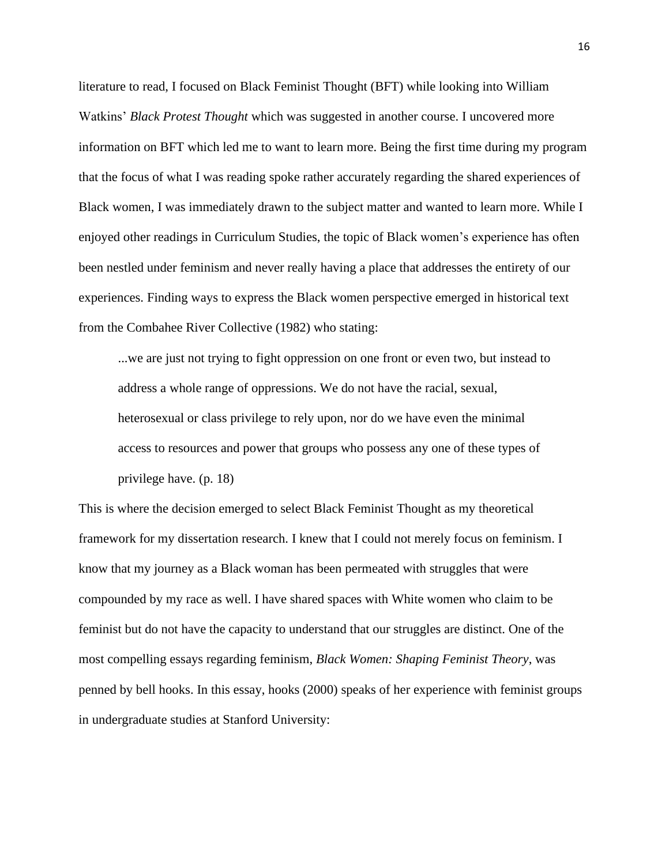literature to read, I focused on Black Feminist Thought (BFT) while looking into William Watkins' *Black Protest Thought* which was suggested in another course. I uncovered more information on BFT which led me to want to learn more. Being the first time during my program that the focus of what I was reading spoke rather accurately regarding the shared experiences of Black women, I was immediately drawn to the subject matter and wanted to learn more. While I enjoyed other readings in Curriculum Studies, the topic of Black women's experience has often been nestled under feminism and never really having a place that addresses the entirety of our experiences. Finding ways to express the Black women perspective emerged in historical text from the Combahee River Collective (1982) who stating:

...we are just not trying to fight oppression on one front or even two, but instead to address a whole range of oppressions. We do not have the racial, sexual, heterosexual or class privilege to rely upon, nor do we have even the minimal access to resources and power that groups who possess any one of these types of privilege have. (p. 18)

This is where the decision emerged to select Black Feminist Thought as my theoretical framework for my dissertation research. I knew that I could not merely focus on feminism. I know that my journey as a Black woman has been permeated with struggles that were compounded by my race as well. I have shared spaces with White women who claim to be feminist but do not have the capacity to understand that our struggles are distinct. One of the most compelling essays regarding feminism, *Black Women: Shaping Feminist Theory*, was penned by bell hooks. In this essay, hooks (2000) speaks of her experience with feminist groups in undergraduate studies at Stanford University: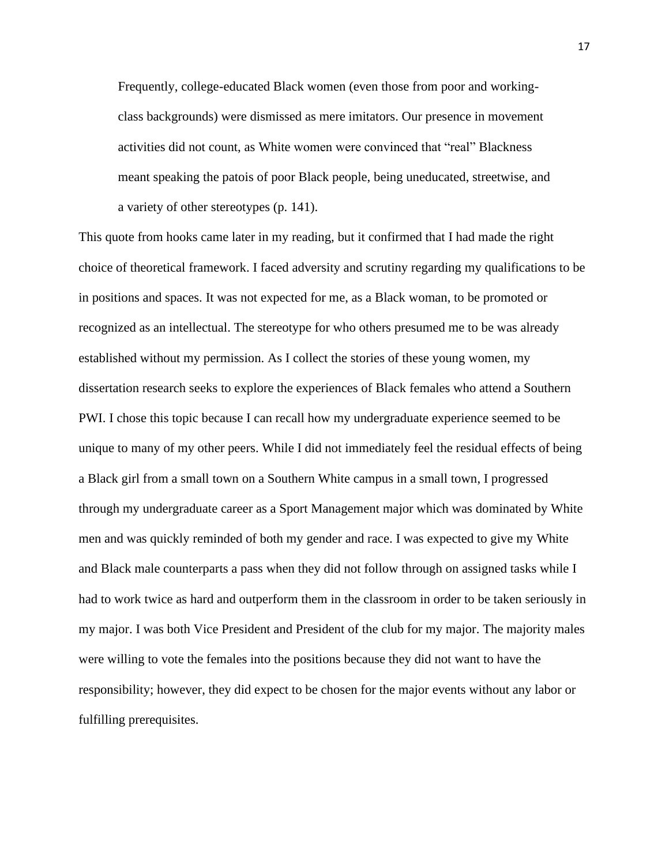Frequently, college-educated Black women (even those from poor and workingclass backgrounds) were dismissed as mere imitators. Our presence in movement activities did not count, as White women were convinced that "real" Blackness meant speaking the patois of poor Black people, being uneducated, streetwise, and a variety of other stereotypes (p. 141).

This quote from hooks came later in my reading, but it confirmed that I had made the right choice of theoretical framework. I faced adversity and scrutiny regarding my qualifications to be in positions and spaces. It was not expected for me, as a Black woman, to be promoted or recognized as an intellectual. The stereotype for who others presumed me to be was already established without my permission. As I collect the stories of these young women, my dissertation research seeks to explore the experiences of Black females who attend a Southern PWI. I chose this topic because I can recall how my undergraduate experience seemed to be unique to many of my other peers. While I did not immediately feel the residual effects of being a Black girl from a small town on a Southern White campus in a small town, I progressed through my undergraduate career as a Sport Management major which was dominated by White men and was quickly reminded of both my gender and race. I was expected to give my White and Black male counterparts a pass when they did not follow through on assigned tasks while I had to work twice as hard and outperform them in the classroom in order to be taken seriously in my major. I was both Vice President and President of the club for my major. The majority males were willing to vote the females into the positions because they did not want to have the responsibility; however, they did expect to be chosen for the major events without any labor or fulfilling prerequisites.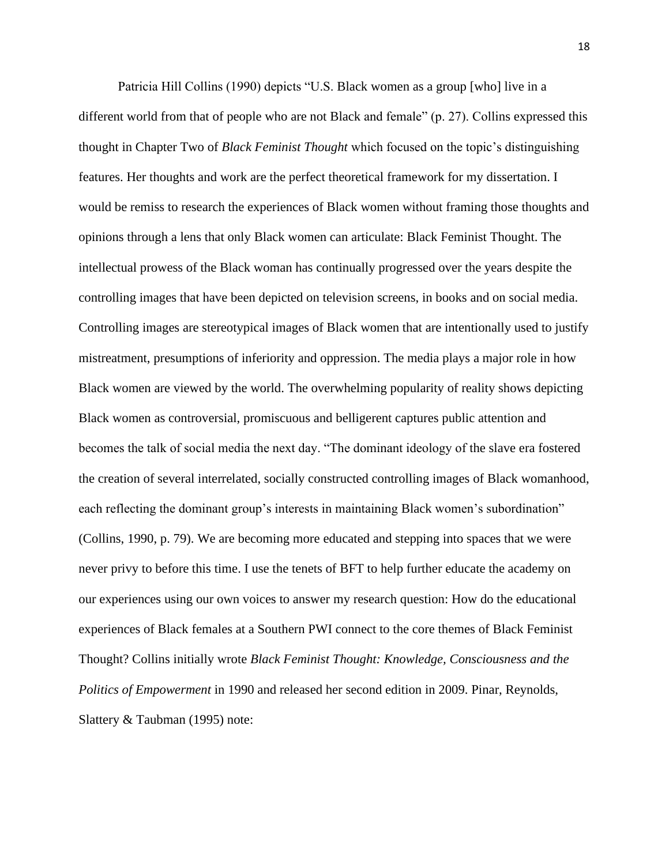Patricia Hill Collins (1990) depicts "U.S. Black women as a group [who] live in a different world from that of people who are not Black and female" (p. 27). Collins expressed this thought in Chapter Two of *Black Feminist Thought* which focused on the topic's distinguishing features. Her thoughts and work are the perfect theoretical framework for my dissertation. I would be remiss to research the experiences of Black women without framing those thoughts and opinions through a lens that only Black women can articulate: Black Feminist Thought. The intellectual prowess of the Black woman has continually progressed over the years despite the controlling images that have been depicted on television screens, in books and on social media. Controlling images are stereotypical images of Black women that are intentionally used to justify mistreatment, presumptions of inferiority and oppression. The media plays a major role in how Black women are viewed by the world. The overwhelming popularity of reality shows depicting Black women as controversial, promiscuous and belligerent captures public attention and becomes the talk of social media the next day. "The dominant ideology of the slave era fostered the creation of several interrelated, socially constructed controlling images of Black womanhood, each reflecting the dominant group's interests in maintaining Black women's subordination" (Collins, 1990, p. 79). We are becoming more educated and stepping into spaces that we were never privy to before this time. I use the tenets of BFT to help further educate the academy on our experiences using our own voices to answer my research question: How do the educational experiences of Black females at a Southern PWI connect to the core themes of Black Feminist Thought? Collins initially wrote *Black Feminist Thought: Knowledge, Consciousness and the Politics of Empowerment* in 1990 and released her second edition in 2009. Pinar, Reynolds, Slattery & Taubman (1995) note: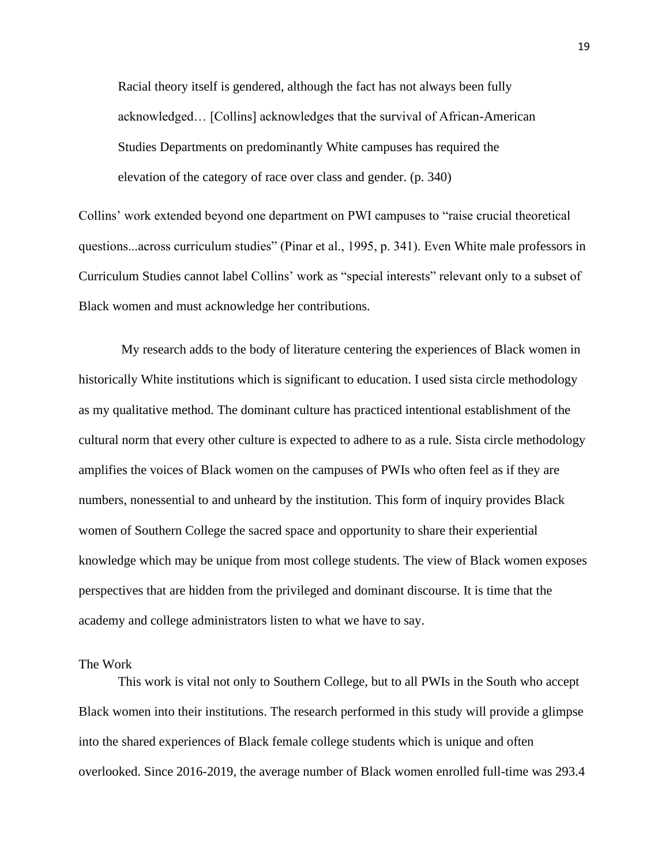Racial theory itself is gendered, although the fact has not always been fully acknowledged… [Collins] acknowledges that the survival of African-American Studies Departments on predominantly White campuses has required the elevation of the category of race over class and gender. (p. 340)

Collins' work extended beyond one department on PWI campuses to "raise crucial theoretical questions...across curriculum studies" (Pinar et al., 1995, p. 341). Even White male professors in Curriculum Studies cannot label Collins' work as "special interests" relevant only to a subset of Black women and must acknowledge her contributions.

My research adds to the body of literature centering the experiences of Black women in historically White institutions which is significant to education. I used sista circle methodology as my qualitative method. The dominant culture has practiced intentional establishment of the cultural norm that every other culture is expected to adhere to as a rule. Sista circle methodology amplifies the voices of Black women on the campuses of PWIs who often feel as if they are numbers, nonessential to and unheard by the institution. This form of inquiry provides Black women of Southern College the sacred space and opportunity to share their experiential knowledge which may be unique from most college students. The view of Black women exposes perspectives that are hidden from the privileged and dominant discourse. It is time that the academy and college administrators listen to what we have to say.

#### The Work

This work is vital not only to Southern College, but to all PWIs in the South who accept Black women into their institutions. The research performed in this study will provide a glimpse into the shared experiences of Black female college students which is unique and often overlooked. Since 2016-2019, the average number of Black women enrolled full-time was 293.4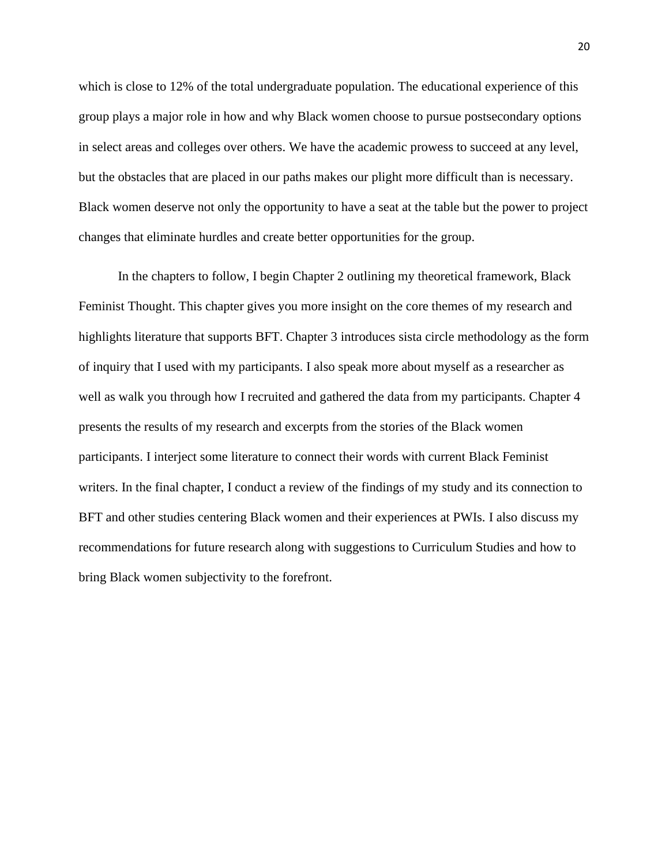which is close to 12% of the total undergraduate population. The educational experience of this group plays a major role in how and why Black women choose to pursue postsecondary options in select areas and colleges over others. We have the academic prowess to succeed at any level, but the obstacles that are placed in our paths makes our plight more difficult than is necessary. Black women deserve not only the opportunity to have a seat at the table but the power to project changes that eliminate hurdles and create better opportunities for the group.

In the chapters to follow, I begin Chapter 2 outlining my theoretical framework, Black Feminist Thought. This chapter gives you more insight on the core themes of my research and highlights literature that supports BFT. Chapter 3 introduces sista circle methodology as the form of inquiry that I used with my participants. I also speak more about myself as a researcher as well as walk you through how I recruited and gathered the data from my participants. Chapter 4 presents the results of my research and excerpts from the stories of the Black women participants. I interject some literature to connect their words with current Black Feminist writers. In the final chapter, I conduct a review of the findings of my study and its connection to BFT and other studies centering Black women and their experiences at PWIs. I also discuss my recommendations for future research along with suggestions to Curriculum Studies and how to bring Black women subjectivity to the forefront.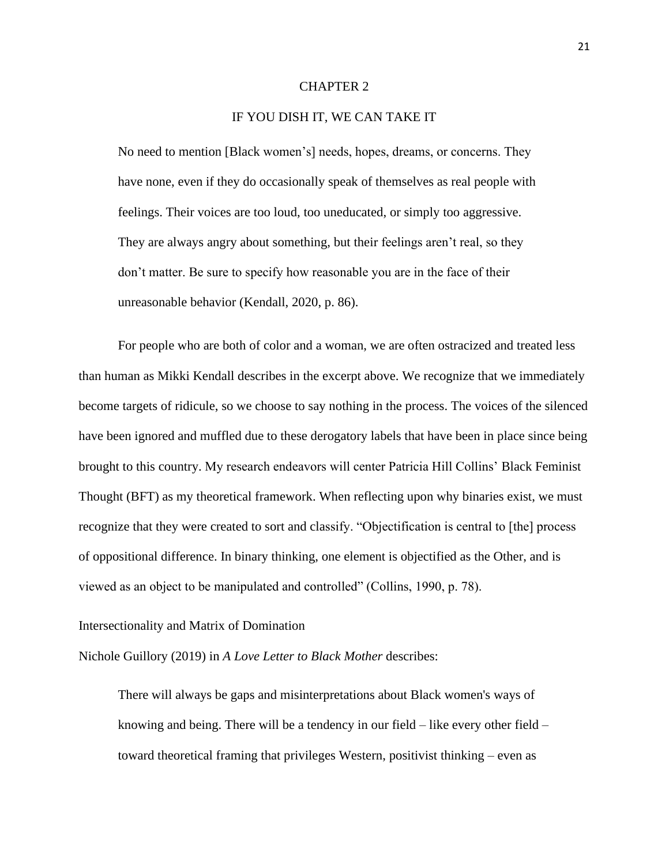#### CHAPTER 2

#### IF YOU DISH IT, WE CAN TAKE IT

No need to mention [Black women's] needs, hopes, dreams, or concerns. They have none, even if they do occasionally speak of themselves as real people with feelings. Their voices are too loud, too uneducated, or simply too aggressive. They are always angry about something, but their feelings aren't real, so they don't matter. Be sure to specify how reasonable you are in the face of their unreasonable behavior (Kendall, 2020, p. 86).

For people who are both of color and a woman, we are often ostracized and treated less than human as Mikki Kendall describes in the excerpt above. We recognize that we immediately become targets of ridicule, so we choose to say nothing in the process. The voices of the silenced have been ignored and muffled due to these derogatory labels that have been in place since being brought to this country. My research endeavors will center Patricia Hill Collins' Black Feminist Thought (BFT) as my theoretical framework. When reflecting upon why binaries exist, we must recognize that they were created to sort and classify. "Objectification is central to [the] process of oppositional difference. In binary thinking, one element is objectified as the Other, and is viewed as an object to be manipulated and controlled" (Collins, 1990, p. 78).

#### Intersectionality and Matrix of Domination

Nichole Guillory (2019) in *A Love Letter to Black Mother* describes:

There will always be gaps and misinterpretations about Black women's ways of knowing and being. There will be a tendency in our field – like every other field – toward theoretical framing that privileges Western, positivist thinking – even as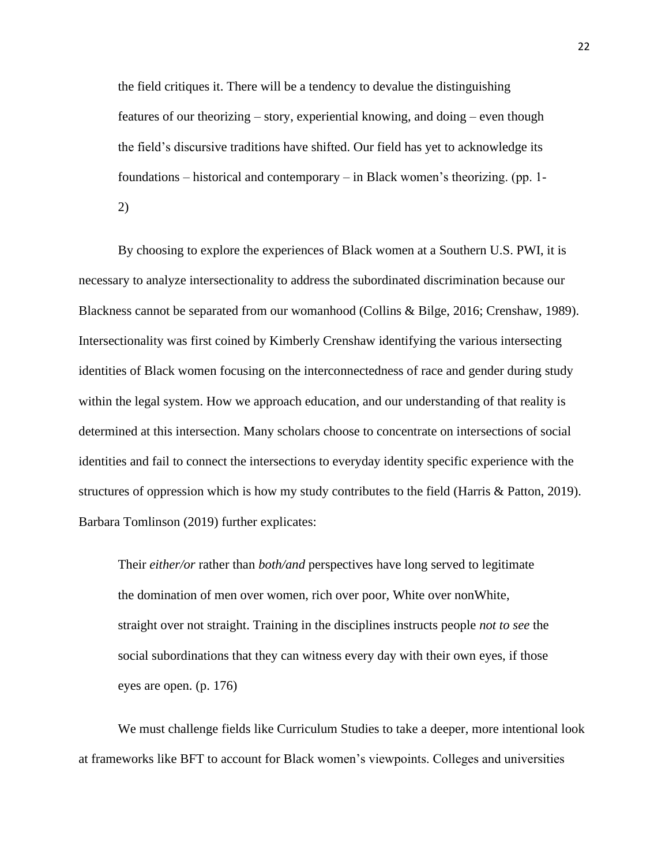the field critiques it. There will be a tendency to devalue the distinguishing features of our theorizing – story, experiential knowing, and doing – even though the field's discursive traditions have shifted. Our field has yet to acknowledge its foundations – historical and contemporary – in Black women's theorizing. (pp. 1- 2)

By choosing to explore the experiences of Black women at a Southern U.S. PWI, it is necessary to analyze intersectionality to address the subordinated discrimination because our Blackness cannot be separated from our womanhood (Collins & Bilge, 2016; Crenshaw, 1989). Intersectionality was first coined by Kimberly Crenshaw identifying the various intersecting identities of Black women focusing on the interconnectedness of race and gender during study within the legal system. How we approach education, and our understanding of that reality is determined at this intersection. Many scholars choose to concentrate on intersections of social identities and fail to connect the intersections to everyday identity specific experience with the structures of oppression which is how my study contributes to the field (Harris & Patton, 2019). Barbara Tomlinson (2019) further explicates:

Their *either/or* rather than *both/and* perspectives have long served to legitimate the domination of men over women, rich over poor, White over nonWhite, straight over not straight. Training in the disciplines instructs people *not to see* the social subordinations that they can witness every day with their own eyes, if those eyes are open. (p. 176)

We must challenge fields like Curriculum Studies to take a deeper, more intentional look at frameworks like BFT to account for Black women's viewpoints. Colleges and universities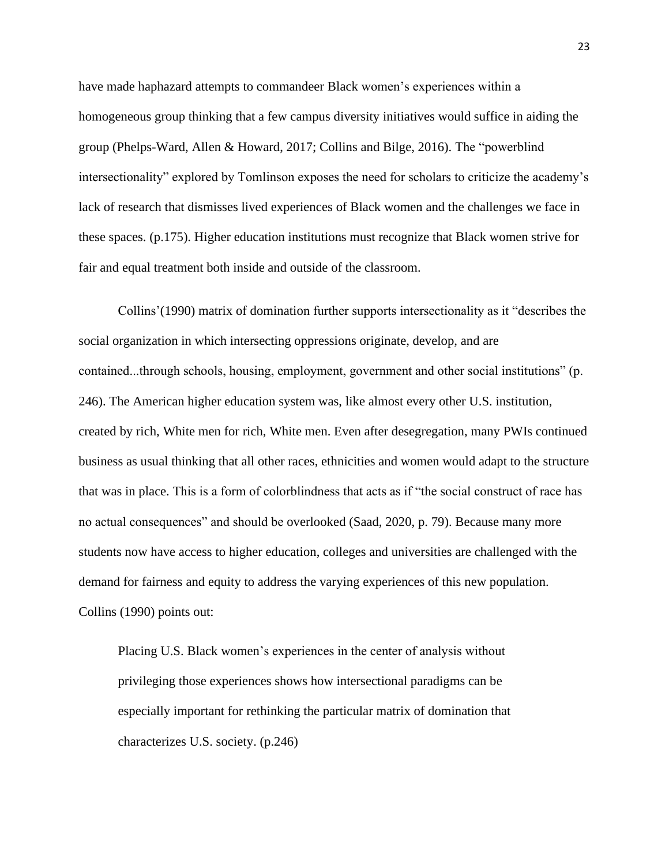have made haphazard attempts to commandeer Black women's experiences within a homogeneous group thinking that a few campus diversity initiatives would suffice in aiding the group (Phelps-Ward, Allen & Howard, 2017; Collins and Bilge, 2016). The "powerblind intersectionality" explored by Tomlinson exposes the need for scholars to criticize the academy's lack of research that dismisses lived experiences of Black women and the challenges we face in these spaces. (p.175). Higher education institutions must recognize that Black women strive for fair and equal treatment both inside and outside of the classroom.

Collins'(1990) matrix of domination further supports intersectionality as it "describes the social organization in which intersecting oppressions originate, develop, and are contained...through schools, housing, employment, government and other social institutions" (p. 246). The American higher education system was, like almost every other U.S. institution, created by rich, White men for rich, White men. Even after desegregation, many PWIs continued business as usual thinking that all other races, ethnicities and women would adapt to the structure that was in place. This is a form of colorblindness that acts as if "the social construct of race has no actual consequences" and should be overlooked (Saad, 2020, p. 79). Because many more students now have access to higher education, colleges and universities are challenged with the demand for fairness and equity to address the varying experiences of this new population. Collins (1990) points out:

Placing U.S. Black women's experiences in the center of analysis without privileging those experiences shows how intersectional paradigms can be especially important for rethinking the particular matrix of domination that characterizes U.S. society. (p.246)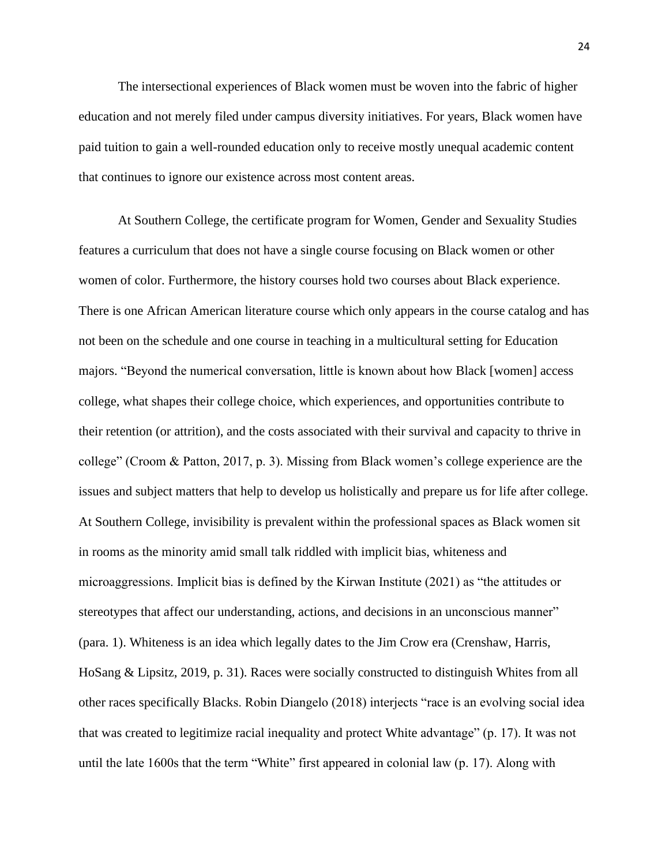The intersectional experiences of Black women must be woven into the fabric of higher education and not merely filed under campus diversity initiatives. For years, Black women have paid tuition to gain a well-rounded education only to receive mostly unequal academic content that continues to ignore our existence across most content areas.

At Southern College, the certificate program for Women, Gender and Sexuality Studies features a curriculum that does not have a single course focusing on Black women or other women of color. Furthermore, the history courses hold two courses about Black experience. There is one African American literature course which only appears in the course catalog and has not been on the schedule and one course in teaching in a multicultural setting for Education majors. "Beyond the numerical conversation, little is known about how Black [women] access college, what shapes their college choice, which experiences, and opportunities contribute to their retention (or attrition), and the costs associated with their survival and capacity to thrive in college" (Croom & Patton, 2017, p. 3). Missing from Black women's college experience are the issues and subject matters that help to develop us holistically and prepare us for life after college. At Southern College, invisibility is prevalent within the professional spaces as Black women sit in rooms as the minority amid small talk riddled with implicit bias, whiteness and microaggressions. Implicit bias is defined by the Kirwan Institute (2021) as "the attitudes or stereotypes that affect our understanding, actions, and decisions in an unconscious manner" (para. 1). Whiteness is an idea which legally dates to the Jim Crow era (Crenshaw, Harris, HoSang & Lipsitz, 2019, p. 31). Races were socially constructed to distinguish Whites from all other races specifically Blacks. Robin Diangelo (2018) interjects "race is an evolving social idea that was created to legitimize racial inequality and protect White advantage" (p. 17). It was not until the late 1600s that the term "White" first appeared in colonial law (p. 17). Along with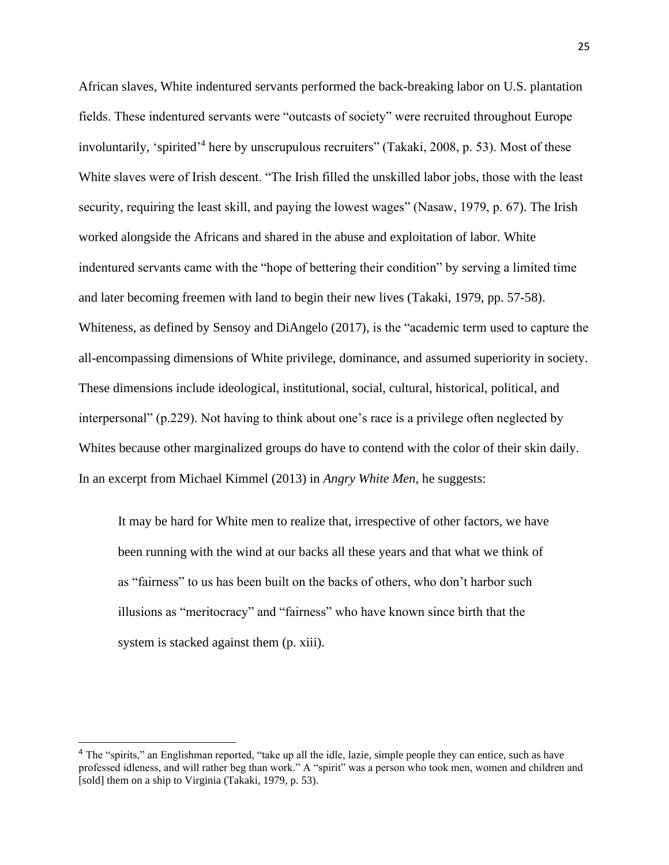African slaves, White indentured servants performed the back-breaking labor on U.S. plantation fields. These indentured servants were "outcasts of society" were recruited throughout Europe involuntarily, 'spirited' 4 here by unscrupulous recruiters" (Takaki, 2008, p. 53). Most of these White slaves were of Irish descent. "The Irish filled the unskilled labor jobs, those with the least security, requiring the least skill, and paying the lowest wages" (Nasaw, 1979, p. 67). The Irish worked alongside the Africans and shared in the abuse and exploitation of labor. White indentured servants came with the "hope of bettering their condition" by serving a limited time and later becoming freemen with land to begin their new lives (Takaki, 1979, pp. 57-58). Whiteness, as defined by Sensoy and DiAngelo (2017), is the "academic term used to capture the all-encompassing dimensions of White privilege, dominance, and assumed superiority in society. These dimensions include ideological, institutional, social, cultural, historical, political, and interpersonal" (p.229). Not having to think about one's race is a privilege often neglected by Whites because other marginalized groups do have to contend with the color of their skin daily. In an excerpt from Michael Kimmel (2013) in *Angry White Men*, he suggests:

It may be hard for White men to realize that, irrespective of other factors, we have been running with the wind at our backs all these years and that what we think of as "fairness" to us has been built on the backs of others, who don't harbor such illusions as "meritocracy" and "fairness" who have known since birth that the system is stacked against them (p. xiii).

<sup>&</sup>lt;sup>4</sup> The "spirits," an Englishman reported, "take up all the idle, lazie, simple people they can entice, such as have professed idleness, and will rather beg than work." A "spirit" was a person who took men, women and children and [sold] them on a ship to Virginia (Takaki, 1979, p. 53).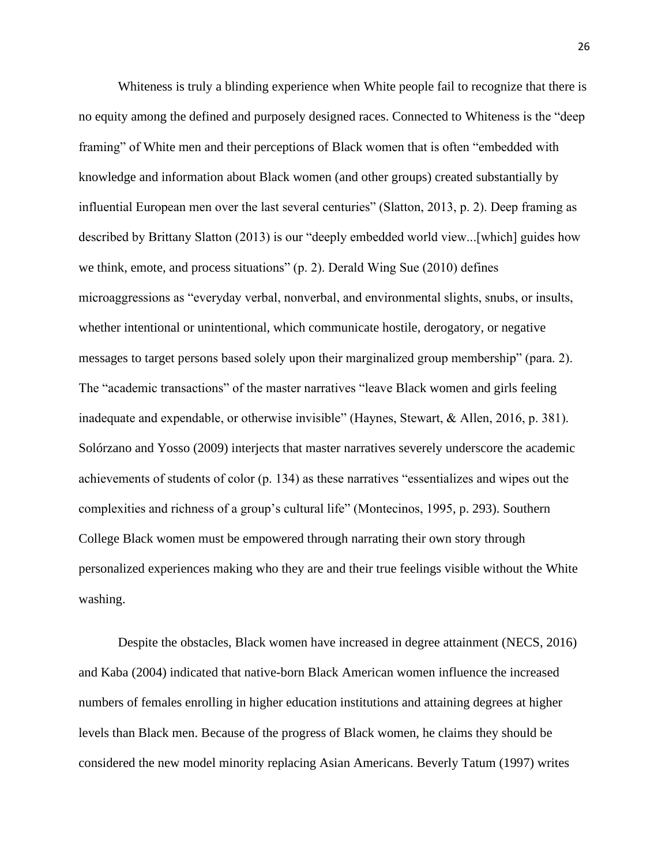Whiteness is truly a blinding experience when White people fail to recognize that there is no equity among the defined and purposely designed races. Connected to Whiteness is the "deep framing" of White men and their perceptions of Black women that is often "embedded with knowledge and information about Black women (and other groups) created substantially by influential European men over the last several centuries" (Slatton, 2013, p. 2). Deep framing as described by Brittany Slatton (2013) is our "deeply embedded world view...[which] guides how we think, emote, and process situations" (p. 2). Derald Wing Sue (2010) defines microaggressions as "everyday verbal, nonverbal, and environmental slights, snubs, or insults, whether intentional or unintentional, which communicate hostile, derogatory, or negative messages to target persons based solely upon their marginalized group membership" (para. 2). The "academic transactions" of the master narratives "leave Black women and girls feeling inadequate and expendable, or otherwise invisible" (Haynes, Stewart, & Allen, 2016, p. 381). Solórzano and Yosso (2009) interjects that master narratives severely underscore the academic achievements of students of color (p. 134) as these narratives "essentializes and wipes out the complexities and richness of a group's cultural life" (Montecinos, 1995, p. 293). Southern College Black women must be empowered through narrating their own story through personalized experiences making who they are and their true feelings visible without the White washing.

Despite the obstacles, Black women have increased in degree attainment (NECS, 2016) and Kaba (2004) indicated that native-born Black American women influence the increased numbers of females enrolling in higher education institutions and attaining degrees at higher levels than Black men. Because of the progress of Black women, he claims they should be considered the new model minority replacing Asian Americans. Beverly Tatum (1997) writes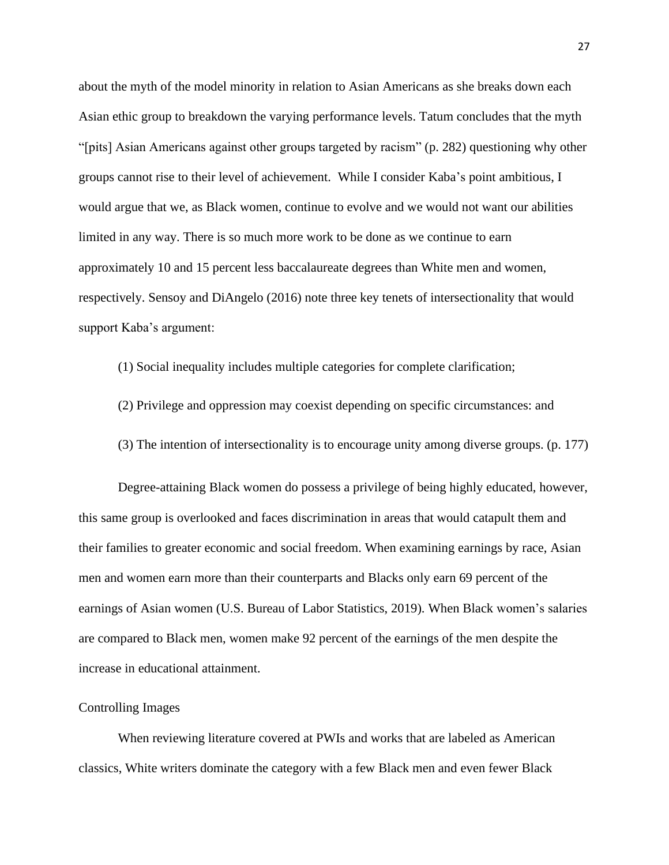about the myth of the model minority in relation to Asian Americans as she breaks down each Asian ethic group to breakdown the varying performance levels. Tatum concludes that the myth "[pits] Asian Americans against other groups targeted by racism" (p. 282) questioning why other groups cannot rise to their level of achievement. While I consider Kaba's point ambitious, I would argue that we, as Black women, continue to evolve and we would not want our abilities limited in any way. There is so much more work to be done as we continue to earn approximately 10 and 15 percent less baccalaureate degrees than White men and women, respectively. Sensoy and DiAngelo (2016) note three key tenets of intersectionality that would support Kaba's argument:

(1) Social inequality includes multiple categories for complete clarification;

- (2) Privilege and oppression may coexist depending on specific circumstances: and
- (3) The intention of intersectionality is to encourage unity among diverse groups. (p. 177)

Degree-attaining Black women do possess a privilege of being highly educated, however, this same group is overlooked and faces discrimination in areas that would catapult them and their families to greater economic and social freedom. When examining earnings by race, Asian men and women earn more than their counterparts and Blacks only earn 69 percent of the earnings of Asian women (U.S. Bureau of Labor Statistics, 2019). When Black women's salaries are compared to Black men, women make 92 percent of the earnings of the men despite the increase in educational attainment.

#### Controlling Images

 When reviewing literature covered at PWIs and works that are labeled as American classics, White writers dominate the category with a few Black men and even fewer Black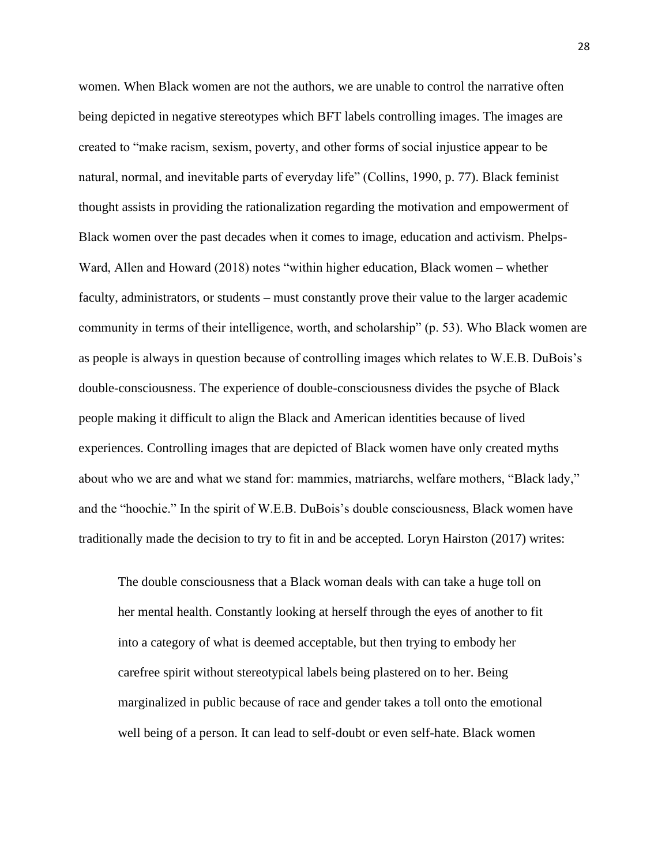women. When Black women are not the authors, we are unable to control the narrative often being depicted in negative stereotypes which BFT labels controlling images. The images are created to "make racism, sexism, poverty, and other forms of social injustice appear to be natural, normal, and inevitable parts of everyday life" (Collins, 1990, p. 77). Black feminist thought assists in providing the rationalization regarding the motivation and empowerment of Black women over the past decades when it comes to image, education and activism. Phelps-Ward, Allen and Howard (2018) notes "within higher education, Black women – whether faculty, administrators, or students – must constantly prove their value to the larger academic community in terms of their intelligence, worth, and scholarship" (p. 53). Who Black women are as people is always in question because of controlling images which relates to W.E.B. DuBois's double-consciousness. The experience of double-consciousness divides the psyche of Black people making it difficult to align the Black and American identities because of lived experiences. Controlling images that are depicted of Black women have only created myths about who we are and what we stand for: mammies, matriarchs, welfare mothers, "Black lady," and the "hoochie." In the spirit of W.E.B. DuBois's double consciousness, Black women have traditionally made the decision to try to fit in and be accepted. Loryn Hairston (2017) writes:

The double consciousness that a Black woman deals with can take a huge toll on her mental health. Constantly looking at herself through the eyes of another to fit into a category of what is deemed acceptable, but then trying to embody her carefree spirit without stereotypical labels being plastered on to her. Being marginalized in public because of race and gender takes a toll onto the emotional well being of a person. It can lead to self-doubt or even self-hate. Black women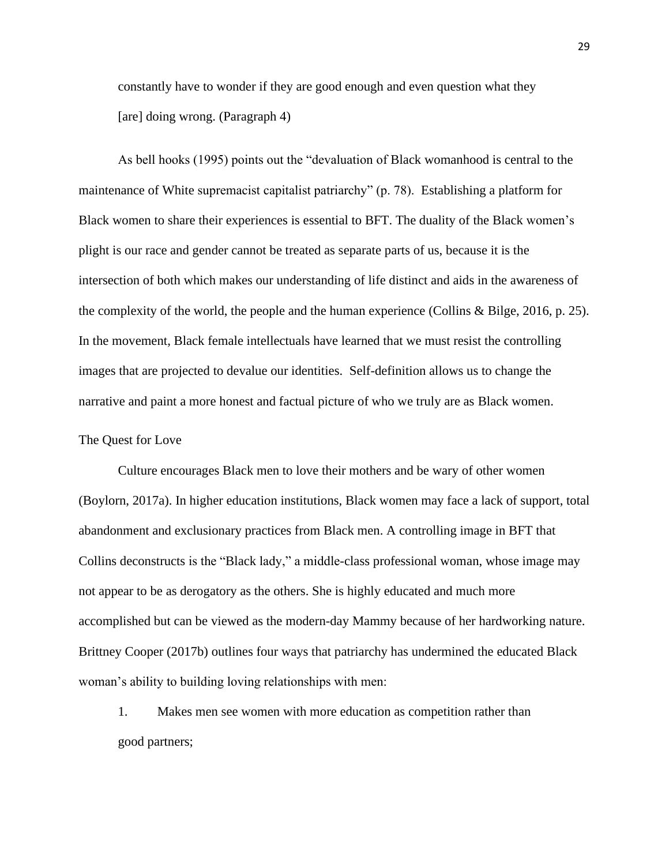constantly have to wonder if they are good enough and even question what they [are] doing wrong. (Paragraph 4)

As bell hooks (1995) points out the "devaluation of Black womanhood is central to the maintenance of White supremacist capitalist patriarchy" (p. 78). Establishing a platform for Black women to share their experiences is essential to BFT. The duality of the Black women's plight is our race and gender cannot be treated as separate parts of us, because it is the intersection of both which makes our understanding of life distinct and aids in the awareness of the complexity of the world, the people and the human experience (Collins & Bilge, 2016, p. 25). In the movement, Black female intellectuals have learned that we must resist the controlling images that are projected to devalue our identities. Self-definition allows us to change the narrative and paint a more honest and factual picture of who we truly are as Black women.

#### The Quest for Love

 Culture encourages Black men to love their mothers and be wary of other women (Boylorn, 2017a). In higher education institutions, Black women may face a lack of support, total abandonment and exclusionary practices from Black men. A controlling image in BFT that Collins deconstructs is the "Black lady," a middle-class professional woman, whose image may not appear to be as derogatory as the others. She is highly educated and much more accomplished but can be viewed as the modern-day Mammy because of her hardworking nature. Brittney Cooper (2017b) outlines four ways that patriarchy has undermined the educated Black woman's ability to building loving relationships with men:

1. Makes men see women with more education as competition rather than good partners;

29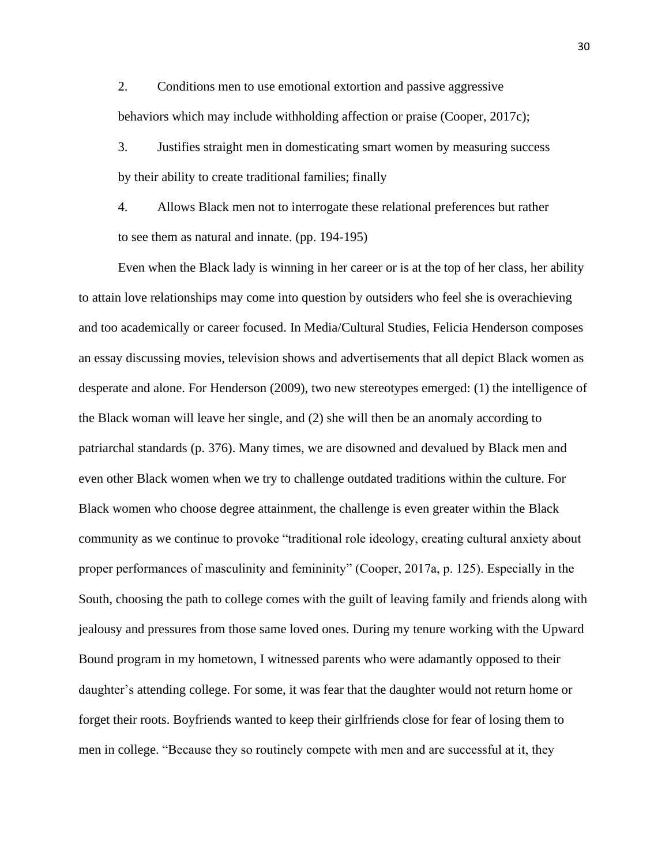2. Conditions men to use emotional extortion and passive aggressive behaviors which may include withholding affection or praise (Cooper, 2017c);

3. Justifies straight men in domesticating smart women by measuring success by their ability to create traditional families; finally

4. Allows Black men not to interrogate these relational preferences but rather to see them as natural and innate. (pp. 194-195)

Even when the Black lady is winning in her career or is at the top of her class, her ability to attain love relationships may come into question by outsiders who feel she is overachieving and too academically or career focused. In Media/Cultural Studies, Felicia Henderson composes an essay discussing movies, television shows and advertisements that all depict Black women as desperate and alone. For Henderson (2009), two new stereotypes emerged: (1) the intelligence of the Black woman will leave her single, and (2) she will then be an anomaly according to patriarchal standards (p. 376). Many times, we are disowned and devalued by Black men and even other Black women when we try to challenge outdated traditions within the culture. For Black women who choose degree attainment, the challenge is even greater within the Black community as we continue to provoke "traditional role ideology, creating cultural anxiety about proper performances of masculinity and femininity" (Cooper, 2017a, p. 125). Especially in the South, choosing the path to college comes with the guilt of leaving family and friends along with jealousy and pressures from those same loved ones. During my tenure working with the Upward Bound program in my hometown, I witnessed parents who were adamantly opposed to their daughter's attending college. For some, it was fear that the daughter would not return home or forget their roots. Boyfriends wanted to keep their girlfriends close for fear of losing them to men in college. "Because they so routinely compete with men and are successful at it, they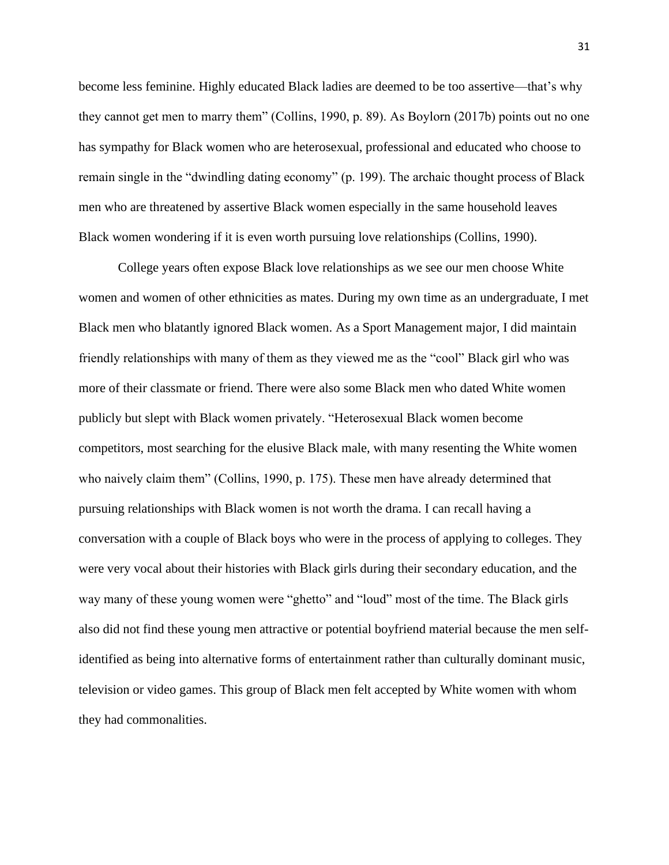become less feminine. Highly educated Black ladies are deemed to be too assertive—that's why they cannot get men to marry them" (Collins, 1990, p. 89). As Boylorn (2017b) points out no one has sympathy for Black women who are heterosexual, professional and educated who choose to remain single in the "dwindling dating economy" (p. 199). The archaic thought process of Black men who are threatened by assertive Black women especially in the same household leaves Black women wondering if it is even worth pursuing love relationships (Collins, 1990).

College years often expose Black love relationships as we see our men choose White women and women of other ethnicities as mates. During my own time as an undergraduate, I met Black men who blatantly ignored Black women. As a Sport Management major, I did maintain friendly relationships with many of them as they viewed me as the "cool" Black girl who was more of their classmate or friend. There were also some Black men who dated White women publicly but slept with Black women privately. "Heterosexual Black women become competitors, most searching for the elusive Black male, with many resenting the White women who naively claim them" (Collins, 1990, p. 175). These men have already determined that pursuing relationships with Black women is not worth the drama. I can recall having a conversation with a couple of Black boys who were in the process of applying to colleges. They were very vocal about their histories with Black girls during their secondary education, and the way many of these young women were "ghetto" and "loud" most of the time. The Black girls also did not find these young men attractive or potential boyfriend material because the men selfidentified as being into alternative forms of entertainment rather than culturally dominant music, television or video games. This group of Black men felt accepted by White women with whom they had commonalities.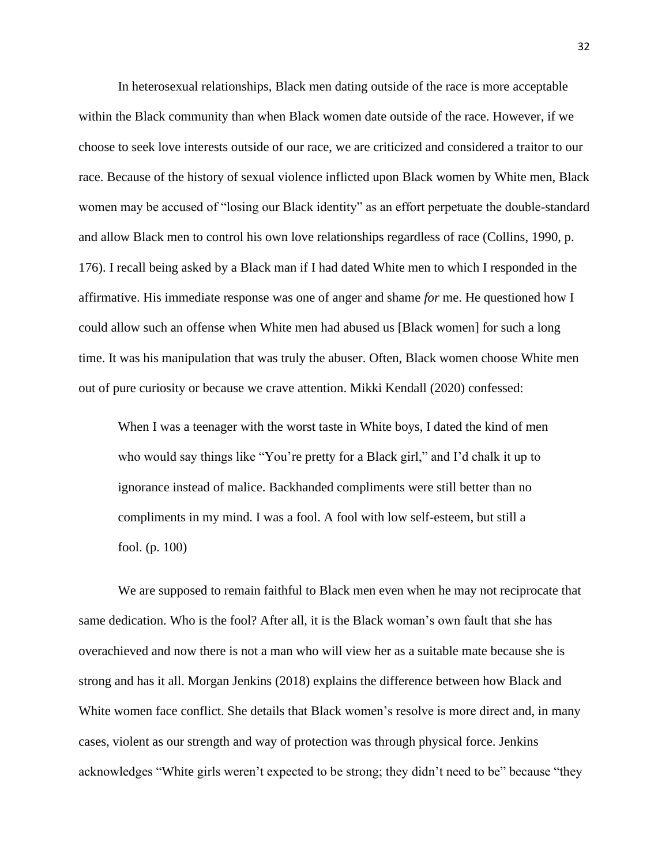In heterosexual relationships, Black men dating outside of the race is more acceptable within the Black community than when Black women date outside of the race. However, if we choose to seek love interests outside of our race, we are criticized and considered a traitor to our race. Because of the history of sexual violence inflicted upon Black women by White men, Black women may be accused of "losing our Black identity" as an effort perpetuate the double-standard and allow Black men to control his own love relationships regardless of race (Collins, 1990, p. 176). I recall being asked by a Black man if I had dated White men to which I responded in the affirmative. His immediate response was one of anger and shame *for* me. He questioned how I could allow such an offense when White men had abused us [Black women] for such a long time. It was his manipulation that was truly the abuser. Often, Black women choose White men out of pure curiosity or because we crave attention. Mikki Kendall (2020) confessed:

When I was a teenager with the worst taste in White boys, I dated the kind of men who would say things like "You're pretty for a Black girl," and I'd chalk it up to ignorance instead of malice. Backhanded compliments were still better than no compliments in my mind. I was a fool. A fool with low self-esteem, but still a fool. (p. 100)

We are supposed to remain faithful to Black men even when he may not reciprocate that same dedication. Who is the fool? After all, it is the Black woman's own fault that she has overachieved and now there is not a man who will view her as a suitable mate because she is strong and has it all. Morgan Jenkins (2018) explains the difference between how Black and White women face conflict. She details that Black women's resolve is more direct and, in many cases, violent as our strength and way of protection was through physical force. Jenkins acknowledges "White girls weren't expected to be strong; they didn't need to be" because "they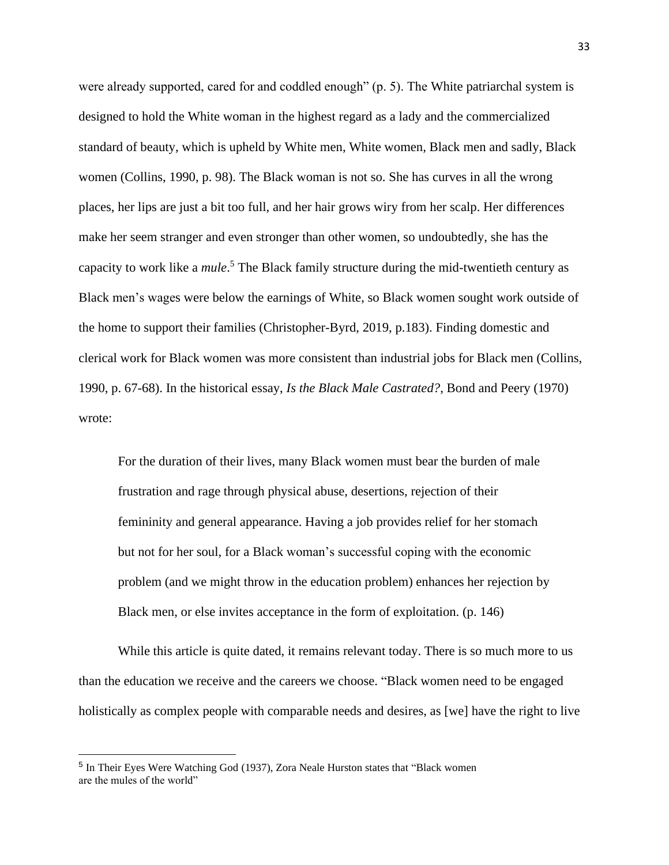were already supported, cared for and coddled enough" (p. 5). The White patriarchal system is designed to hold the White woman in the highest regard as a lady and the commercialized standard of beauty, which is upheld by White men, White women, Black men and sadly, Black women (Collins, 1990, p. 98). The Black woman is not so. She has curves in all the wrong places, her lips are just a bit too full, and her hair grows wiry from her scalp. Her differences make her seem stranger and even stronger than other women, so undoubtedly, she has the capacity to work like a *mule*. <sup>5</sup> The Black family structure during the mid-twentieth century as Black men's wages were below the earnings of White, so Black women sought work outside of the home to support their families (Christopher-Byrd, 2019, p.183). Finding domestic and clerical work for Black women was more consistent than industrial jobs for Black men (Collins, 1990, p. 67-68). In the historical essay, *Is the Black Male Castrated?*, Bond and Peery (1970) wrote:

For the duration of their lives, many Black women must bear the burden of male frustration and rage through physical abuse, desertions, rejection of their femininity and general appearance. Having a job provides relief for her stomach but not for her soul, for a Black woman's successful coping with the economic problem (and we might throw in the education problem) enhances her rejection by Black men, or else invites acceptance in the form of exploitation. (p. 146)

While this article is quite dated, it remains relevant today. There is so much more to us than the education we receive and the careers we choose. "Black women need to be engaged holistically as complex people with comparable needs and desires, as [we] have the right to live

<sup>&</sup>lt;sup>5</sup> In Their Eyes Were Watching God (1937), Zora Neale Hurston states that "Black women are the mules of the world"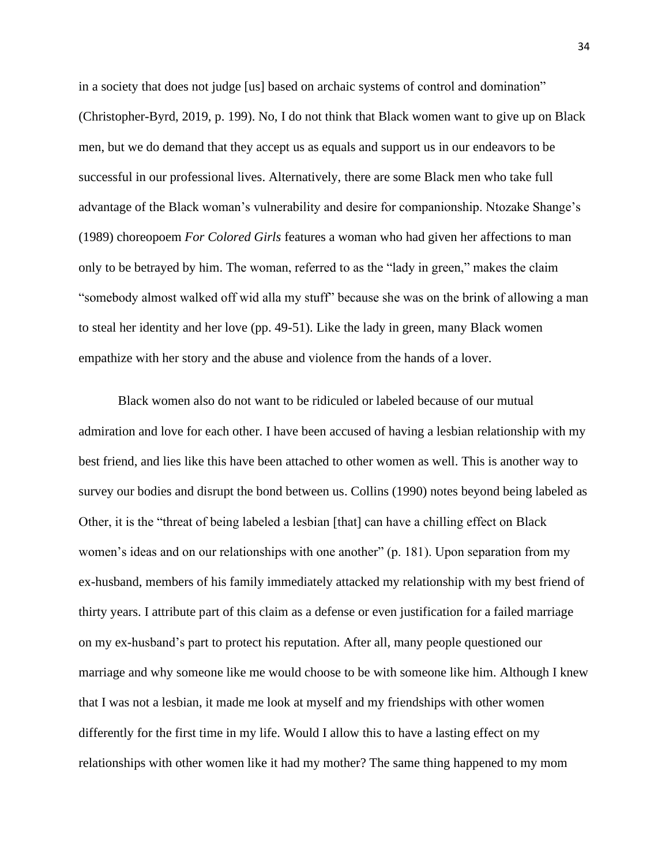in a society that does not judge [us] based on archaic systems of control and domination" (Christopher-Byrd, 2019, p. 199). No, I do not think that Black women want to give up on Black men, but we do demand that they accept us as equals and support us in our endeavors to be successful in our professional lives. Alternatively, there are some Black men who take full advantage of the Black woman's vulnerability and desire for companionship. Ntozake Shange's (1989) choreopoem *For Colored Girls* features a woman who had given her affections to man only to be betrayed by him. The woman, referred to as the "lady in green," makes the claim "somebody almost walked off wid alla my stuff" because she was on the brink of allowing a man to steal her identity and her love (pp. 49-51). Like the lady in green, many Black women empathize with her story and the abuse and violence from the hands of a lover.

Black women also do not want to be ridiculed or labeled because of our mutual admiration and love for each other. I have been accused of having a lesbian relationship with my best friend, and lies like this have been attached to other women as well. This is another way to survey our bodies and disrupt the bond between us. Collins (1990) notes beyond being labeled as Other, it is the "threat of being labeled a lesbian [that] can have a chilling effect on Black women's ideas and on our relationships with one another" (p. 181). Upon separation from my ex-husband, members of his family immediately attacked my relationship with my best friend of thirty years. I attribute part of this claim as a defense or even justification for a failed marriage on my ex-husband's part to protect his reputation. After all, many people questioned our marriage and why someone like me would choose to be with someone like him. Although I knew that I was not a lesbian, it made me look at myself and my friendships with other women differently for the first time in my life. Would I allow this to have a lasting effect on my relationships with other women like it had my mother? The same thing happened to my mom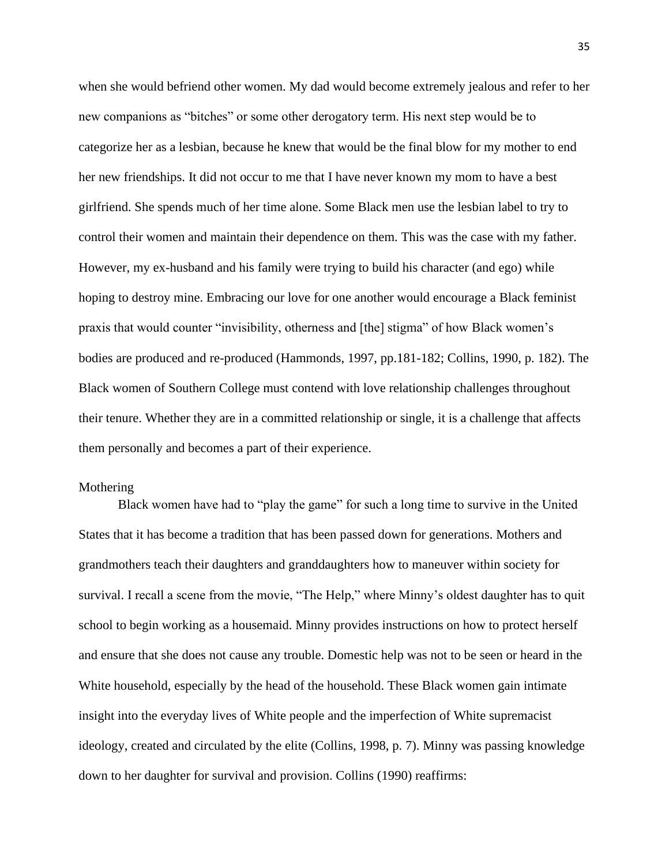when she would befriend other women. My dad would become extremely jealous and refer to her new companions as "bitches" or some other derogatory term. His next step would be to categorize her as a lesbian, because he knew that would be the final blow for my mother to end her new friendships. It did not occur to me that I have never known my mom to have a best girlfriend. She spends much of her time alone. Some Black men use the lesbian label to try to control their women and maintain their dependence on them. This was the case with my father. However, my ex-husband and his family were trying to build his character (and ego) while hoping to destroy mine. Embracing our love for one another would encourage a Black feminist praxis that would counter "invisibility, otherness and [the] stigma" of how Black women's bodies are produced and re-produced (Hammonds, 1997, pp.181-182; Collins, 1990, p. 182). The Black women of Southern College must contend with love relationship challenges throughout their tenure. Whether they are in a committed relationship or single, it is a challenge that affects them personally and becomes a part of their experience.

#### Mothering

Black women have had to "play the game" for such a long time to survive in the United States that it has become a tradition that has been passed down for generations. Mothers and grandmothers teach their daughters and granddaughters how to maneuver within society for survival. I recall a scene from the movie, "The Help," where Minny's oldest daughter has to quit school to begin working as a housemaid. Minny provides instructions on how to protect herself and ensure that she does not cause any trouble. Domestic help was not to be seen or heard in the White household, especially by the head of the household. These Black women gain intimate insight into the everyday lives of White people and the imperfection of White supremacist ideology, created and circulated by the elite (Collins, 1998, p. 7). Minny was passing knowledge down to her daughter for survival and provision. Collins (1990) reaffirms: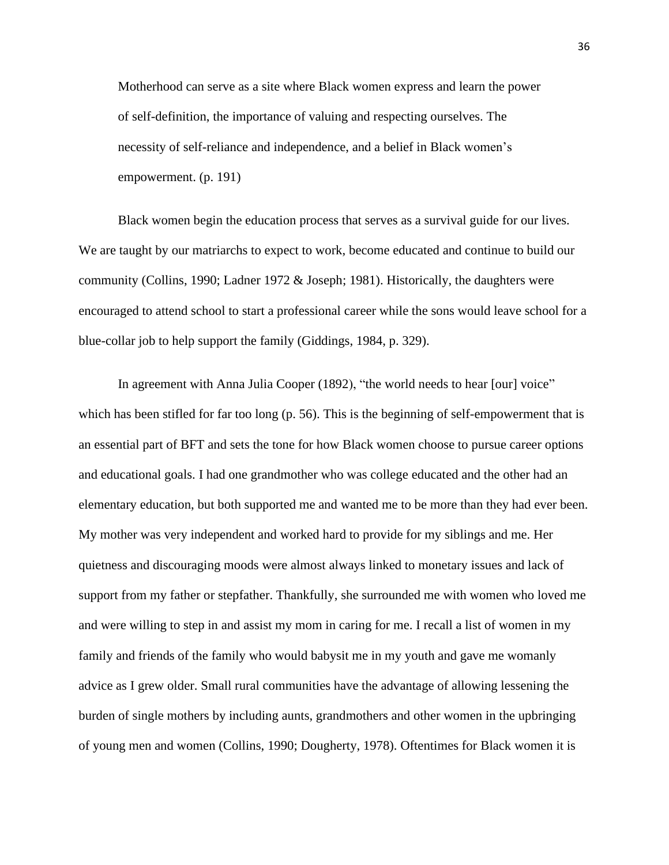Motherhood can serve as a site where Black women express and learn the power of self-definition, the importance of valuing and respecting ourselves. The necessity of self-reliance and independence, and a belief in Black women's empowerment. (p. 191)

Black women begin the education process that serves as a survival guide for our lives. We are taught by our matriarchs to expect to work, become educated and continue to build our community (Collins, 1990; Ladner 1972 & Joseph; 1981). Historically, the daughters were encouraged to attend school to start a professional career while the sons would leave school for a blue-collar job to help support the family (Giddings, 1984, p. 329).

In agreement with Anna Julia Cooper (1892), "the world needs to hear [our] voice" which has been stifled for far too long (p. 56). This is the beginning of self-empowerment that is an essential part of BFT and sets the tone for how Black women choose to pursue career options and educational goals. I had one grandmother who was college educated and the other had an elementary education, but both supported me and wanted me to be more than they had ever been. My mother was very independent and worked hard to provide for my siblings and me. Her quietness and discouraging moods were almost always linked to monetary issues and lack of support from my father or stepfather. Thankfully, she surrounded me with women who loved me and were willing to step in and assist my mom in caring for me. I recall a list of women in my family and friends of the family who would babysit me in my youth and gave me womanly advice as I grew older. Small rural communities have the advantage of allowing lessening the burden of single mothers by including aunts, grandmothers and other women in the upbringing of young men and women (Collins, 1990; Dougherty, 1978). Oftentimes for Black women it is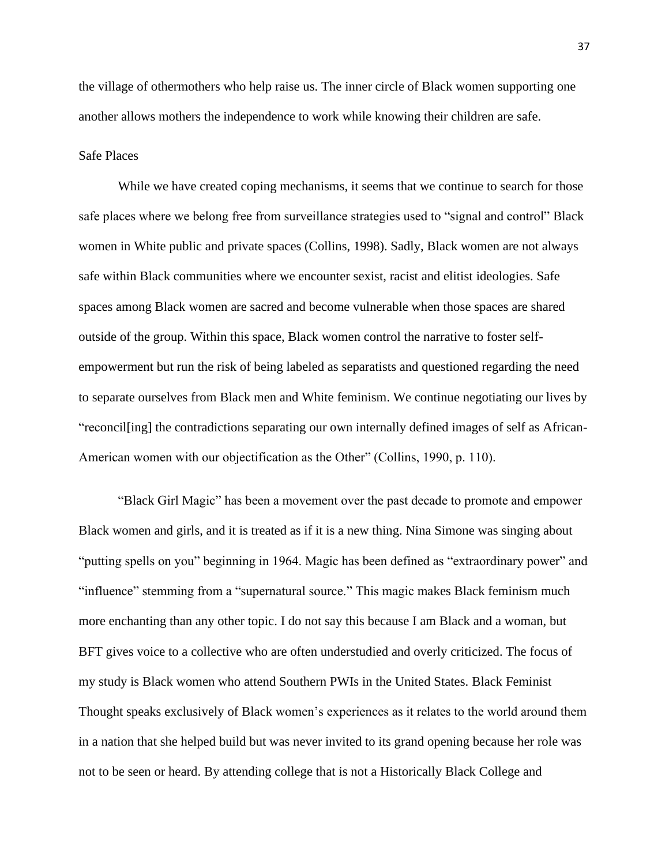the village of othermothers who help raise us. The inner circle of Black women supporting one another allows mothers the independence to work while knowing their children are safe.

## Safe Places

While we have created coping mechanisms, it seems that we continue to search for those safe places where we belong free from surveillance strategies used to "signal and control" Black women in White public and private spaces (Collins, 1998). Sadly, Black women are not always safe within Black communities where we encounter sexist, racist and elitist ideologies. Safe spaces among Black women are sacred and become vulnerable when those spaces are shared outside of the group. Within this space, Black women control the narrative to foster selfempowerment but run the risk of being labeled as separatists and questioned regarding the need to separate ourselves from Black men and White feminism. We continue negotiating our lives by "reconcil[ing] the contradictions separating our own internally defined images of self as African-American women with our objectification as the Other" (Collins, 1990, p. 110).

"Black Girl Magic" has been a movement over the past decade to promote and empower Black women and girls, and it is treated as if it is a new thing. Nina Simone was singing about "putting spells on you" beginning in 1964. Magic has been defined as "extraordinary power" and "influence" stemming from a "supernatural source." This magic makes Black feminism much more enchanting than any other topic. I do not say this because I am Black and a woman, but BFT gives voice to a collective who are often understudied and overly criticized. The focus of my study is Black women who attend Southern PWIs in the United States. Black Feminist Thought speaks exclusively of Black women's experiences as it relates to the world around them in a nation that she helped build but was never invited to its grand opening because her role was not to be seen or heard. By attending college that is not a Historically Black College and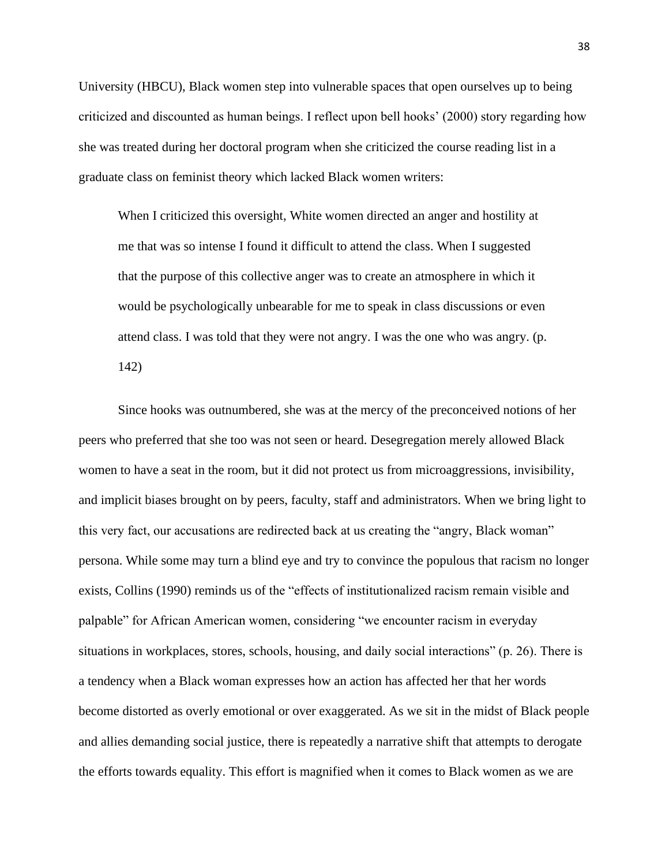University (HBCU), Black women step into vulnerable spaces that open ourselves up to being criticized and discounted as human beings. I reflect upon bell hooks' (2000) story regarding how she was treated during her doctoral program when she criticized the course reading list in a graduate class on feminist theory which lacked Black women writers:

When I criticized this oversight, White women directed an anger and hostility at me that was so intense I found it difficult to attend the class. When I suggested that the purpose of this collective anger was to create an atmosphere in which it would be psychologically unbearable for me to speak in class discussions or even attend class. I was told that they were not angry. I was the one who was angry. (p. 142)

Since hooks was outnumbered, she was at the mercy of the preconceived notions of her peers who preferred that she too was not seen or heard. Desegregation merely allowed Black women to have a seat in the room, but it did not protect us from microaggressions, invisibility, and implicit biases brought on by peers, faculty, staff and administrators. When we bring light to this very fact, our accusations are redirected back at us creating the "angry, Black woman" persona. While some may turn a blind eye and try to convince the populous that racism no longer exists, Collins (1990) reminds us of the "effects of institutionalized racism remain visible and palpable" for African American women, considering "we encounter racism in everyday situations in workplaces, stores, schools, housing, and daily social interactions" (p. 26). There is a tendency when a Black woman expresses how an action has affected her that her words become distorted as overly emotional or over exaggerated. As we sit in the midst of Black people and allies demanding social justice, there is repeatedly a narrative shift that attempts to derogate the efforts towards equality. This effort is magnified when it comes to Black women as we are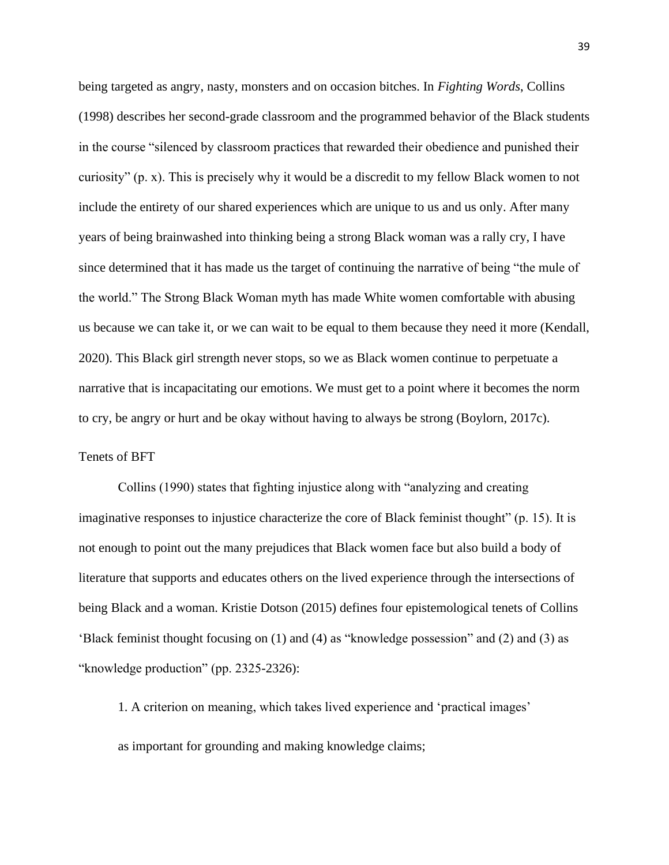being targeted as angry, nasty, monsters and on occasion bitches. In *Fighting Words*, Collins (1998) describes her second-grade classroom and the programmed behavior of the Black students in the course "silenced by classroom practices that rewarded their obedience and punished their curiosity" (p. x). This is precisely why it would be a discredit to my fellow Black women to not include the entirety of our shared experiences which are unique to us and us only. After many years of being brainwashed into thinking being a strong Black woman was a rally cry, I have since determined that it has made us the target of continuing the narrative of being "the mule of the world." The Strong Black Woman myth has made White women comfortable with abusing us because we can take it, or we can wait to be equal to them because they need it more (Kendall, 2020). This Black girl strength never stops, so we as Black women continue to perpetuate a narrative that is incapacitating our emotions. We must get to a point where it becomes the norm to cry, be angry or hurt and be okay without having to always be strong (Boylorn, 2017c).

## Tenets of BFT

Collins (1990) states that fighting injustice along with "analyzing and creating imaginative responses to injustice characterize the core of Black feminist thought" (p. 15). It is not enough to point out the many prejudices that Black women face but also build a body of literature that supports and educates others on the lived experience through the intersections of being Black and a woman. Kristie Dotson (2015) defines four epistemological tenets of Collins 'Black feminist thought focusing on (1) and (4) as "knowledge possession" and (2) and (3) as "knowledge production" (pp. 2325-2326):

1. A criterion on meaning, which takes lived experience and 'practical images' as important for grounding and making knowledge claims;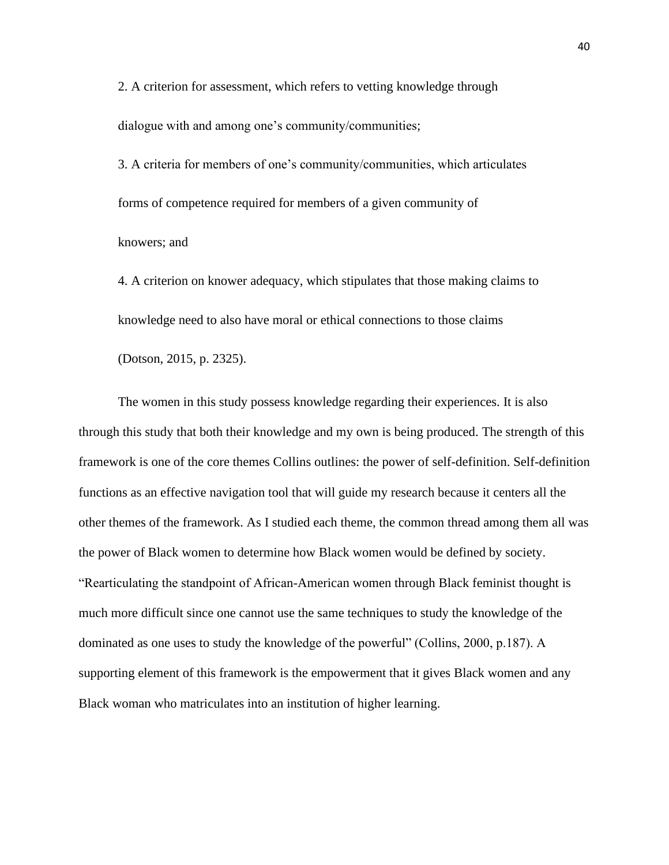2. A criterion for assessment, which refers to vetting knowledge through dialogue with and among one's community/communities;

3. A criteria for members of one's community/communities, which articulates forms of competence required for members of a given community of knowers; and

4. A criterion on knower adequacy, which stipulates that those making claims to knowledge need to also have moral or ethical connections to those claims (Dotson, 2015, p. 2325).

The women in this study possess knowledge regarding their experiences. It is also through this study that both their knowledge and my own is being produced. The strength of this framework is one of the core themes Collins outlines: the power of self-definition. Self-definition functions as an effective navigation tool that will guide my research because it centers all the other themes of the framework. As I studied each theme, the common thread among them all was the power of Black women to determine how Black women would be defined by society. "Rearticulating the standpoint of African-American women through Black feminist thought is much more difficult since one cannot use the same techniques to study the knowledge of the dominated as one uses to study the knowledge of the powerful" (Collins, 2000, p.187). A supporting element of this framework is the empowerment that it gives Black women and any Black woman who matriculates into an institution of higher learning.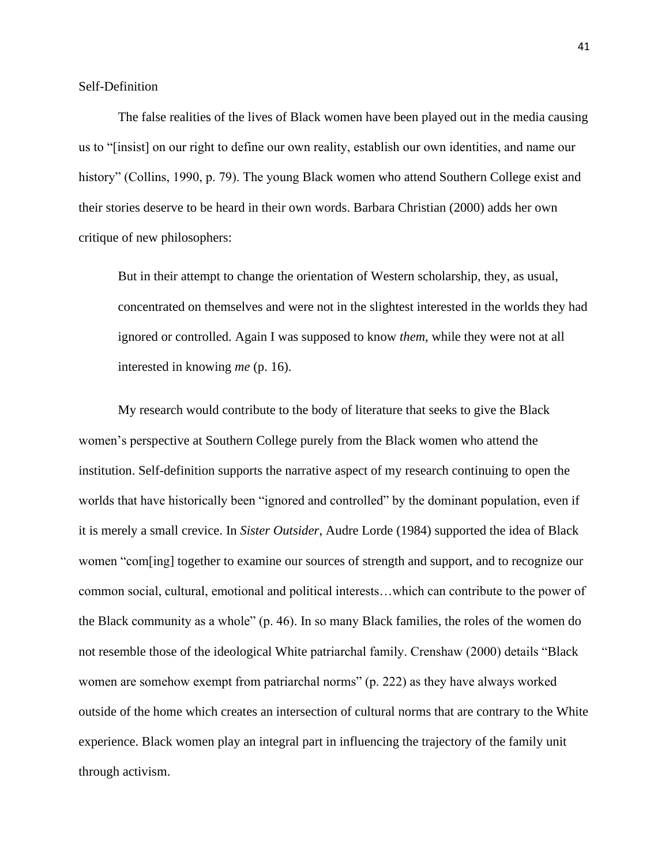The false realities of the lives of Black women have been played out in the media causing us to "[insist] on our right to define our own reality, establish our own identities, and name our history" (Collins, 1990, p. 79). The young Black women who attend Southern College exist and their stories deserve to be heard in their own words. Barbara Christian (2000) adds her own critique of new philosophers:

But in their attempt to change the orientation of Western scholarship, they, as usual, concentrated on themselves and were not in the slightest interested in the worlds they had ignored or controlled. Again I was supposed to know *them*, while they were not at all interested in knowing *me* (p. 16).

My research would contribute to the body of literature that seeks to give the Black women's perspective at Southern College purely from the Black women who attend the institution. Self-definition supports the narrative aspect of my research continuing to open the worlds that have historically been "ignored and controlled" by the dominant population, even if it is merely a small crevice. In *Sister Outsider*, Audre Lorde (1984) supported the idea of Black women "com[ing] together to examine our sources of strength and support, and to recognize our common social, cultural, emotional and political interests…which can contribute to the power of the Black community as a whole" (p. 46). In so many Black families, the roles of the women do not resemble those of the ideological White patriarchal family. Crenshaw (2000) details "Black women are somehow exempt from patriarchal norms" (p. 222) as they have always worked outside of the home which creates an intersection of cultural norms that are contrary to the White experience. Black women play an integral part in influencing the trajectory of the family unit through activism.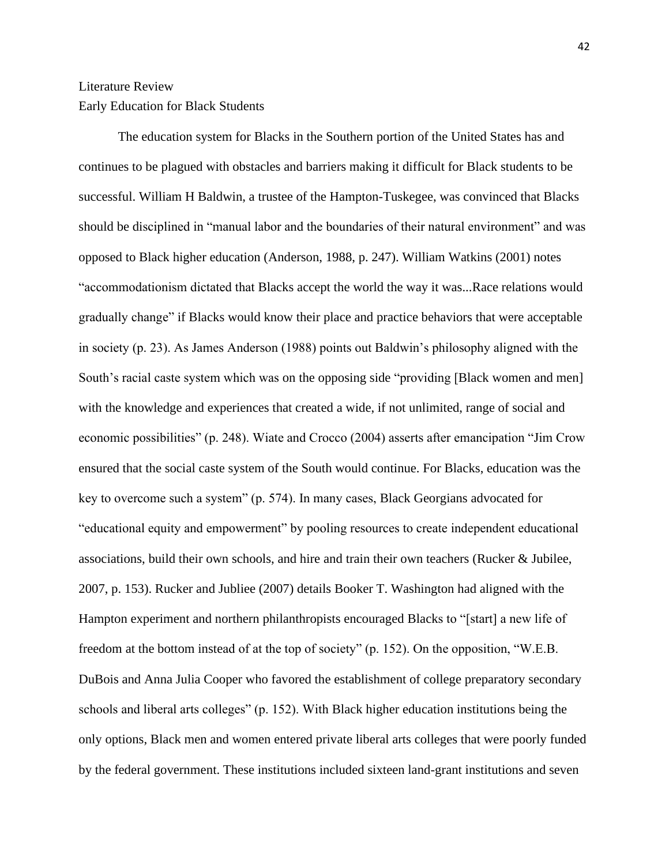## Literature Review Early Education for Black Students

The education system for Blacks in the Southern portion of the United States has and continues to be plagued with obstacles and barriers making it difficult for Black students to be successful. William H Baldwin, a trustee of the Hampton-Tuskegee, was convinced that Blacks should be disciplined in "manual labor and the boundaries of their natural environment" and was opposed to Black higher education (Anderson, 1988, p. 247). William Watkins (2001) notes "accommodationism dictated that Blacks accept the world the way it was...Race relations would gradually change" if Blacks would know their place and practice behaviors that were acceptable in society (p. 23). As James Anderson (1988) points out Baldwin's philosophy aligned with the South's racial caste system which was on the opposing side "providing [Black women and men] with the knowledge and experiences that created a wide, if not unlimited, range of social and economic possibilities" (p. 248). Wiate and Crocco (2004) asserts after emancipation "Jim Crow ensured that the social caste system of the South would continue. For Blacks, education was the key to overcome such a system" (p. 574). In many cases, Black Georgians advocated for "educational equity and empowerment" by pooling resources to create independent educational associations, build their own schools, and hire and train their own teachers (Rucker & Jubilee, 2007, p. 153). Rucker and Jubliee (2007) details Booker T. Washington had aligned with the Hampton experiment and northern philanthropists encouraged Blacks to "[start] a new life of freedom at the bottom instead of at the top of society" (p. 152). On the opposition, "W.E.B. DuBois and Anna Julia Cooper who favored the establishment of college preparatory secondary schools and liberal arts colleges" (p. 152). With Black higher education institutions being the only options, Black men and women entered private liberal arts colleges that were poorly funded by the federal government. These institutions included sixteen land-grant institutions and seven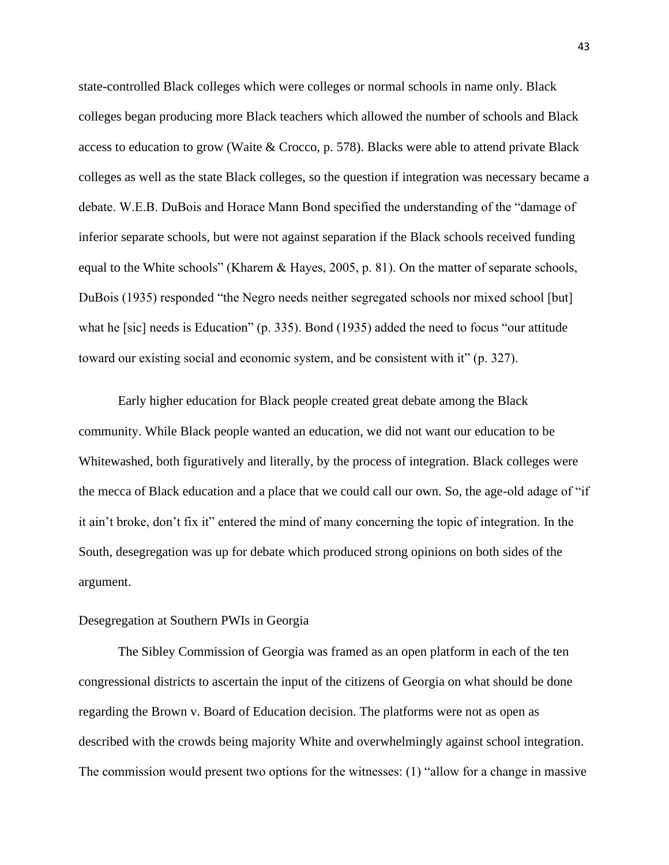state-controlled Black colleges which were colleges or normal schools in name only. Black colleges began producing more Black teachers which allowed the number of schools and Black access to education to grow (Waite & Crocco, p. 578). Blacks were able to attend private Black colleges as well as the state Black colleges, so the question if integration was necessary became a debate. W.E.B. DuBois and Horace Mann Bond specified the understanding of the "damage of inferior separate schools, but were not against separation if the Black schools received funding equal to the White schools" (Kharem & Hayes, 2005, p. 81). On the matter of separate schools, DuBois (1935) responded "the Negro needs neither segregated schools nor mixed school [but] what he [sic] needs is Education" (p. 335). Bond (1935) added the need to focus "our attitude toward our existing social and economic system, and be consistent with it" (p. 327).

Early higher education for Black people created great debate among the Black community. While Black people wanted an education, we did not want our education to be Whitewashed, both figuratively and literally, by the process of integration. Black colleges were the mecca of Black education and a place that we could call our own. So, the age-old adage of "if it ain't broke, don't fix it" entered the mind of many concerning the topic of integration. In the South, desegregation was up for debate which produced strong opinions on both sides of the argument.

## Desegregation at Southern PWIs in Georgia

The Sibley Commission of Georgia was framed as an open platform in each of the ten congressional districts to ascertain the input of the citizens of Georgia on what should be done regarding the Brown v. Board of Education decision. The platforms were not as open as described with the crowds being majority White and overwhelmingly against school integration. The commission would present two options for the witnesses: (1) "allow for a change in massive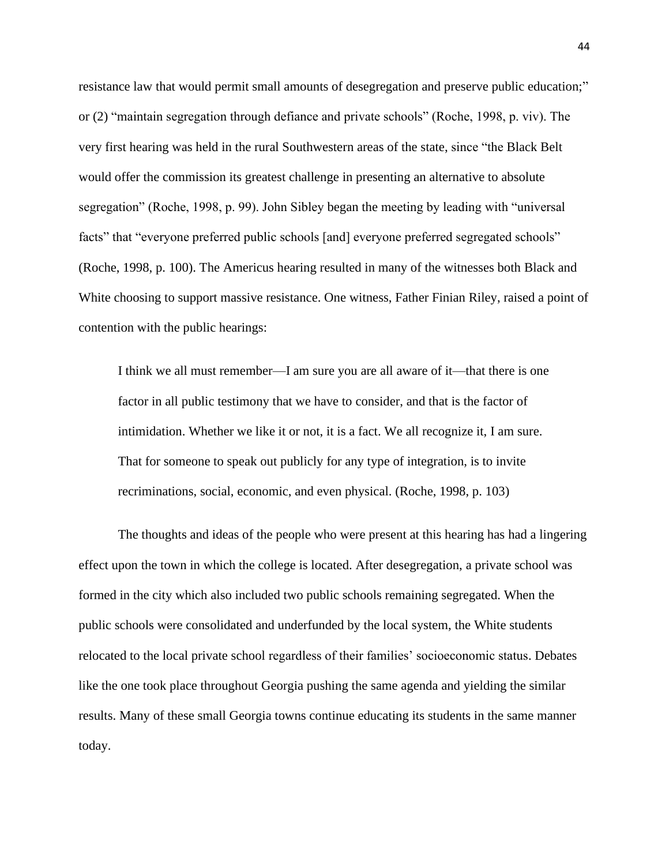resistance law that would permit small amounts of desegregation and preserve public education;" or (2) "maintain segregation through defiance and private schools" (Roche, 1998, p. viv). The very first hearing was held in the rural Southwestern areas of the state, since "the Black Belt would offer the commission its greatest challenge in presenting an alternative to absolute segregation" (Roche, 1998, p. 99). John Sibley began the meeting by leading with "universal facts" that "everyone preferred public schools [and] everyone preferred segregated schools" (Roche, 1998, p. 100). The Americus hearing resulted in many of the witnesses both Black and White choosing to support massive resistance. One witness, Father Finian Riley, raised a point of contention with the public hearings:

I think we all must remember—I am sure you are all aware of it—that there is one factor in all public testimony that we have to consider, and that is the factor of intimidation. Whether we like it or not, it is a fact. We all recognize it, I am sure. That for someone to speak out publicly for any type of integration, is to invite recriminations, social, economic, and even physical. (Roche, 1998, p. 103)

The thoughts and ideas of the people who were present at this hearing has had a lingering effect upon the town in which the college is located. After desegregation, a private school was formed in the city which also included two public schools remaining segregated. When the public schools were consolidated and underfunded by the local system, the White students relocated to the local private school regardless of their families' socioeconomic status. Debates like the one took place throughout Georgia pushing the same agenda and yielding the similar results. Many of these small Georgia towns continue educating its students in the same manner today.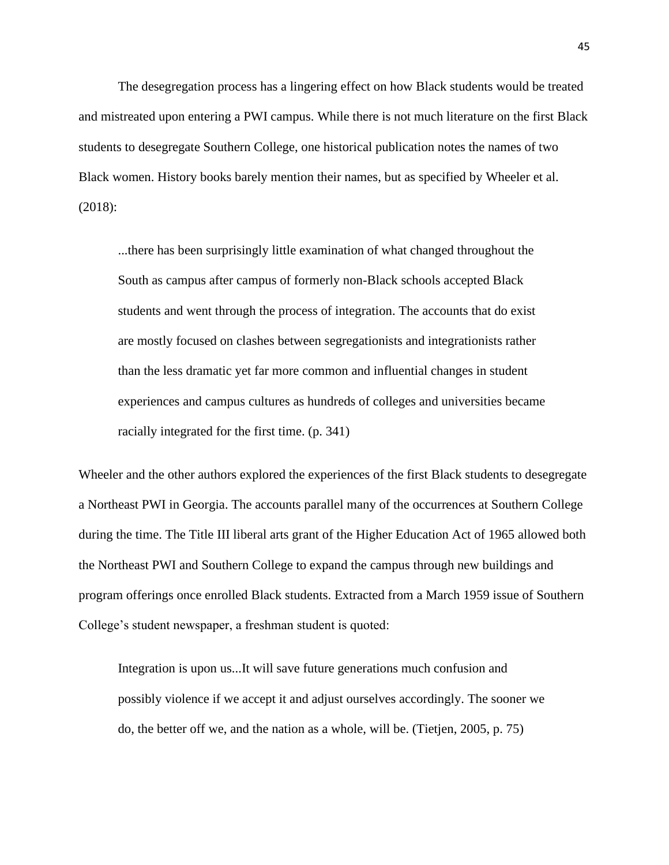The desegregation process has a lingering effect on how Black students would be treated and mistreated upon entering a PWI campus. While there is not much literature on the first Black students to desegregate Southern College, one historical publication notes the names of two Black women. History books barely mention their names, but as specified by Wheeler et al. (2018):

...there has been surprisingly little examination of what changed throughout the South as campus after campus of formerly non-Black schools accepted Black students and went through the process of integration. The accounts that do exist are mostly focused on clashes between segregationists and integrationists rather than the less dramatic yet far more common and influential changes in student experiences and campus cultures as hundreds of colleges and universities became racially integrated for the first time. (p. 341)

Wheeler and the other authors explored the experiences of the first Black students to desegregate a Northeast PWI in Georgia. The accounts parallel many of the occurrences at Southern College during the time. The Title III liberal arts grant of the Higher Education Act of 1965 allowed both the Northeast PWI and Southern College to expand the campus through new buildings and program offerings once enrolled Black students. Extracted from a March 1959 issue of Southern College's student newspaper, a freshman student is quoted:

Integration is upon us...It will save future generations much confusion and possibly violence if we accept it and adjust ourselves accordingly. The sooner we do, the better off we, and the nation as a whole, will be. (Tietjen, 2005, p. 75)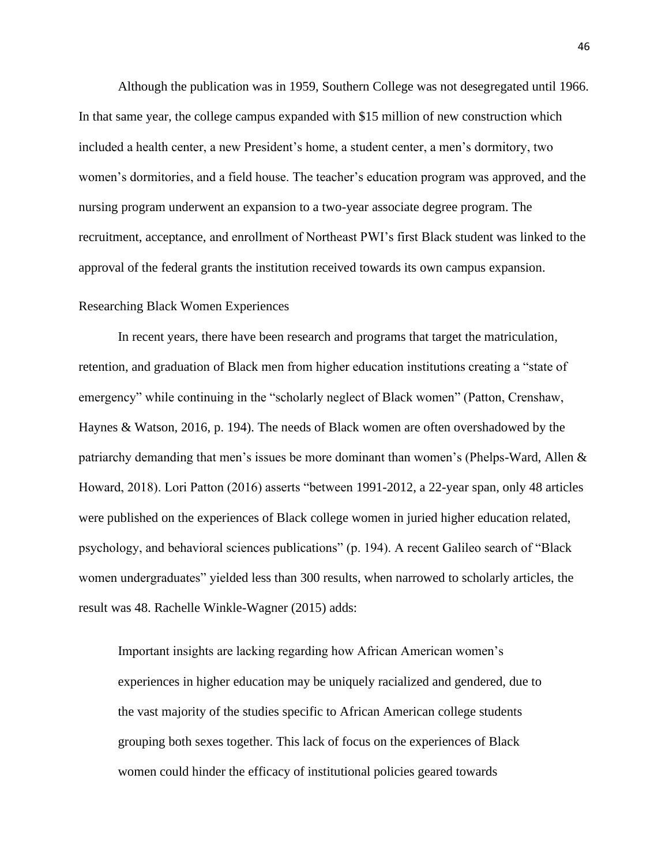Although the publication was in 1959, Southern College was not desegregated until 1966. In that same year, the college campus expanded with \$15 million of new construction which included a health center, a new President's home, a student center, a men's dormitory, two women's dormitories, and a field house. The teacher's education program was approved, and the nursing program underwent an expansion to a two-year associate degree program. The recruitment, acceptance, and enrollment of Northeast PWI's first Black student was linked to the approval of the federal grants the institution received towards its own campus expansion.

## Researching Black Women Experiences

In recent years, there have been research and programs that target the matriculation, retention, and graduation of Black men from higher education institutions creating a "state of emergency" while continuing in the "scholarly neglect of Black women" (Patton, Crenshaw, Haynes & Watson, 2016, p. 194). The needs of Black women are often overshadowed by the patriarchy demanding that men's issues be more dominant than women's (Phelps-Ward, Allen & Howard, 2018). Lori Patton (2016) asserts "between 1991-2012, a 22-year span, only 48 articles were published on the experiences of Black college women in juried higher education related, psychology, and behavioral sciences publications" (p. 194). A recent Galileo search of "Black women undergraduates" yielded less than 300 results, when narrowed to scholarly articles, the result was 48. Rachelle Winkle-Wagner (2015) adds:

Important insights are lacking regarding how African American women's experiences in higher education may be uniquely racialized and gendered, due to the vast majority of the studies specific to African American college students grouping both sexes together. This lack of focus on the experiences of Black women could hinder the efficacy of institutional policies geared towards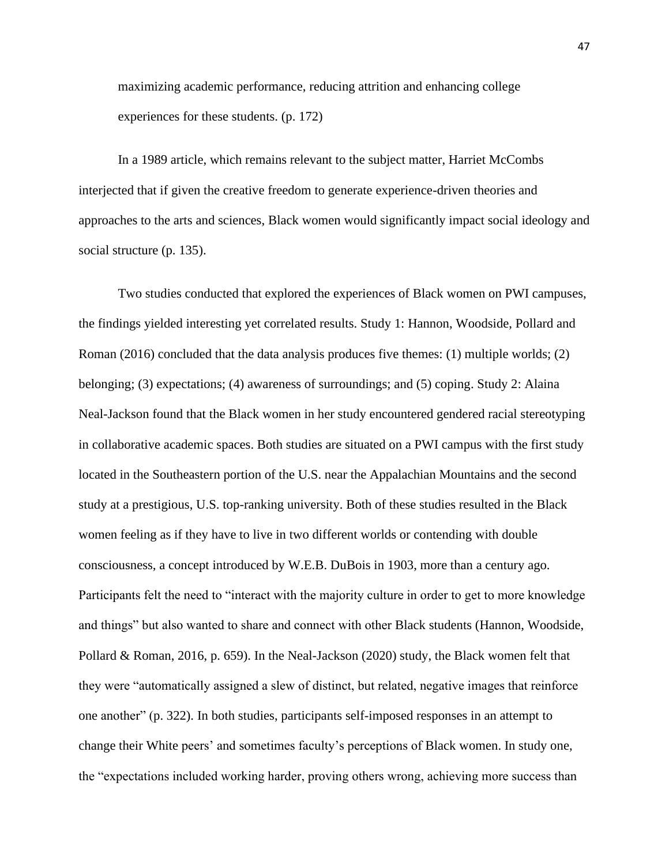maximizing academic performance, reducing attrition and enhancing college experiences for these students. (p. 172)

In a 1989 article, which remains relevant to the subject matter, Harriet McCombs interjected that if given the creative freedom to generate experience-driven theories and approaches to the arts and sciences, Black women would significantly impact social ideology and social structure (p. 135).

Two studies conducted that explored the experiences of Black women on PWI campuses, the findings yielded interesting yet correlated results. Study 1: Hannon, Woodside, Pollard and Roman (2016) concluded that the data analysis produces five themes: (1) multiple worlds; (2) belonging; (3) expectations; (4) awareness of surroundings; and (5) coping. Study 2: Alaina Neal-Jackson found that the Black women in her study encountered gendered racial stereotyping in collaborative academic spaces. Both studies are situated on a PWI campus with the first study located in the Southeastern portion of the U.S. near the Appalachian Mountains and the second study at a prestigious, U.S. top-ranking university. Both of these studies resulted in the Black women feeling as if they have to live in two different worlds or contending with double consciousness, a concept introduced by W.E.B. DuBois in 1903, more than a century ago. Participants felt the need to "interact with the majority culture in order to get to more knowledge and things" but also wanted to share and connect with other Black students (Hannon, Woodside, Pollard & Roman, 2016, p. 659). In the Neal-Jackson (2020) study, the Black women felt that they were "automatically assigned a slew of distinct, but related, negative images that reinforce one another" (p. 322). In both studies, participants self-imposed responses in an attempt to change their White peers' and sometimes faculty's perceptions of Black women. In study one, the "expectations included working harder, proving others wrong, achieving more success than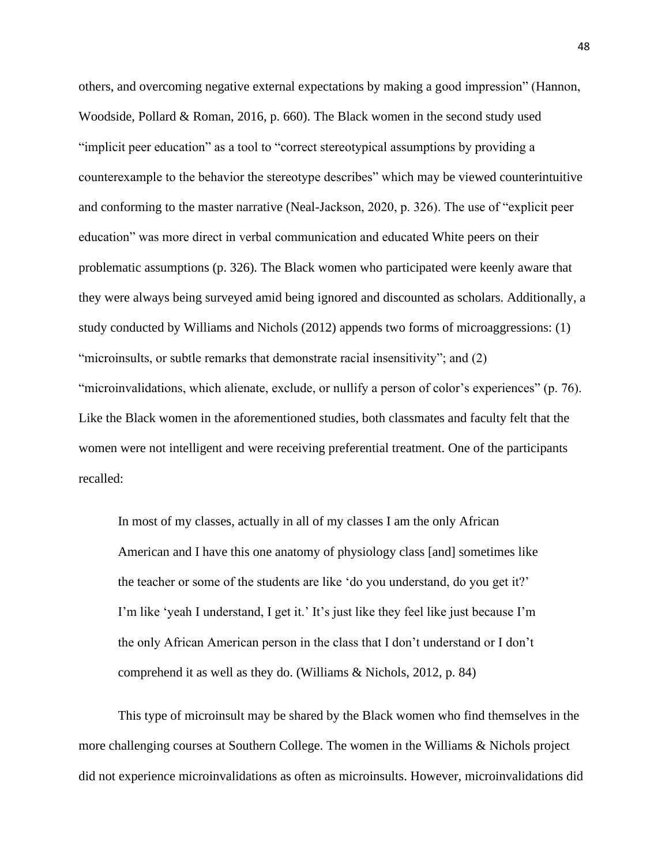others, and overcoming negative external expectations by making a good impression" (Hannon, Woodside, Pollard & Roman, 2016, p. 660). The Black women in the second study used "implicit peer education" as a tool to "correct stereotypical assumptions by providing a counterexample to the behavior the stereotype describes" which may be viewed counterintuitive and conforming to the master narrative (Neal-Jackson, 2020, p. 326). The use of "explicit peer education" was more direct in verbal communication and educated White peers on their problematic assumptions (p. 326). The Black women who participated were keenly aware that they were always being surveyed amid being ignored and discounted as scholars. Additionally, a study conducted by Williams and Nichols (2012) appends two forms of microaggressions: (1) "microinsults, or subtle remarks that demonstrate racial insensitivity"; and (2) "microinvalidations, which alienate, exclude, or nullify a person of color's experiences" (p. 76). Like the Black women in the aforementioned studies, both classmates and faculty felt that the women were not intelligent and were receiving preferential treatment. One of the participants recalled:

In most of my classes, actually in all of my classes I am the only African American and I have this one anatomy of physiology class [and] sometimes like the teacher or some of the students are like 'do you understand, do you get it?' I'm like 'yeah I understand, I get it.' It's just like they feel like just because I'm the only African American person in the class that I don't understand or I don't comprehend it as well as they do. (Williams & Nichols, 2012, p. 84)

This type of microinsult may be shared by the Black women who find themselves in the more challenging courses at Southern College. The women in the Williams & Nichols project did not experience microinvalidations as often as microinsults. However, microinvalidations did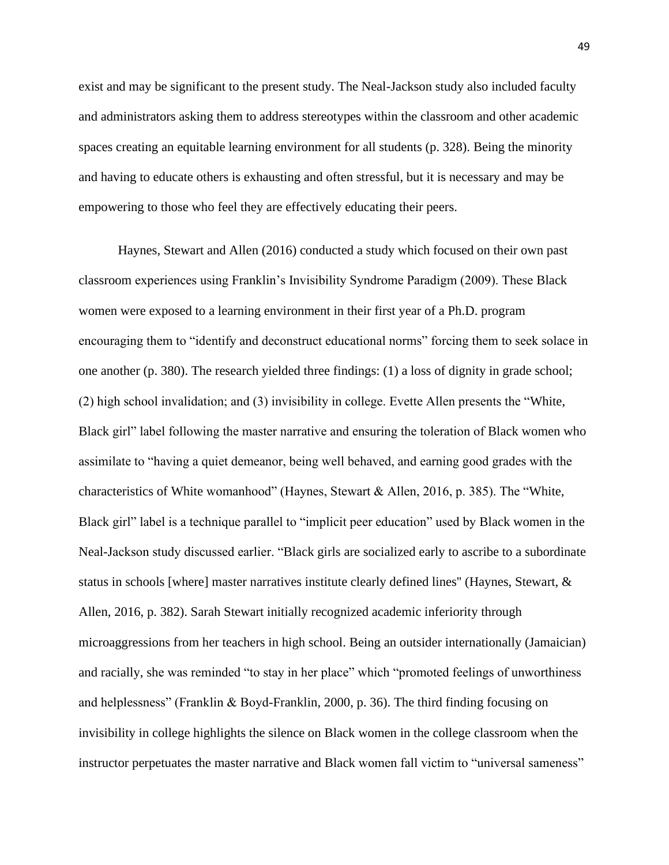exist and may be significant to the present study. The Neal-Jackson study also included faculty and administrators asking them to address stereotypes within the classroom and other academic spaces creating an equitable learning environment for all students (p. 328). Being the minority and having to educate others is exhausting and often stressful, but it is necessary and may be empowering to those who feel they are effectively educating their peers.

Haynes, Stewart and Allen (2016) conducted a study which focused on their own past classroom experiences using Franklin's Invisibility Syndrome Paradigm (2009). These Black women were exposed to a learning environment in their first year of a Ph.D. program encouraging them to "identify and deconstruct educational norms" forcing them to seek solace in one another (p. 380). The research yielded three findings: (1) a loss of dignity in grade school; (2) high school invalidation; and (3) invisibility in college. Evette Allen presents the "White, Black girl" label following the master narrative and ensuring the toleration of Black women who assimilate to "having a quiet demeanor, being well behaved, and earning good grades with the characteristics of White womanhood" (Haynes, Stewart & Allen, 2016, p. 385). The "White, Black girl" label is a technique parallel to "implicit peer education" used by Black women in the Neal-Jackson study discussed earlier. "Black girls are socialized early to ascribe to a subordinate status in schools [where] master narratives institute clearly defined lines'' (Haynes, Stewart, & Allen, 2016, p. 382). Sarah Stewart initially recognized academic inferiority through microaggressions from her teachers in high school. Being an outsider internationally (Jamaician) and racially, she was reminded "to stay in her place" which "promoted feelings of unworthiness and helplessness" (Franklin & Boyd-Franklin, 2000, p. 36). The third finding focusing on invisibility in college highlights the silence on Black women in the college classroom when the instructor perpetuates the master narrative and Black women fall victim to "universal sameness"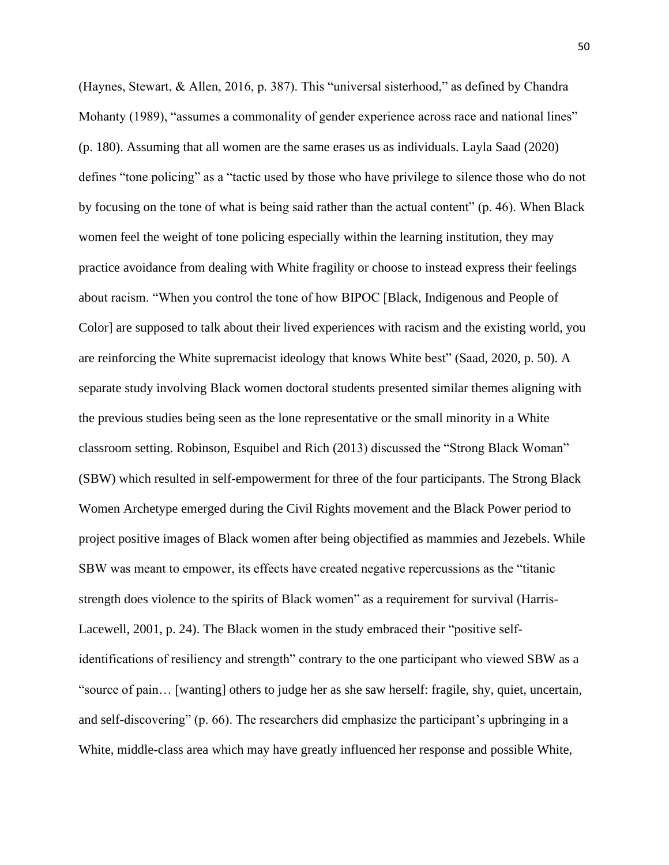(Haynes, Stewart, & Allen, 2016, p. 387). This "universal sisterhood," as defined by Chandra Mohanty (1989), "assumes a commonality of gender experience across race and national lines" (p. 180). Assuming that all women are the same erases us as individuals. Layla Saad (2020) defines "tone policing" as a "tactic used by those who have privilege to silence those who do not by focusing on the tone of what is being said rather than the actual content" (p. 46). When Black women feel the weight of tone policing especially within the learning institution, they may practice avoidance from dealing with White fragility or choose to instead express their feelings about racism. "When you control the tone of how BIPOC [Black, Indigenous and People of Color] are supposed to talk about their lived experiences with racism and the existing world, you are reinforcing the White supremacist ideology that knows White best" (Saad, 2020, p. 50). A separate study involving Black women doctoral students presented similar themes aligning with the previous studies being seen as the lone representative or the small minority in a White classroom setting. Robinson, Esquibel and Rich (2013) discussed the "Strong Black Woman" (SBW) which resulted in self-empowerment for three of the four participants. The Strong Black Women Archetype emerged during the Civil Rights movement and the Black Power period to project positive images of Black women after being objectified as mammies and Jezebels. While SBW was meant to empower, its effects have created negative repercussions as the "titanic strength does violence to the spirits of Black women" as a requirement for survival (Harris-Lacewell, 2001, p. 24). The Black women in the study embraced their "positive selfidentifications of resiliency and strength" contrary to the one participant who viewed SBW as a "source of pain… [wanting] others to judge her as she saw herself: fragile, shy, quiet, uncertain, and self-discovering" (p. 66). The researchers did emphasize the participant's upbringing in a White, middle-class area which may have greatly influenced her response and possible White,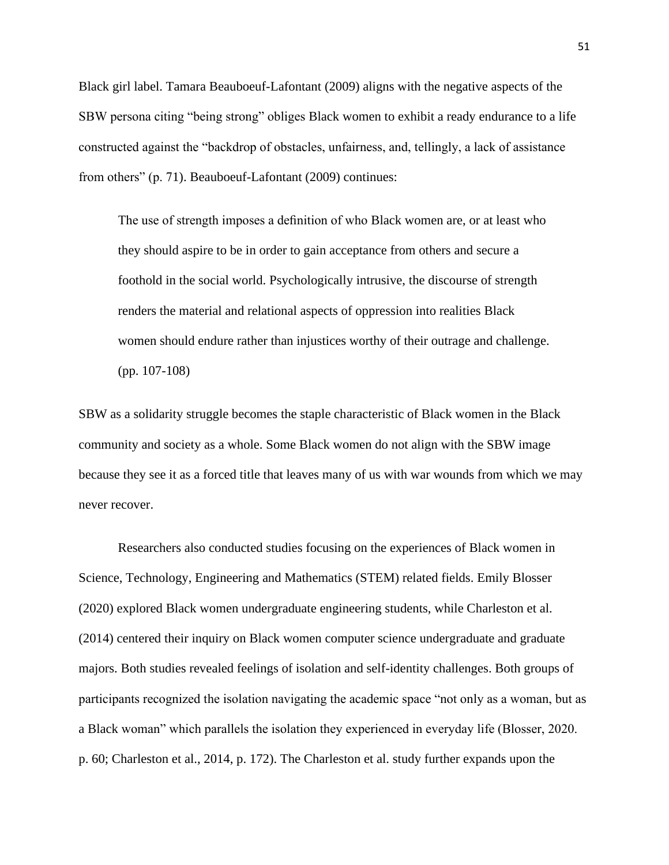Black girl label. Tamara Beauboeuf-Lafontant (2009) aligns with the negative aspects of the SBW persona citing "being strong" obliges Black women to exhibit a ready endurance to a life constructed against the "backdrop of obstacles, unfairness, and, tellingly, a lack of assistance from others" (p. 71). Beauboeuf-Lafontant (2009) continues:

The use of strength imposes a definition of who Black women are, or at least who they should aspire to be in order to gain acceptance from others and secure a foothold in the social world. Psychologically intrusive, the discourse of strength renders the material and relational aspects of oppression into realities Black women should endure rather than injustices worthy of their outrage and challenge. (pp. 107-108)

SBW as a solidarity struggle becomes the staple characteristic of Black women in the Black community and society as a whole. Some Black women do not align with the SBW image because they see it as a forced title that leaves many of us with war wounds from which we may never recover.

Researchers also conducted studies focusing on the experiences of Black women in Science, Technology, Engineering and Mathematics (STEM) related fields. Emily Blosser (2020) explored Black women undergraduate engineering students, while Charleston et al. (2014) centered their inquiry on Black women computer science undergraduate and graduate majors. Both studies revealed feelings of isolation and self-identity challenges. Both groups of participants recognized the isolation navigating the academic space "not only as a woman, but as a Black woman" which parallels the isolation they experienced in everyday life (Blosser, 2020. p. 60; Charleston et al., 2014, p. 172). The Charleston et al. study further expands upon the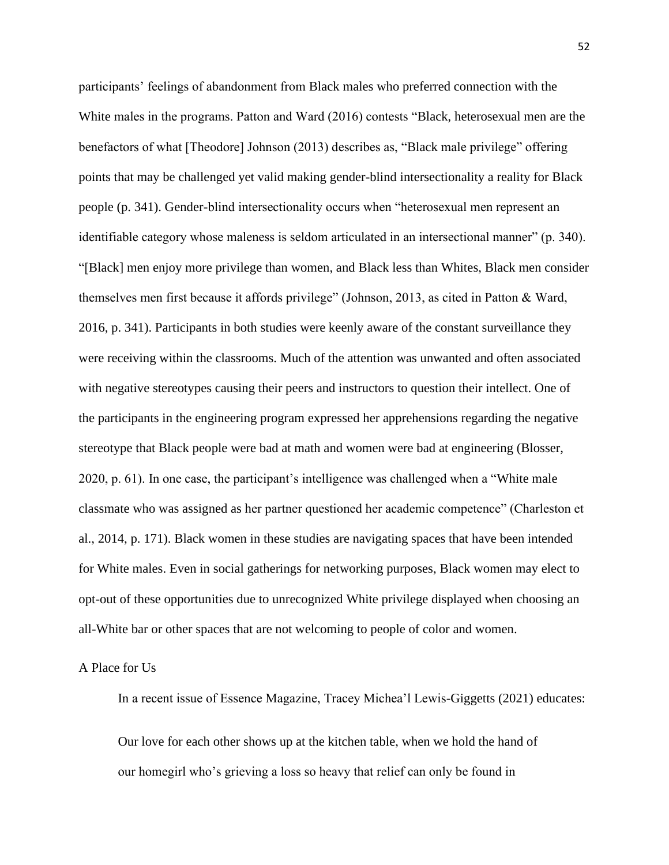participants' feelings of abandonment from Black males who preferred connection with the White males in the programs. Patton and Ward (2016) contests "Black, heterosexual men are the benefactors of what [Theodore] Johnson (2013) describes as, "Black male privilege" offering points that may be challenged yet valid making gender-blind intersectionality a reality for Black people (p. 341). Gender-blind intersectionality occurs when "heterosexual men represent an identifiable category whose maleness is seldom articulated in an intersectional manner" (p. 340). "[Black] men enjoy more privilege than women, and Black less than Whites, Black men consider themselves men first because it affords privilege" (Johnson, 2013, as cited in Patton & Ward, 2016, p. 341). Participants in both studies were keenly aware of the constant surveillance they were receiving within the classrooms. Much of the attention was unwanted and often associated with negative stereotypes causing their peers and instructors to question their intellect. One of the participants in the engineering program expressed her apprehensions regarding the negative stereotype that Black people were bad at math and women were bad at engineering (Blosser, 2020, p. 61). In one case, the participant's intelligence was challenged when a "White male classmate who was assigned as her partner questioned her academic competence" (Charleston et al., 2014, p. 171). Black women in these studies are navigating spaces that have been intended for White males. Even in social gatherings for networking purposes, Black women may elect to opt-out of these opportunities due to unrecognized White privilege displayed when choosing an all-White bar or other spaces that are not welcoming to people of color and women.

### A Place for Us

In a recent issue of Essence Magazine, Tracey Michea'l Lewis-Giggetts (2021) educates:

Our love for each other shows up at the kitchen table, when we hold the hand of our homegirl who's grieving a loss so heavy that relief can only be found in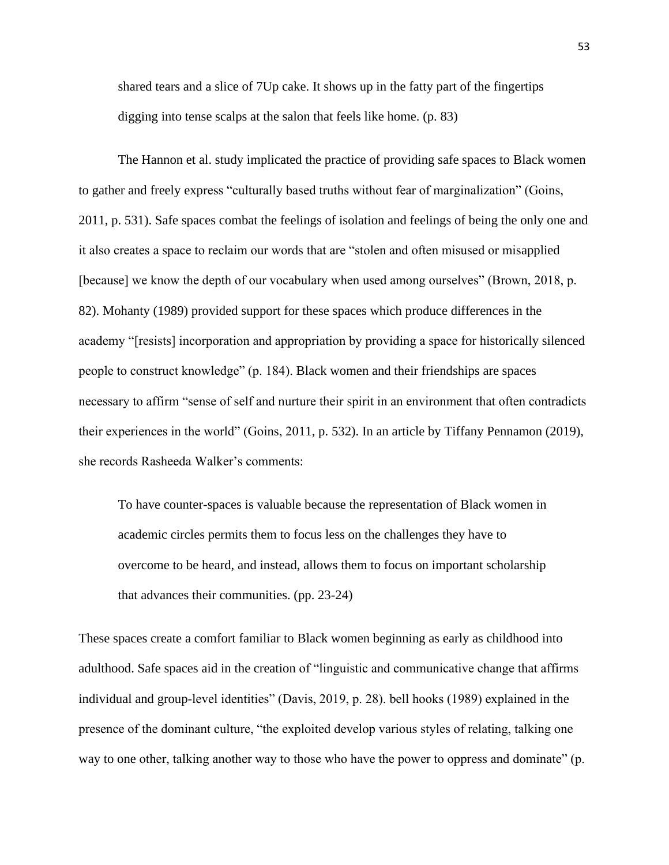shared tears and a slice of 7Up cake. It shows up in the fatty part of the fingertips digging into tense scalps at the salon that feels like home. (p. 83)

The Hannon et al. study implicated the practice of providing safe spaces to Black women to gather and freely express "culturally based truths without fear of marginalization" (Goins, 2011, p. 531). Safe spaces combat the feelings of isolation and feelings of being the only one and it also creates a space to reclaim our words that are "stolen and often misused or misapplied [because] we know the depth of our vocabulary when used among ourselves" (Brown, 2018, p. 82). Mohanty (1989) provided support for these spaces which produce differences in the academy "[resists] incorporation and appropriation by providing a space for historically silenced people to construct knowledge" (p. 184). Black women and their friendships are spaces necessary to affirm "sense of self and nurture their spirit in an environment that often contradicts their experiences in the world" (Goins, 2011, p. 532). In an article by Tiffany Pennamon (2019), she records Rasheeda Walker's comments:

To have counter-spaces is valuable because the representation of Black women in academic circles permits them to focus less on the challenges they have to overcome to be heard, and instead, allows them to focus on important scholarship that advances their communities. (pp. 23-24)

These spaces create a comfort familiar to Black women beginning as early as childhood into adulthood. Safe spaces aid in the creation of "linguistic and communicative change that affirms individual and group-level identities" (Davis, 2019, p. 28). bell hooks (1989) explained in the presence of the dominant culture, "the exploited develop various styles of relating, talking one way to one other, talking another way to those who have the power to oppress and dominate" (p.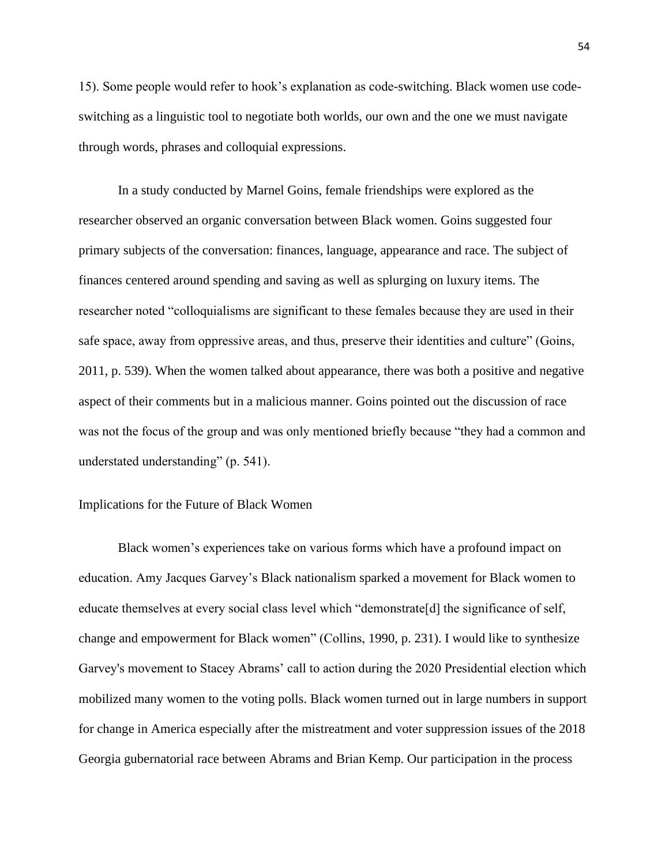15). Some people would refer to hook's explanation as code-switching. Black women use codeswitching as a linguistic tool to negotiate both worlds, our own and the one we must navigate through words, phrases and colloquial expressions.

In a study conducted by Marnel Goins, female friendships were explored as the researcher observed an organic conversation between Black women. Goins suggested four primary subjects of the conversation: finances, language, appearance and race. The subject of finances centered around spending and saving as well as splurging on luxury items. The researcher noted "colloquialisms are significant to these females because they are used in their safe space, away from oppressive areas, and thus, preserve their identities and culture" (Goins, 2011, p. 539). When the women talked about appearance, there was both a positive and negative aspect of their comments but in a malicious manner. Goins pointed out the discussion of race was not the focus of the group and was only mentioned briefly because "they had a common and understated understanding" (p. 541).

## Implications for the Future of Black Women

Black women's experiences take on various forms which have a profound impact on education. Amy Jacques Garvey's Black nationalism sparked a movement for Black women to educate themselves at every social class level which "demonstrate[d] the significance of self, change and empowerment for Black women" (Collins, 1990, p. 231). I would like to synthesize Garvey's movement to Stacey Abrams' call to action during the 2020 Presidential election which mobilized many women to the voting polls. Black women turned out in large numbers in support for change in America especially after the mistreatment and voter suppression issues of the 2018 Georgia gubernatorial race between Abrams and Brian Kemp. Our participation in the process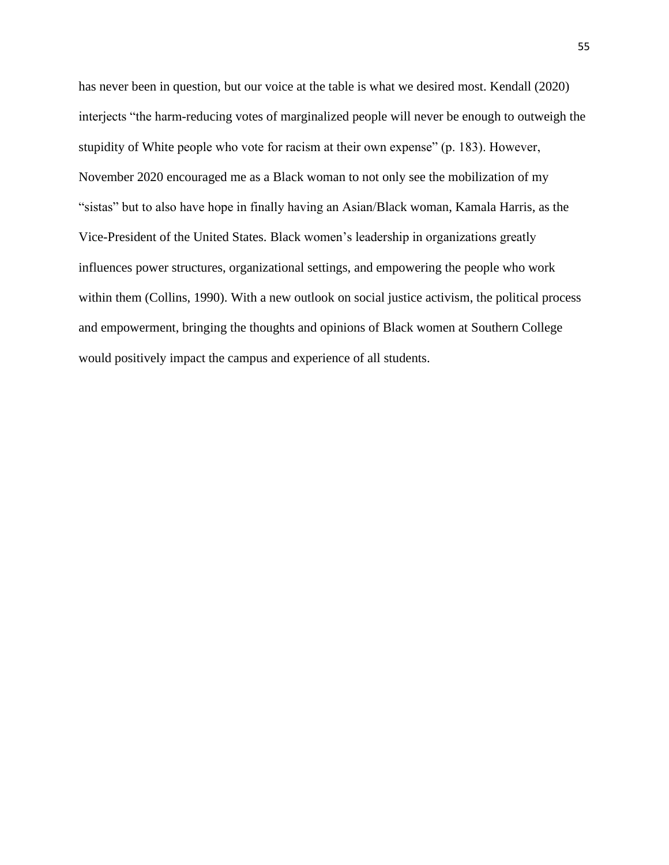has never been in question, but our voice at the table is what we desired most. Kendall (2020) interjects "the harm-reducing votes of marginalized people will never be enough to outweigh the stupidity of White people who vote for racism at their own expense" (p. 183). However, November 2020 encouraged me as a Black woman to not only see the mobilization of my "sistas" but to also have hope in finally having an Asian/Black woman, Kamala Harris, as the Vice-President of the United States. Black women's leadership in organizations greatly influences power structures, organizational settings, and empowering the people who work within them (Collins, 1990). With a new outlook on social justice activism, the political process and empowerment, bringing the thoughts and opinions of Black women at Southern College would positively impact the campus and experience of all students.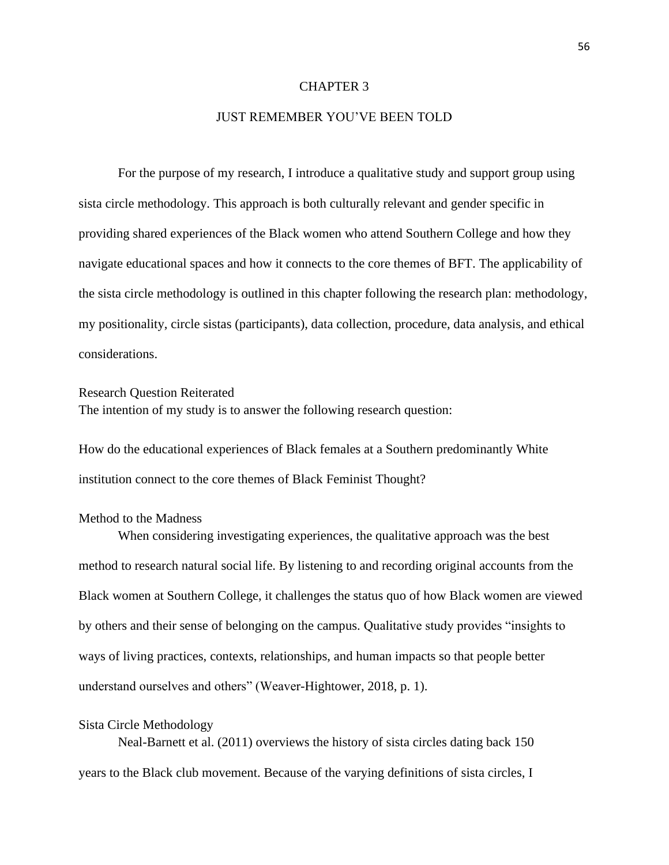#### CHAPTER 3

## JUST REMEMBER YOU'VE BEEN TOLD

For the purpose of my research, I introduce a qualitative study and support group using sista circle methodology. This approach is both culturally relevant and gender specific in providing shared experiences of the Black women who attend Southern College and how they navigate educational spaces and how it connects to the core themes of BFT. The applicability of the sista circle methodology is outlined in this chapter following the research plan: methodology, my positionality, circle sistas (participants), data collection, procedure, data analysis, and ethical considerations.

Research Question Reiterated The intention of my study is to answer the following research question:

How do the educational experiences of Black females at a Southern predominantly White institution connect to the core themes of Black Feminist Thought?

## Method to the Madness

When considering investigating experiences, the qualitative approach was the best method to research natural social life. By listening to and recording original accounts from the Black women at Southern College, it challenges the status quo of how Black women are viewed by others and their sense of belonging on the campus. Qualitative study provides "insights to ways of living practices, contexts, relationships, and human impacts so that people better understand ourselves and others" (Weaver-Hightower, 2018, p. 1).

#### Sista Circle Methodology

Neal-Barnett et al. (2011) overviews the history of sista circles dating back 150 years to the Black club movement. Because of the varying definitions of sista circles, I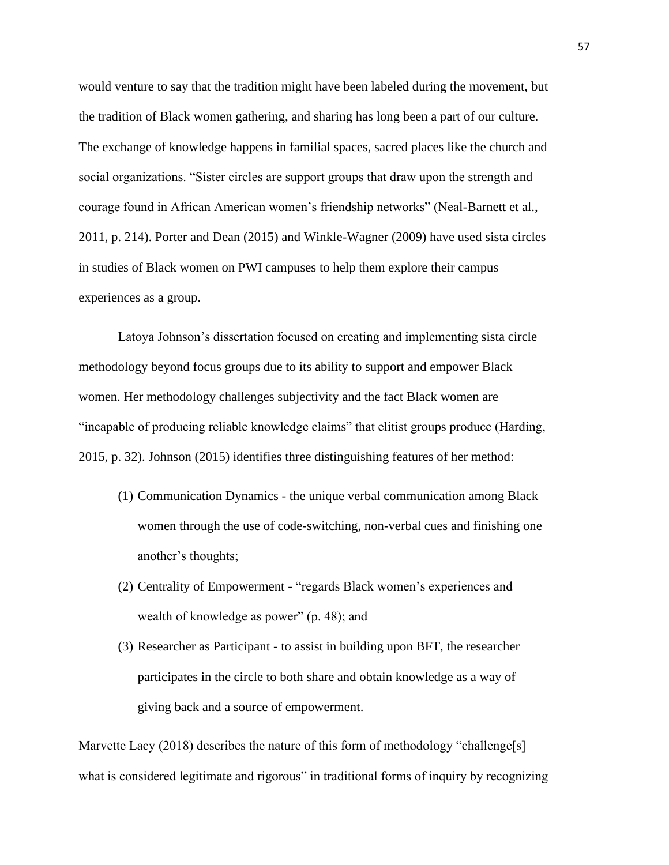would venture to say that the tradition might have been labeled during the movement, but the tradition of Black women gathering, and sharing has long been a part of our culture. The exchange of knowledge happens in familial spaces, sacred places like the church and social organizations. "Sister circles are support groups that draw upon the strength and courage found in African American women's friendship networks" (Neal-Barnett et al., 2011, p. 214). Porter and Dean (2015) and Winkle-Wagner (2009) have used sista circles in studies of Black women on PWI campuses to help them explore their campus experiences as a group.

Latoya Johnson's dissertation focused on creating and implementing sista circle methodology beyond focus groups due to its ability to support and empower Black women. Her methodology challenges subjectivity and the fact Black women are "incapable of producing reliable knowledge claims" that elitist groups produce (Harding, 2015, p. 32). Johnson (2015) identifies three distinguishing features of her method:

- (1) Communication Dynamics the unique verbal communication among Black women through the use of code-switching, non-verbal cues and finishing one another's thoughts;
- (2) Centrality of Empowerment "regards Black women's experiences and wealth of knowledge as power" (p. 48); and
- (3) Researcher as Participant to assist in building upon BFT, the researcher participates in the circle to both share and obtain knowledge as a way of giving back and a source of empowerment.

Marvette Lacy (2018) describes the nature of this form of methodology "challenge[s] what is considered legitimate and rigorous" in traditional forms of inquiry by recognizing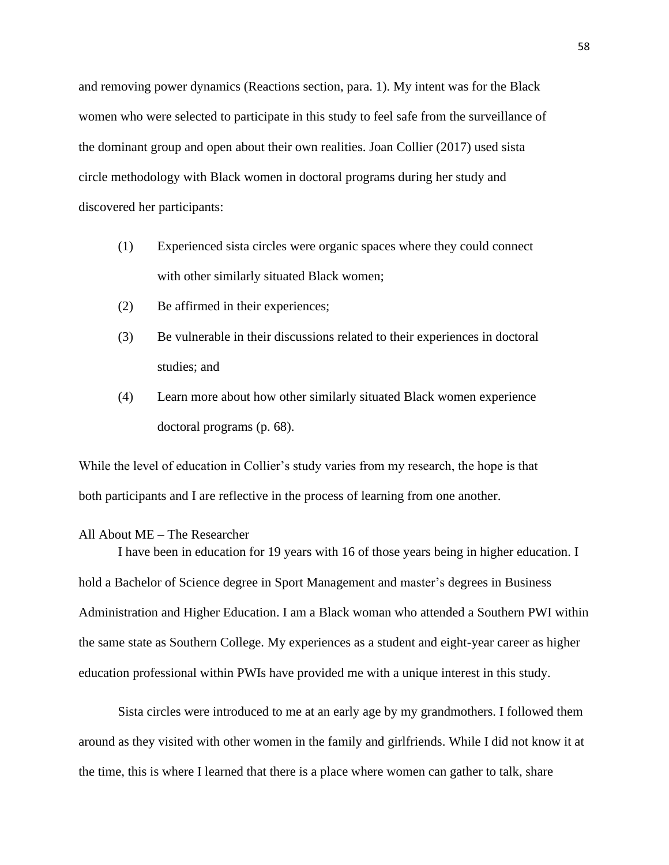and removing power dynamics (Reactions section, para. 1). My intent was for the Black women who were selected to participate in this study to feel safe from the surveillance of the dominant group and open about their own realities. Joan Collier (2017) used sista circle methodology with Black women in doctoral programs during her study and discovered her participants:

- (1) Experienced sista circles were organic spaces where they could connect with other similarly situated Black women;
- (2) Be affirmed in their experiences;
- (3) Be vulnerable in their discussions related to their experiences in doctoral studies; and
- (4) Learn more about how other similarly situated Black women experience doctoral programs (p. 68).

While the level of education in Collier's study varies from my research, the hope is that both participants and I are reflective in the process of learning from one another.

## All About ME – The Researcher

I have been in education for 19 years with 16 of those years being in higher education. I hold a Bachelor of Science degree in Sport Management and master's degrees in Business Administration and Higher Education. I am a Black woman who attended a Southern PWI within the same state as Southern College. My experiences as a student and eight-year career as higher education professional within PWIs have provided me with a unique interest in this study.

Sista circles were introduced to me at an early age by my grandmothers. I followed them around as they visited with other women in the family and girlfriends. While I did not know it at the time, this is where I learned that there is a place where women can gather to talk, share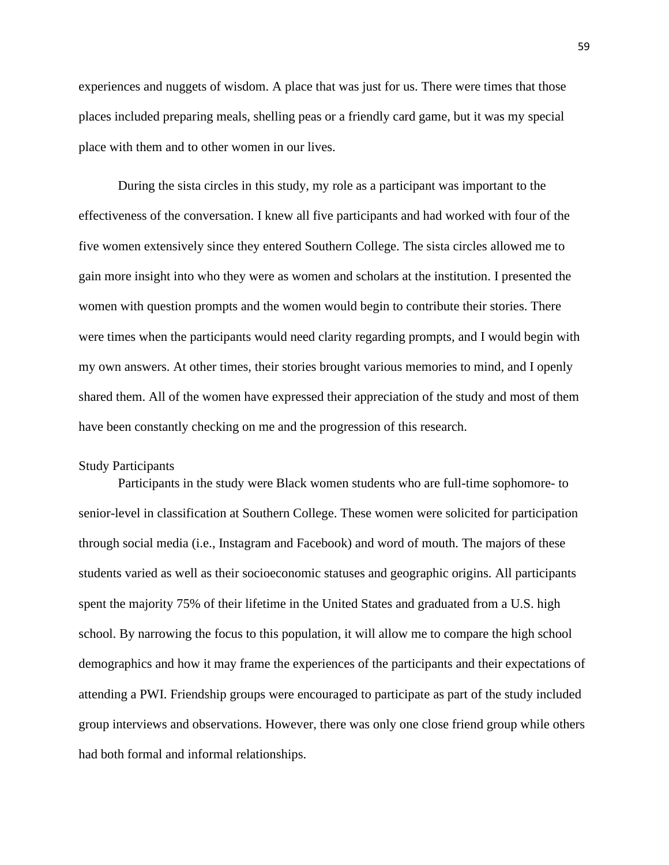experiences and nuggets of wisdom. A place that was just for us. There were times that those places included preparing meals, shelling peas or a friendly card game, but it was my special place with them and to other women in our lives.

During the sista circles in this study, my role as a participant was important to the effectiveness of the conversation. I knew all five participants and had worked with four of the five women extensively since they entered Southern College. The sista circles allowed me to gain more insight into who they were as women and scholars at the institution. I presented the women with question prompts and the women would begin to contribute their stories. There were times when the participants would need clarity regarding prompts, and I would begin with my own answers. At other times, their stories brought various memories to mind, and I openly shared them. All of the women have expressed their appreciation of the study and most of them have been constantly checking on me and the progression of this research.

### Study Participants

Participants in the study were Black women students who are full-time sophomore- to senior-level in classification at Southern College. These women were solicited for participation through social media (i.e., Instagram and Facebook) and word of mouth. The majors of these students varied as well as their socioeconomic statuses and geographic origins. All participants spent the majority 75% of their lifetime in the United States and graduated from a U.S. high school. By narrowing the focus to this population, it will allow me to compare the high school demographics and how it may frame the experiences of the participants and their expectations of attending a PWI. Friendship groups were encouraged to participate as part of the study included group interviews and observations. However, there was only one close friend group while others had both formal and informal relationships.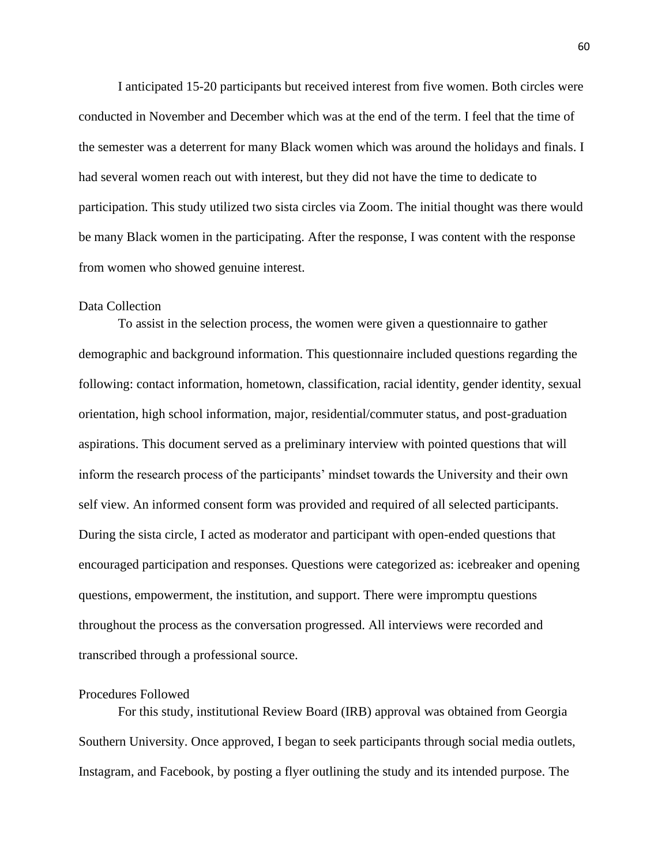I anticipated 15-20 participants but received interest from five women. Both circles were conducted in November and December which was at the end of the term. I feel that the time of the semester was a deterrent for many Black women which was around the holidays and finals. I had several women reach out with interest, but they did not have the time to dedicate to participation. This study utilized two sista circles via Zoom. The initial thought was there would be many Black women in the participating. After the response, I was content with the response from women who showed genuine interest.

## Data Collection

To assist in the selection process, the women were given a questionnaire to gather demographic and background information. This questionnaire included questions regarding the following: contact information, hometown, classification, racial identity, gender identity, sexual orientation, high school information, major, residential/commuter status, and post-graduation aspirations. This document served as a preliminary interview with pointed questions that will inform the research process of the participants' mindset towards the University and their own self view. An informed consent form was provided and required of all selected participants. During the sista circle, I acted as moderator and participant with open-ended questions that encouraged participation and responses. Questions were categorized as: icebreaker and opening questions, empowerment, the institution, and support. There were impromptu questions throughout the process as the conversation progressed. All interviews were recorded and transcribed through a professional source.

## Procedures Followed

For this study, institutional Review Board (IRB) approval was obtained from Georgia Southern University. Once approved, I began to seek participants through social media outlets, Instagram, and Facebook, by posting a flyer outlining the study and its intended purpose. The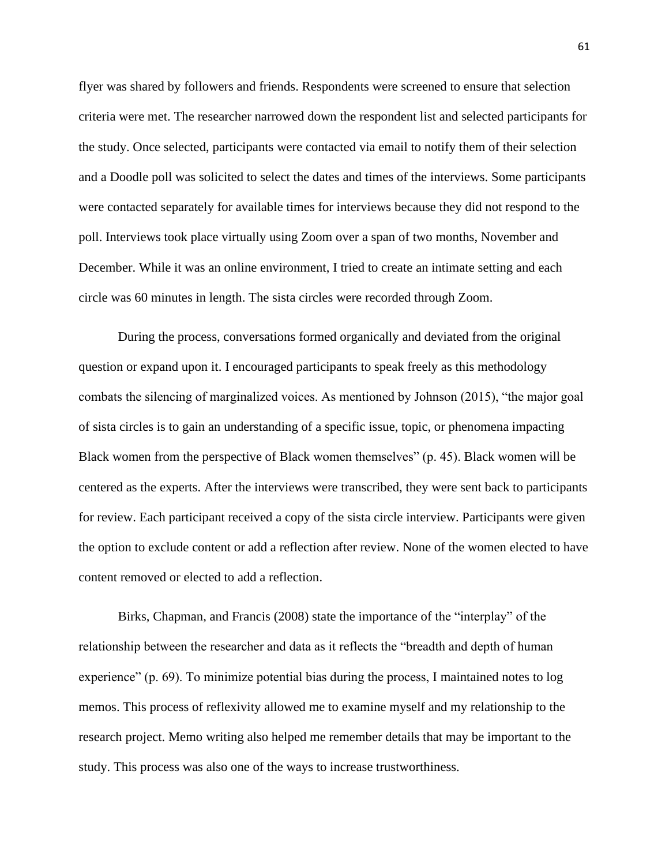flyer was shared by followers and friends. Respondents were screened to ensure that selection criteria were met. The researcher narrowed down the respondent list and selected participants for the study. Once selected, participants were contacted via email to notify them of their selection and a Doodle poll was solicited to select the dates and times of the interviews. Some participants were contacted separately for available times for interviews because they did not respond to the poll. Interviews took place virtually using Zoom over a span of two months, November and December. While it was an online environment, I tried to create an intimate setting and each circle was 60 minutes in length. The sista circles were recorded through Zoom.

During the process, conversations formed organically and deviated from the original question or expand upon it. I encouraged participants to speak freely as this methodology combats the silencing of marginalized voices. As mentioned by Johnson (2015), "the major goal of sista circles is to gain an understanding of a specific issue, topic, or phenomena impacting Black women from the perspective of Black women themselves" (p. 45). Black women will be centered as the experts. After the interviews were transcribed, they were sent back to participants for review. Each participant received a copy of the sista circle interview. Participants were given the option to exclude content or add a reflection after review. None of the women elected to have content removed or elected to add a reflection.

Birks, Chapman, and Francis (2008) state the importance of the "interplay" of the relationship between the researcher and data as it reflects the "breadth and depth of human experience" (p. 69). To minimize potential bias during the process, I maintained notes to log memos. This process of reflexivity allowed me to examine myself and my relationship to the research project. Memo writing also helped me remember details that may be important to the study. This process was also one of the ways to increase trustworthiness.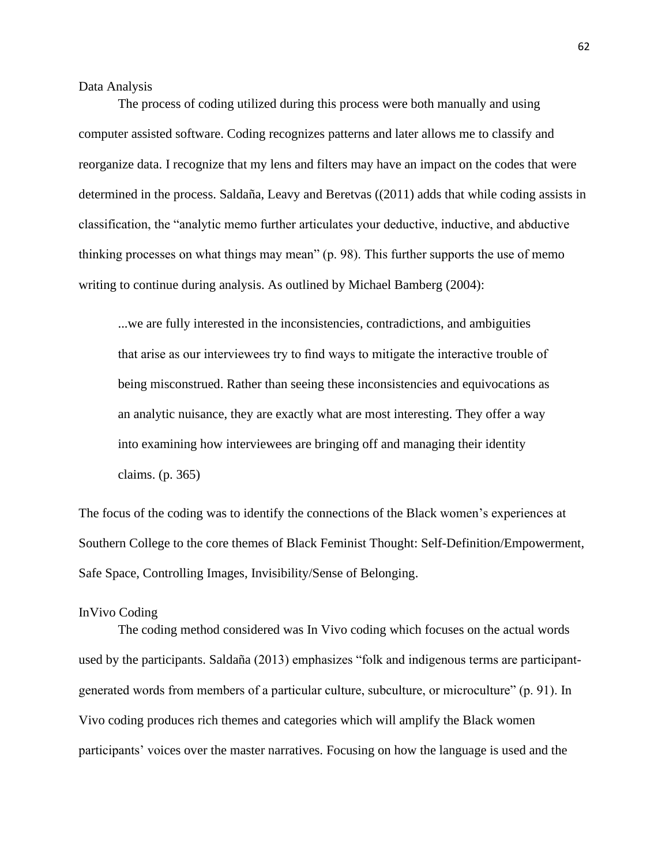### Data Analysis

The process of coding utilized during this process were both manually and using computer assisted software. Coding recognizes patterns and later allows me to classify and reorganize data. I recognize that my lens and filters may have an impact on the codes that were determined in the process. Saldaña, Leavy and Beretvas ((2011) adds that while coding assists in classification, the "analytic memo further articulates your deductive, inductive, and abductive thinking processes on what things may mean" (p. 98). This further supports the use of memo writing to continue during analysis. As outlined by Michael Bamberg (2004):

...we are fully interested in the inconsistencies, contradictions, and ambiguities that arise as our interviewees try to find ways to mitigate the interactive trouble of being misconstrued. Rather than seeing these inconsistencies and equivocations as an analytic nuisance, they are exactly what are most interesting. They offer a way into examining how interviewees are bringing off and managing their identity claims. (p. 365)

The focus of the coding was to identify the connections of the Black women's experiences at Southern College to the core themes of Black Feminist Thought: Self-Definition/Empowerment, Safe Space, Controlling Images, Invisibility/Sense of Belonging.

## InVivo Coding

The coding method considered was In Vivo coding which focuses on the actual words used by the participants. Saldaña (2013) emphasizes "folk and indigenous terms are participantgenerated words from members of a particular culture, subculture, or microculture" (p. 91). In Vivo coding produces rich themes and categories which will amplify the Black women participants' voices over the master narratives. Focusing on how the language is used and the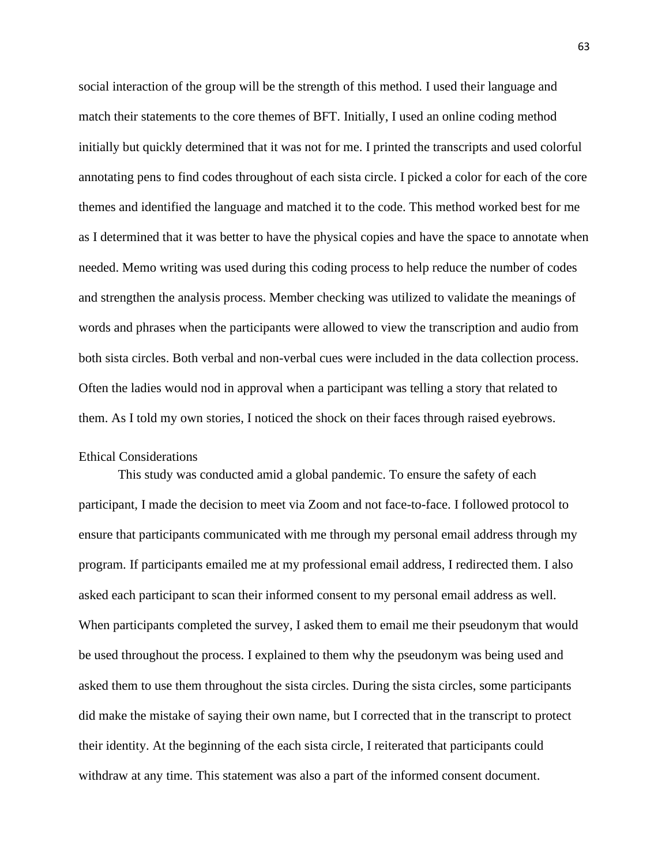social interaction of the group will be the strength of this method. I used their language and match their statements to the core themes of BFT. Initially, I used an online coding method initially but quickly determined that it was not for me. I printed the transcripts and used colorful annotating pens to find codes throughout of each sista circle. I picked a color for each of the core themes and identified the language and matched it to the code. This method worked best for me as I determined that it was better to have the physical copies and have the space to annotate when needed. Memo writing was used during this coding process to help reduce the number of codes and strengthen the analysis process. Member checking was utilized to validate the meanings of words and phrases when the participants were allowed to view the transcription and audio from both sista circles. Both verbal and non-verbal cues were included in the data collection process. Often the ladies would nod in approval when a participant was telling a story that related to them. As I told my own stories, I noticed the shock on their faces through raised eyebrows.

## Ethical Considerations

This study was conducted amid a global pandemic. To ensure the safety of each participant, I made the decision to meet via Zoom and not face-to-face. I followed protocol to ensure that participants communicated with me through my personal email address through my program. If participants emailed me at my professional email address, I redirected them. I also asked each participant to scan their informed consent to my personal email address as well. When participants completed the survey, I asked them to email me their pseudonym that would be used throughout the process. I explained to them why the pseudonym was being used and asked them to use them throughout the sista circles. During the sista circles, some participants did make the mistake of saying their own name, but I corrected that in the transcript to protect their identity. At the beginning of the each sista circle, I reiterated that participants could withdraw at any time. This statement was also a part of the informed consent document.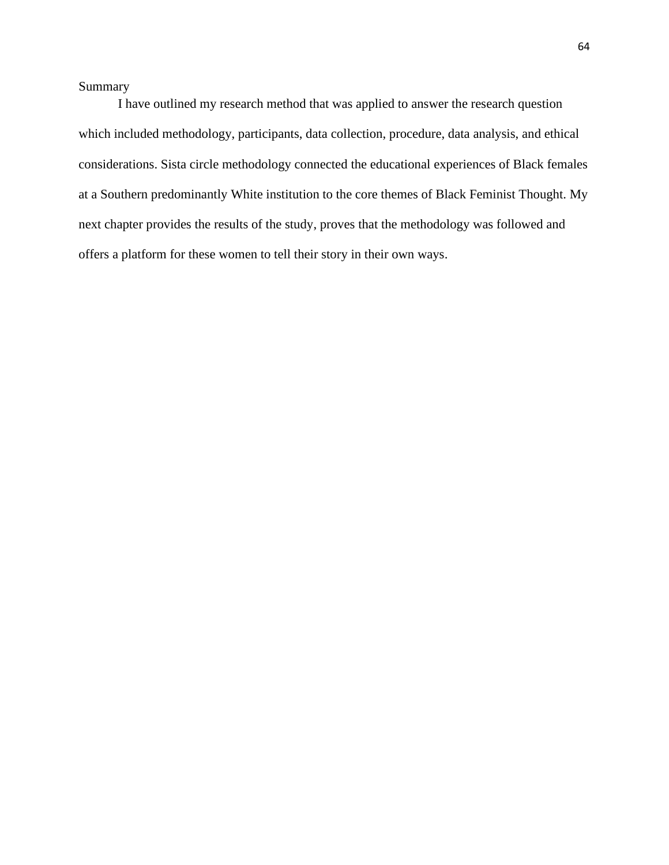Summary

I have outlined my research method that was applied to answer the research question which included methodology, participants, data collection, procedure, data analysis, and ethical considerations. Sista circle methodology connected the educational experiences of Black females at a Southern predominantly White institution to the core themes of Black Feminist Thought. My next chapter provides the results of the study, proves that the methodology was followed and offers a platform for these women to tell their story in their own ways.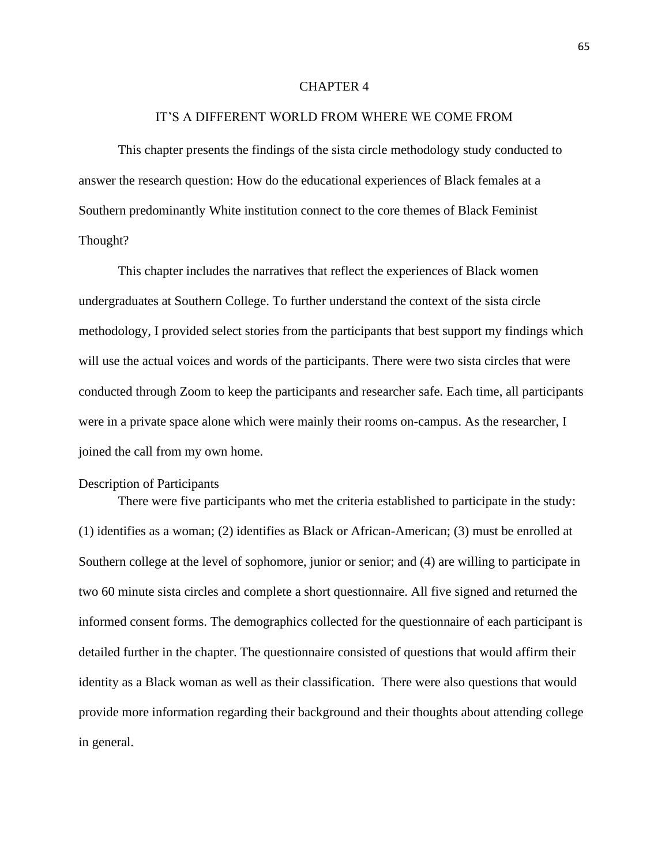#### CHAPTER 4

## IT'S A DIFFERENT WORLD FROM WHERE WE COME FROM

This chapter presents the findings of the sista circle methodology study conducted to answer the research question: How do the educational experiences of Black females at a Southern predominantly White institution connect to the core themes of Black Feminist Thought?

This chapter includes the narratives that reflect the experiences of Black women undergraduates at Southern College. To further understand the context of the sista circle methodology, I provided select stories from the participants that best support my findings which will use the actual voices and words of the participants. There were two sista circles that were conducted through Zoom to keep the participants and researcher safe. Each time, all participants were in a private space alone which were mainly their rooms on-campus. As the researcher, I joined the call from my own home.

## Description of Participants

There were five participants who met the criteria established to participate in the study: (1) identifies as a woman; (2) identifies as Black or African-American; (3) must be enrolled at Southern college at the level of sophomore, junior or senior; and (4) are willing to participate in two 60 minute sista circles and complete a short questionnaire. All five signed and returned the informed consent forms. The demographics collected for the questionnaire of each participant is detailed further in the chapter. The questionnaire consisted of questions that would affirm their identity as a Black woman as well as their classification. There were also questions that would provide more information regarding their background and their thoughts about attending college in general.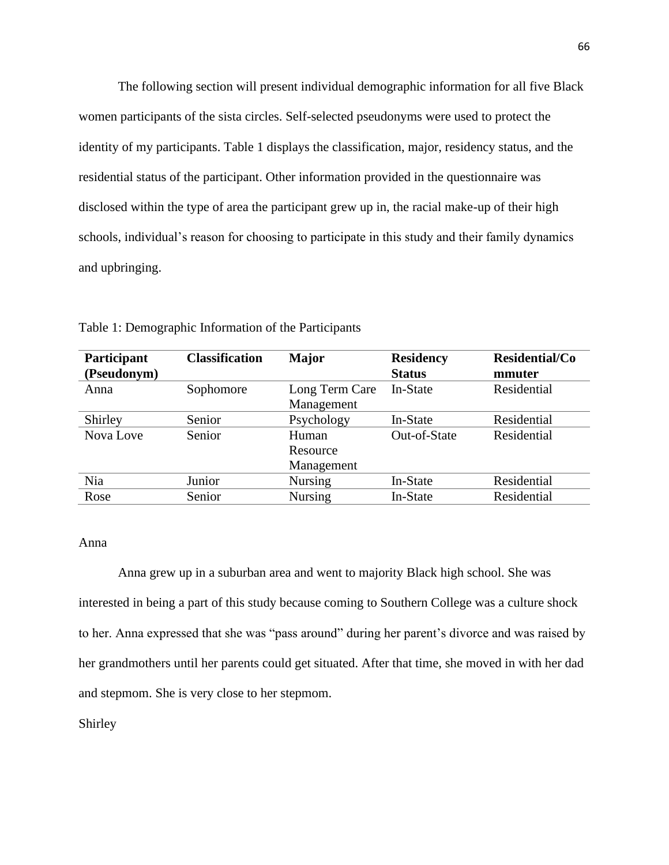The following section will present individual demographic information for all five Black women participants of the sista circles. Self-selected pseudonyms were used to protect the identity of my participants. Table 1 displays the classification, major, residency status, and the residential status of the participant. Other information provided in the questionnaire was disclosed within the type of area the participant grew up in, the racial make-up of their high schools, individual's reason for choosing to participate in this study and their family dynamics and upbringing.

| Participant<br>(Pseudonym) | <b>Classification</b> | Major          | <b>Residency</b><br><b>Status</b> | Residential/Co<br>mmuter |
|----------------------------|-----------------------|----------------|-----------------------------------|--------------------------|
| Anna                       | Sophomore             | Long Term Care | In-State                          | Residential              |
|                            |                       | Management     |                                   |                          |
| Shirley                    | Senior                | Psychology     | In-State                          | Residential              |
| Nova Love                  | Senior                | Human          | Out-of-State                      | Residential              |
|                            |                       | Resource       |                                   |                          |
|                            |                       | Management     |                                   |                          |
| Nia                        | Junior                | <b>Nursing</b> | In-State                          | Residential              |
| Rose                       | Senior                | <b>Nursing</b> | In-State                          | Residential              |

Table 1: Demographic Information of the Participants

### Anna

Anna grew up in a suburban area and went to majority Black high school. She was interested in being a part of this study because coming to Southern College was a culture shock to her. Anna expressed that she was "pass around" during her parent's divorce and was raised by her grandmothers until her parents could get situated. After that time, she moved in with her dad and stepmom. She is very close to her stepmom.

Shirley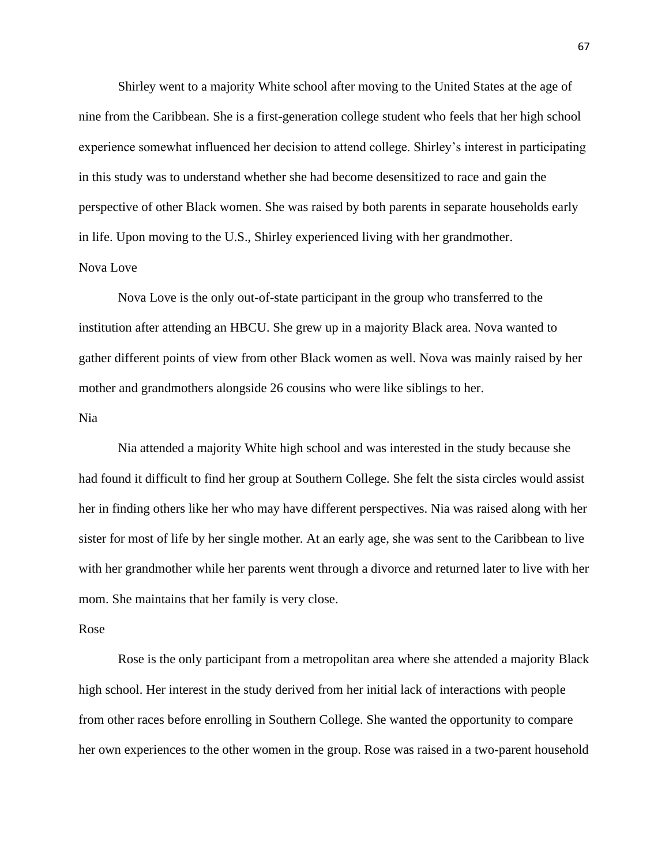Shirley went to a majority White school after moving to the United States at the age of nine from the Caribbean. She is a first-generation college student who feels that her high school experience somewhat influenced her decision to attend college. Shirley's interest in participating in this study was to understand whether she had become desensitized to race and gain the perspective of other Black women. She was raised by both parents in separate households early in life. Upon moving to the U.S., Shirley experienced living with her grandmother. Nova Love

# Nova Love is the only out-of-state participant in the group who transferred to the institution after attending an HBCU. She grew up in a majority Black area. Nova wanted to gather different points of view from other Black women as well. Nova was mainly raised by her mother and grandmothers alongside 26 cousins who were like siblings to her.

## Nia

Nia attended a majority White high school and was interested in the study because she had found it difficult to find her group at Southern College. She felt the sista circles would assist her in finding others like her who may have different perspectives. Nia was raised along with her sister for most of life by her single mother. At an early age, she was sent to the Caribbean to live with her grandmother while her parents went through a divorce and returned later to live with her mom. She maintains that her family is very close.

#### Rose

Rose is the only participant from a metropolitan area where she attended a majority Black high school. Her interest in the study derived from her initial lack of interactions with people from other races before enrolling in Southern College. She wanted the opportunity to compare her own experiences to the other women in the group. Rose was raised in a two-parent household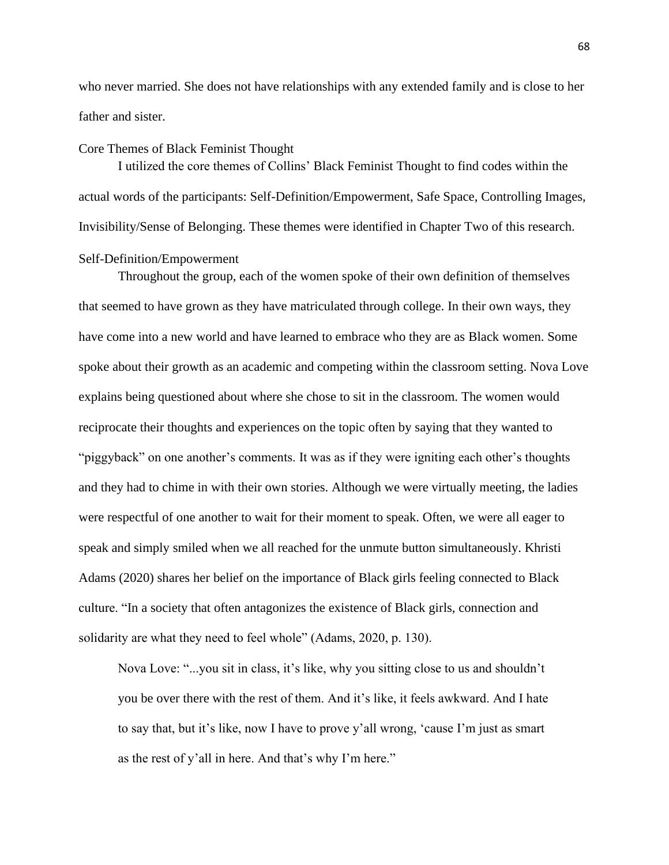who never married. She does not have relationships with any extended family and is close to her father and sister.

#### Core Themes of Black Feminist Thought

I utilized the core themes of Collins' Black Feminist Thought to find codes within the actual words of the participants: Self-Definition/Empowerment, Safe Space, Controlling Images, Invisibility/Sense of Belonging. These themes were identified in Chapter Two of this research. Self-Definition/Empowerment

# Throughout the group, each of the women spoke of their own definition of themselves that seemed to have grown as they have matriculated through college. In their own ways, they have come into a new world and have learned to embrace who they are as Black women. Some spoke about their growth as an academic and competing within the classroom setting. Nova Love explains being questioned about where she chose to sit in the classroom. The women would reciprocate their thoughts and experiences on the topic often by saying that they wanted to "piggyback" on one another's comments. It was as if they were igniting each other's thoughts and they had to chime in with their own stories. Although we were virtually meeting, the ladies were respectful of one another to wait for their moment to speak. Often, we were all eager to speak and simply smiled when we all reached for the unmute button simultaneously. Khristi Adams (2020) shares her belief on the importance of Black girls feeling connected to Black culture. "In a society that often antagonizes the existence of Black girls, connection and solidarity are what they need to feel whole" (Adams, 2020, p. 130).

Nova Love: "...you sit in class, it's like, why you sitting close to us and shouldn't you be over there with the rest of them. And it's like, it feels awkward. And I hate to say that, but it's like, now I have to prove y'all wrong, 'cause I'm just as smart as the rest of y'all in here. And that's why I'm here."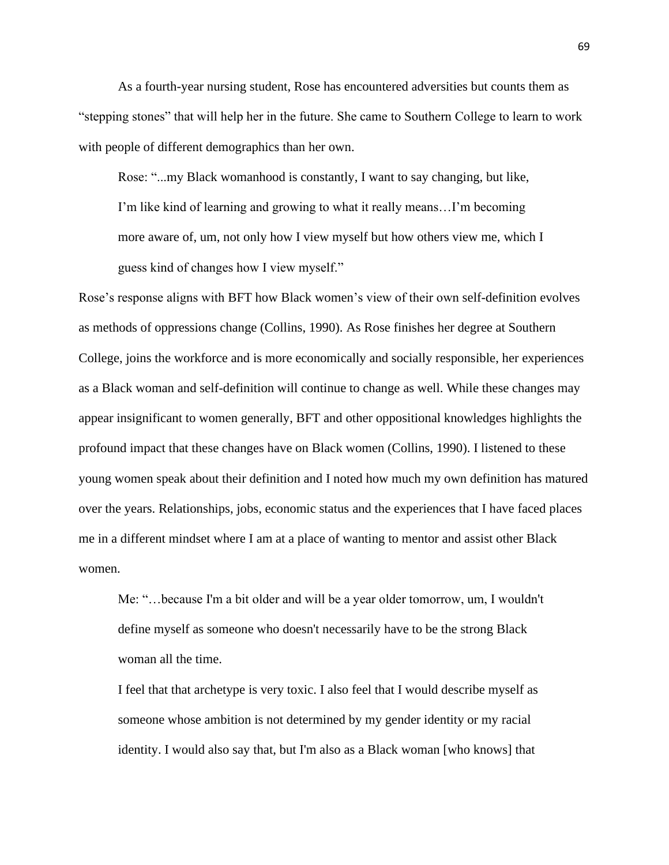As a fourth-year nursing student, Rose has encountered adversities but counts them as "stepping stones" that will help her in the future. She came to Southern College to learn to work with people of different demographics than her own.

Rose: "...my Black womanhood is constantly, I want to say changing, but like, I'm like kind of learning and growing to what it really means…I'm becoming more aware of, um, not only how I view myself but how others view me, which I guess kind of changes how I view myself."

Rose's response aligns with BFT how Black women's view of their own self-definition evolves as methods of oppressions change (Collins, 1990). As Rose finishes her degree at Southern College, joins the workforce and is more economically and socially responsible, her experiences as a Black woman and self-definition will continue to change as well. While these changes may appear insignificant to women generally, BFT and other oppositional knowledges highlights the profound impact that these changes have on Black women (Collins, 1990). I listened to these young women speak about their definition and I noted how much my own definition has matured over the years. Relationships, jobs, economic status and the experiences that I have faced places me in a different mindset where I am at a place of wanting to mentor and assist other Black women.

Me: "…because I'm a bit older and will be a year older tomorrow, um, I wouldn't define myself as someone who doesn't necessarily have to be the strong Black woman all the time.

I feel that that archetype is very toxic. I also feel that I would describe myself as someone whose ambition is not determined by my gender identity or my racial identity. I would also say that, but I'm also as a Black woman [who knows] that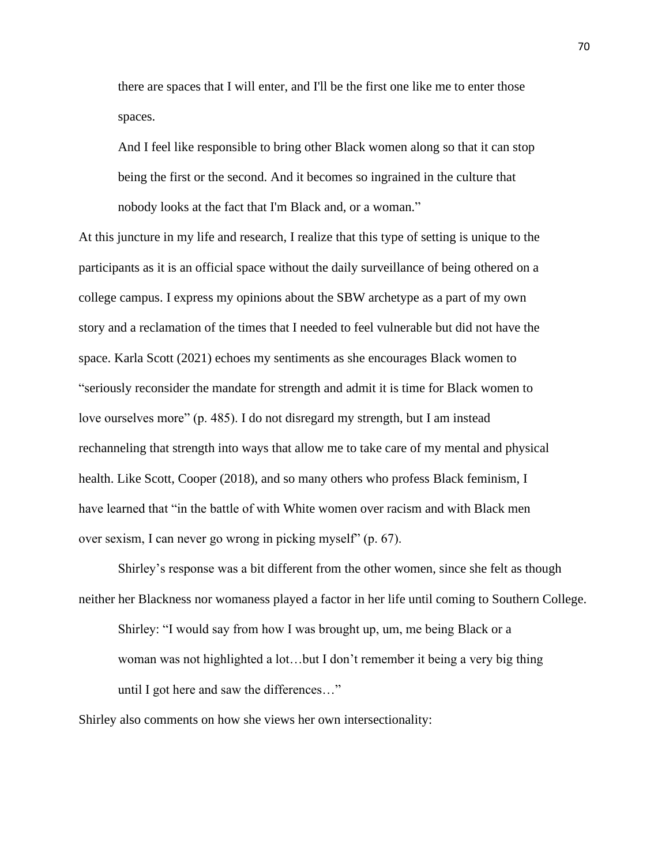there are spaces that I will enter, and I'll be the first one like me to enter those spaces.

And I feel like responsible to bring other Black women along so that it can stop being the first or the second. And it becomes so ingrained in the culture that nobody looks at the fact that I'm Black and, or a woman."

At this juncture in my life and research, I realize that this type of setting is unique to the participants as it is an official space without the daily surveillance of being othered on a college campus. I express my opinions about the SBW archetype as a part of my own story and a reclamation of the times that I needed to feel vulnerable but did not have the space. Karla Scott (2021) echoes my sentiments as she encourages Black women to "seriously reconsider the mandate for strength and admit it is time for Black women to love ourselves more" (p. 485). I do not disregard my strength, but I am instead rechanneling that strength into ways that allow me to take care of my mental and physical health. Like Scott, Cooper (2018), and so many others who profess Black feminism, I have learned that "in the battle of with White women over racism and with Black men over sexism, I can never go wrong in picking myself" (p. 67).

Shirley's response was a bit different from the other women, since she felt as though neither her Blackness nor womaness played a factor in her life until coming to Southern College. Shirley: "I would say from how I was brought up, um, me being Black or a

woman was not highlighted a lot…but I don't remember it being a very big thing until I got here and saw the differences…"

Shirley also comments on how she views her own intersectionality: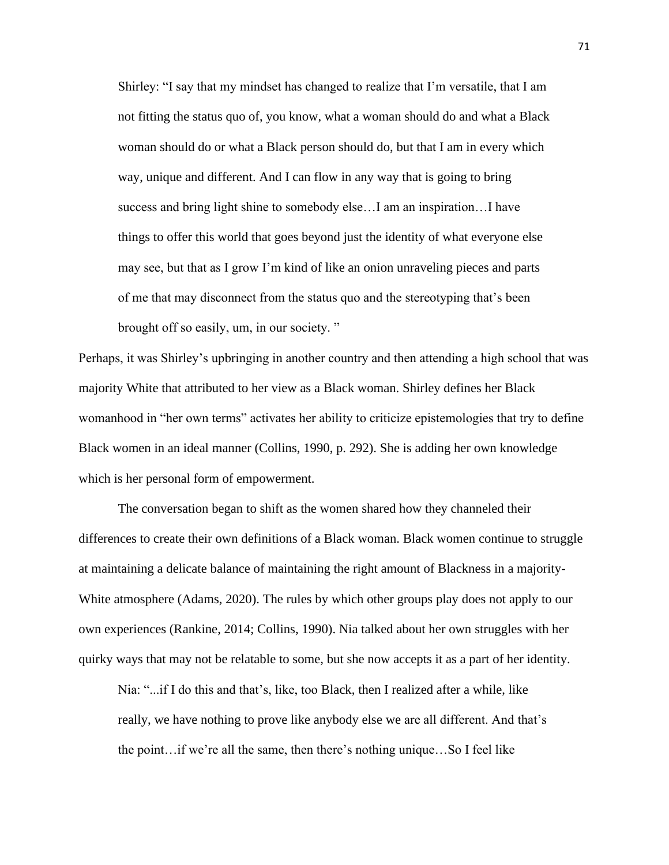Shirley: "I say that my mindset has changed to realize that I'm versatile, that I am not fitting the status quo of, you know, what a woman should do and what a Black woman should do or what a Black person should do, but that I am in every which way, unique and different. And I can flow in any way that is going to bring success and bring light shine to somebody else…I am an inspiration…I have things to offer this world that goes beyond just the identity of what everyone else may see, but that as I grow I'm kind of like an onion unraveling pieces and parts of me that may disconnect from the status quo and the stereotyping that's been brought off so easily, um, in our society. "

Perhaps, it was Shirley's upbringing in another country and then attending a high school that was majority White that attributed to her view as a Black woman. Shirley defines her Black womanhood in "her own terms" activates her ability to criticize epistemologies that try to define Black women in an ideal manner (Collins, 1990, p. 292). She is adding her own knowledge which is her personal form of empowerment.

The conversation began to shift as the women shared how they channeled their differences to create their own definitions of a Black woman. Black women continue to struggle at maintaining a delicate balance of maintaining the right amount of Blackness in a majority-White atmosphere (Adams, 2020). The rules by which other groups play does not apply to our own experiences (Rankine, 2014; Collins, 1990). Nia talked about her own struggles with her quirky ways that may not be relatable to some, but she now accepts it as a part of her identity.

Nia: "...if I do this and that's, like, too Black, then I realized after a while, like really, we have nothing to prove like anybody else we are all different. And that's the point…if we're all the same, then there's nothing unique…So I feel like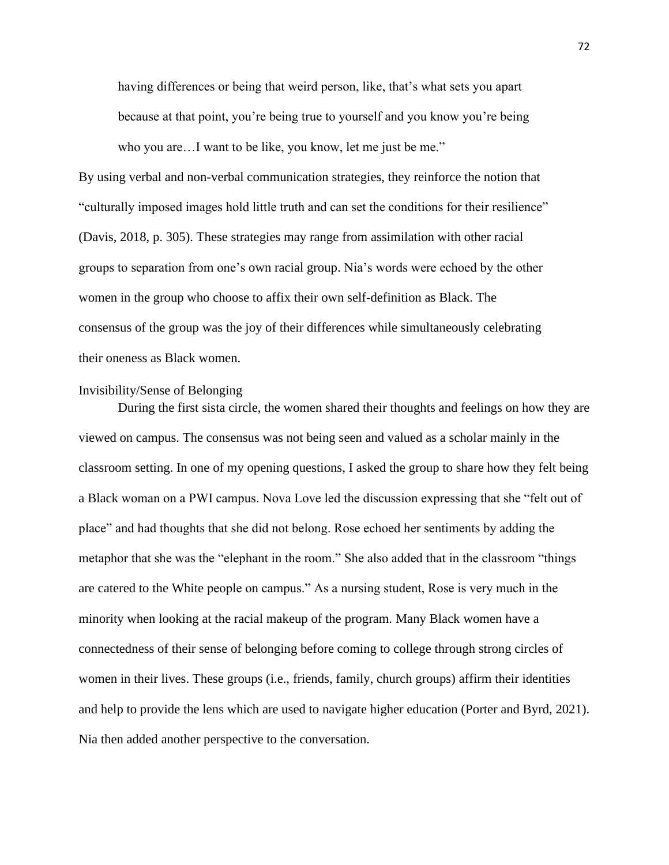having differences or being that weird person, like, that's what sets you apart because at that point, you're being true to yourself and you know you're being who you are...I want to be like, you know, let me just be me."

By using verbal and non-verbal communication strategies, they reinforce the notion that "culturally imposed images hold little truth and can set the conditions for their resilience" (Davis, 2018, p. 305). These strategies may range from assimilation with other racial groups to separation from one's own racial group. Nia's words were echoed by the other women in the group who choose to affix their own self-definition as Black. The consensus of the group was the joy of their differences while simultaneously celebrating their oneness as Black women.

# Invisibility/Sense of Belonging

During the first sista circle, the women shared their thoughts and feelings on how they are viewed on campus. The consensus was not being seen and valued as a scholar mainly in the classroom setting. In one of my opening questions, I asked the group to share how they felt being a Black woman on a PWI campus. Nova Love led the discussion expressing that she "felt out of place" and had thoughts that she did not belong. Rose echoed her sentiments by adding the metaphor that she was the "elephant in the room." She also added that in the classroom "things are catered to the White people on campus." As a nursing student, Rose is very much in the minority when looking at the racial makeup of the program. Many Black women have a connectedness of their sense of belonging before coming to college through strong circles of women in their lives. These groups (i.e., friends, family, church groups) affirm their identities and help to provide the lens which are used to navigate higher education (Porter and Byrd, 2021). Nia then added another perspective to the conversation.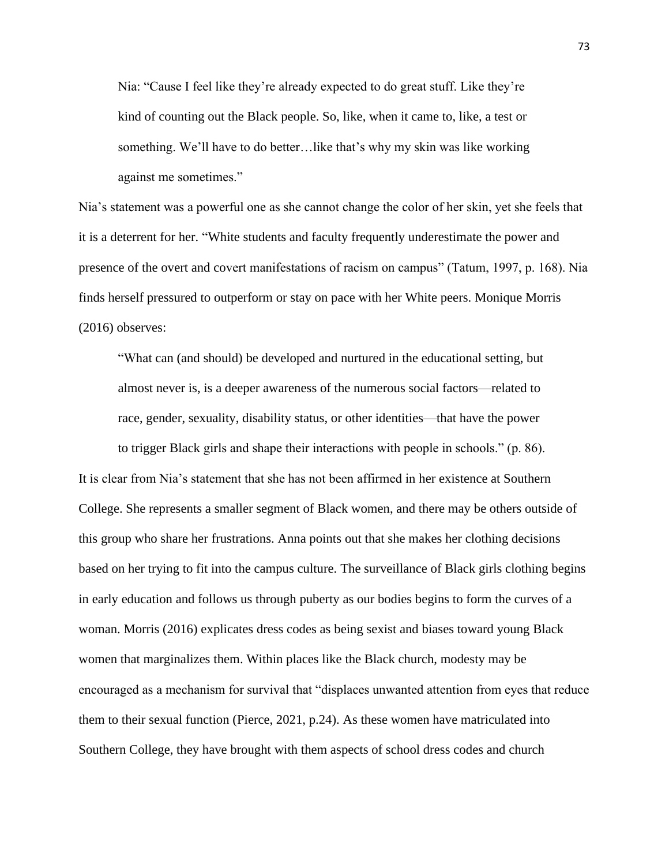Nia: "Cause I feel like they're already expected to do great stuff. Like they're kind of counting out the Black people. So, like, when it came to, like, a test or something. We'll have to do better…like that's why my skin was like working against me sometimes."

Nia's statement was a powerful one as she cannot change the color of her skin, yet she feels that it is a deterrent for her. "White students and faculty frequently underestimate the power and presence of the overt and covert manifestations of racism on campus" (Tatum, 1997, p. 168). Nia finds herself pressured to outperform or stay on pace with her White peers. Monique Morris (2016) observes:

"What can (and should) be developed and nurtured in the educational setting, but almost never is, is a deeper awareness of the numerous social factors—related to race, gender, sexuality, disability status, or other identities—that have the power

to trigger Black girls and shape their interactions with people in schools." (p. 86). It is clear from Nia's statement that she has not been affirmed in her existence at Southern College. She represents a smaller segment of Black women, and there may be others outside of this group who share her frustrations. Anna points out that she makes her clothing decisions based on her trying to fit into the campus culture. The surveillance of Black girls clothing begins in early education and follows us through puberty as our bodies begins to form the curves of a woman. Morris (2016) explicates dress codes as being sexist and biases toward young Black women that marginalizes them. Within places like the Black church, modesty may be encouraged as a mechanism for survival that "displaces unwanted attention from eyes that reduce them to their sexual function (Pierce, 2021, p.24). As these women have matriculated into Southern College, they have brought with them aspects of school dress codes and church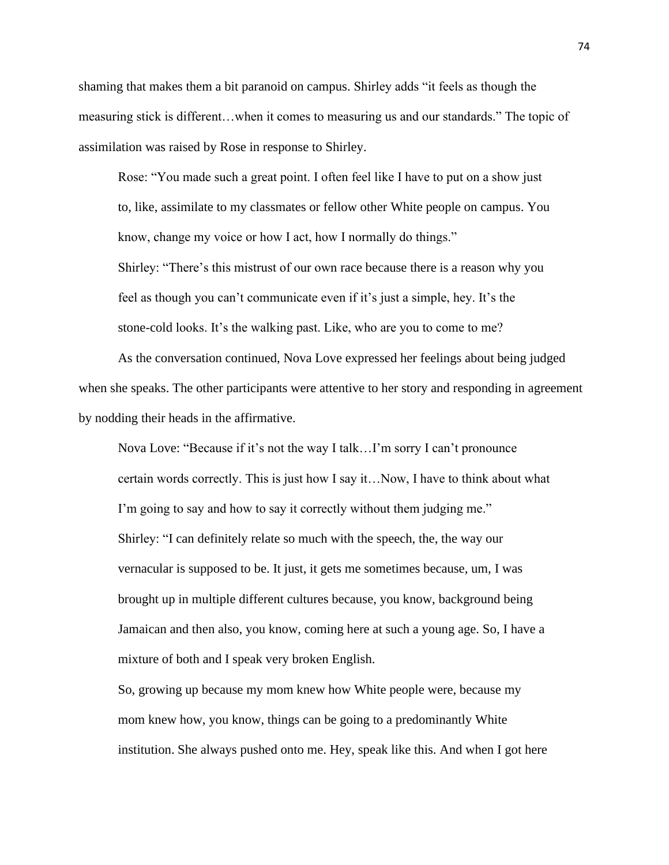shaming that makes them a bit paranoid on campus. Shirley adds "it feels as though the measuring stick is different…when it comes to measuring us and our standards." The topic of assimilation was raised by Rose in response to Shirley.

Rose: "You made such a great point. I often feel like I have to put on a show just to, like, assimilate to my classmates or fellow other White people on campus. You know, change my voice or how I act, how I normally do things."

Shirley: "There's this mistrust of our own race because there is a reason why you feel as though you can't communicate even if it's just a simple, hey. It's the stone-cold looks. It's the walking past. Like, who are you to come to me?

As the conversation continued, Nova Love expressed her feelings about being judged when she speaks. The other participants were attentive to her story and responding in agreement by nodding their heads in the affirmative.

Nova Love: "Because if it's not the way I talk…I'm sorry I can't pronounce certain words correctly. This is just how I say it…Now, I have to think about what I'm going to say and how to say it correctly without them judging me." Shirley: "I can definitely relate so much with the speech, the, the way our vernacular is supposed to be. It just, it gets me sometimes because, um, I was brought up in multiple different cultures because, you know, background being Jamaican and then also, you know, coming here at such a young age. So, I have a mixture of both and I speak very broken English.

So, growing up because my mom knew how White people were, because my mom knew how, you know, things can be going to a predominantly White institution. She always pushed onto me. Hey, speak like this. And when I got here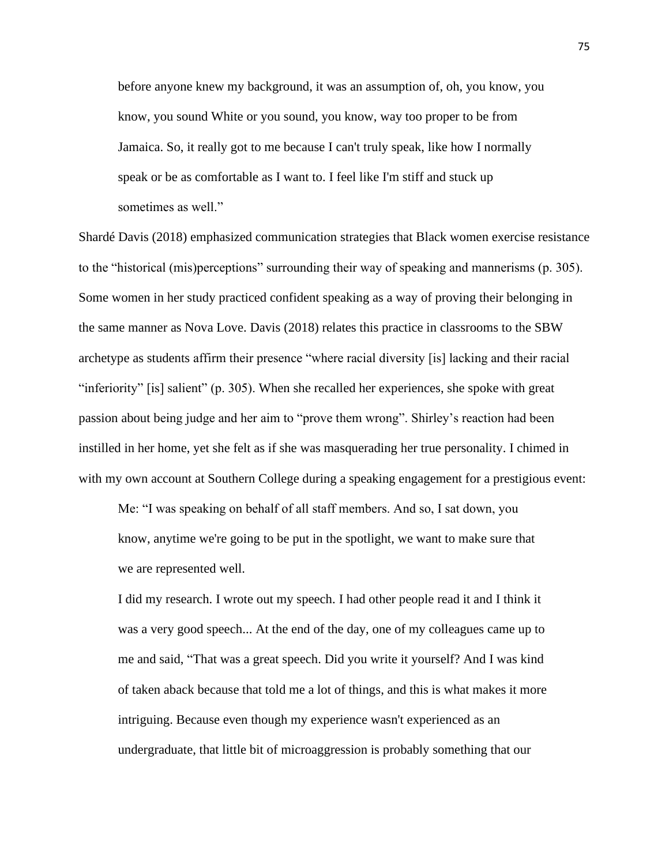before anyone knew my background, it was an assumption of, oh, you know, you know, you sound White or you sound, you know, way too proper to be from Jamaica. So, it really got to me because I can't truly speak, like how I normally speak or be as comfortable as I want to. I feel like I'm stiff and stuck up sometimes as well."

Shardé Davis (2018) emphasized communication strategies that Black women exercise resistance to the "historical (mis)perceptions" surrounding their way of speaking and mannerisms (p. 305). Some women in her study practiced confident speaking as a way of proving their belonging in the same manner as Nova Love. Davis (2018) relates this practice in classrooms to the SBW archetype as students affirm their presence "where racial diversity [is] lacking and their racial "inferiority" [is] salient" (p. 305). When she recalled her experiences, she spoke with great passion about being judge and her aim to "prove them wrong". Shirley's reaction had been instilled in her home, yet she felt as if she was masquerading her true personality. I chimed in with my own account at Southern College during a speaking engagement for a prestigious event:

Me: "I was speaking on behalf of all staff members. And so, I sat down, you know, anytime we're going to be put in the spotlight, we want to make sure that we are represented well.

I did my research. I wrote out my speech. I had other people read it and I think it was a very good speech... At the end of the day, one of my colleagues came up to me and said, "That was a great speech. Did you write it yourself? And I was kind of taken aback because that told me a lot of things, and this is what makes it more intriguing. Because even though my experience wasn't experienced as an undergraduate, that little bit of microaggression is probably something that our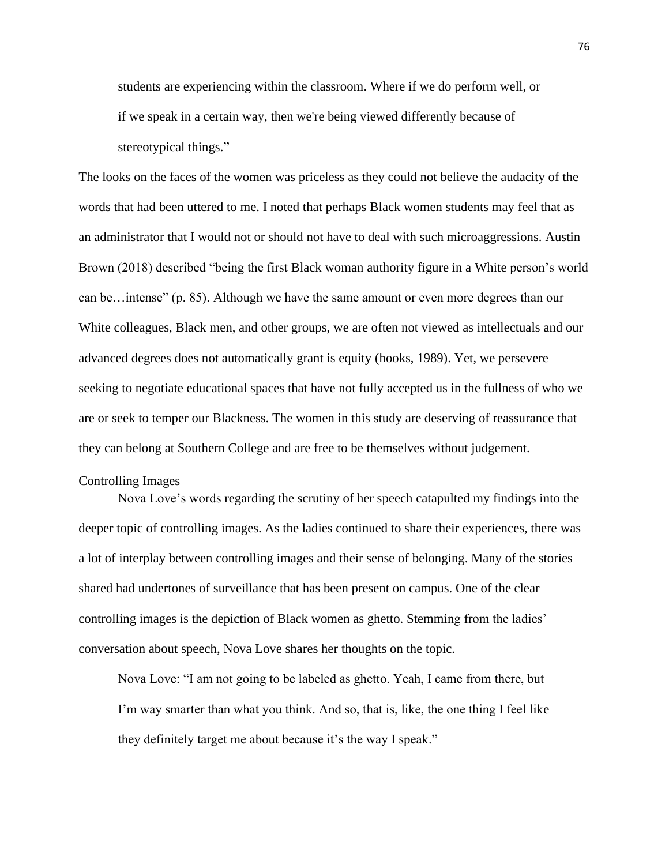students are experiencing within the classroom. Where if we do perform well, or if we speak in a certain way, then we're being viewed differently because of stereotypical things."

The looks on the faces of the women was priceless as they could not believe the audacity of the words that had been uttered to me. I noted that perhaps Black women students may feel that as an administrator that I would not or should not have to deal with such microaggressions. Austin Brown (2018) described "being the first Black woman authority figure in a White person's world can be…intense" (p. 85). Although we have the same amount or even more degrees than our White colleagues, Black men, and other groups, we are often not viewed as intellectuals and our advanced degrees does not automatically grant is equity (hooks, 1989). Yet, we persevere seeking to negotiate educational spaces that have not fully accepted us in the fullness of who we are or seek to temper our Blackness. The women in this study are deserving of reassurance that they can belong at Southern College and are free to be themselves without judgement.

## Controlling Images

Nova Love's words regarding the scrutiny of her speech catapulted my findings into the deeper topic of controlling images. As the ladies continued to share their experiences, there was a lot of interplay between controlling images and their sense of belonging. Many of the stories shared had undertones of surveillance that has been present on campus. One of the clear controlling images is the depiction of Black women as ghetto. Stemming from the ladies' conversation about speech, Nova Love shares her thoughts on the topic.

Nova Love: "I am not going to be labeled as ghetto. Yeah, I came from there, but I'm way smarter than what you think. And so, that is, like, the one thing I feel like they definitely target me about because it's the way I speak."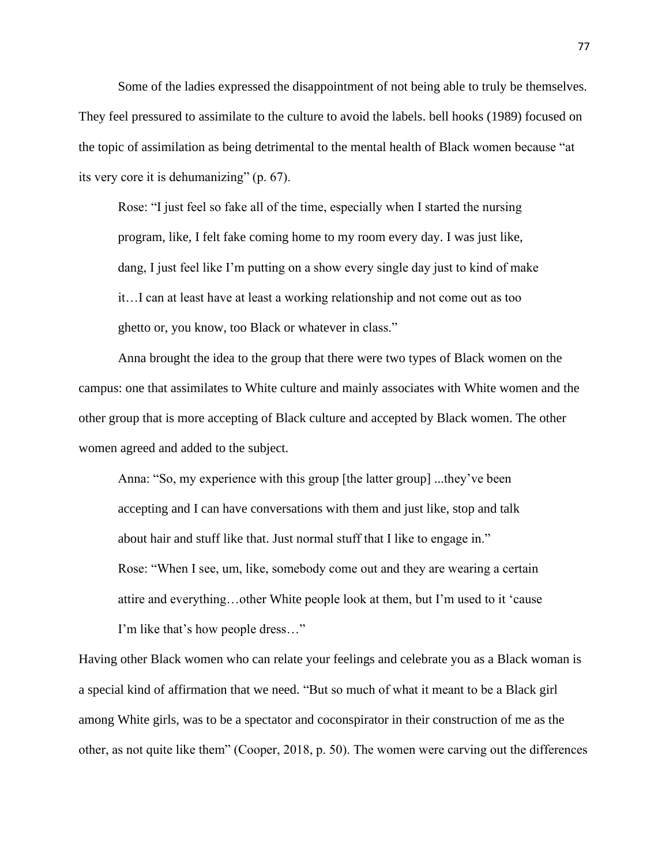Some of the ladies expressed the disappointment of not being able to truly be themselves. They feel pressured to assimilate to the culture to avoid the labels. bell hooks (1989) focused on the topic of assimilation as being detrimental to the mental health of Black women because "at its very core it is dehumanizing" (p. 67).

Rose: "I just feel so fake all of the time, especially when I started the nursing program, like, I felt fake coming home to my room every day. I was just like, dang, I just feel like I'm putting on a show every single day just to kind of make it…I can at least have at least a working relationship and not come out as too ghetto or, you know, too Black or whatever in class."

Anna brought the idea to the group that there were two types of Black women on the campus: one that assimilates to White culture and mainly associates with White women and the other group that is more accepting of Black culture and accepted by Black women. The other women agreed and added to the subject.

Anna: "So, my experience with this group [the latter group] ...they've been accepting and I can have conversations with them and just like, stop and talk about hair and stuff like that. Just normal stuff that I like to engage in." Rose: "When I see, um, like, somebody come out and they are wearing a certain attire and everything…other White people look at them, but I'm used to it 'cause I'm like that's how people dress…"

Having other Black women who can relate your feelings and celebrate you as a Black woman is a special kind of affirmation that we need. "But so much of what it meant to be a Black girl among White girls, was to be a spectator and coconspirator in their construction of me as the other, as not quite like them" (Cooper, 2018, p. 50). The women were carving out the differences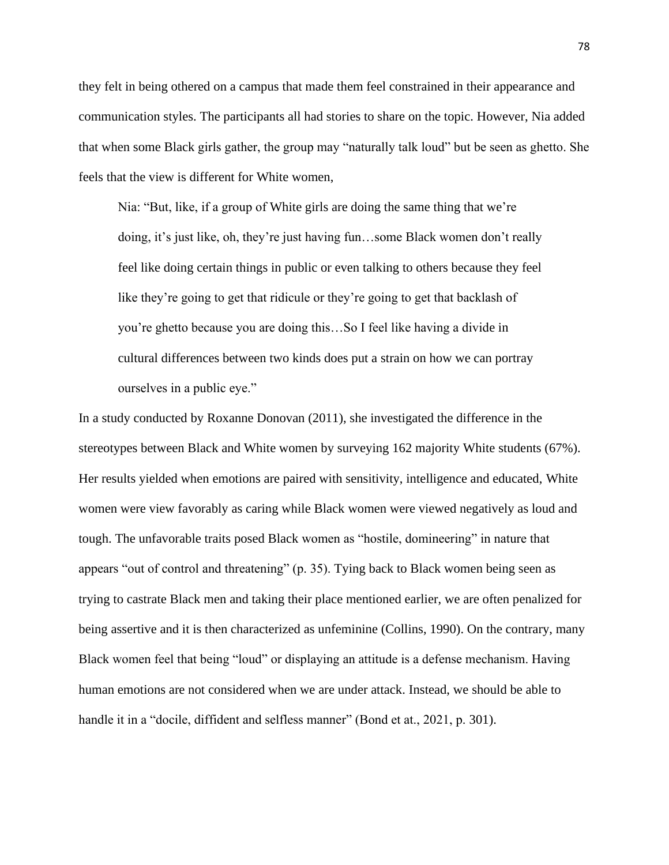they felt in being othered on a campus that made them feel constrained in their appearance and communication styles. The participants all had stories to share on the topic. However, Nia added that when some Black girls gather, the group may "naturally talk loud" but be seen as ghetto. She feels that the view is different for White women,

Nia: "But, like, if a group of White girls are doing the same thing that we're doing, it's just like, oh, they're just having fun…some Black women don't really feel like doing certain things in public or even talking to others because they feel like they're going to get that ridicule or they're going to get that backlash of you're ghetto because you are doing this…So I feel like having a divide in cultural differences between two kinds does put a strain on how we can portray ourselves in a public eye."

In a study conducted by Roxanne Donovan (2011), she investigated the difference in the stereotypes between Black and White women by surveying 162 majority White students (67%). Her results yielded when emotions are paired with sensitivity, intelligence and educated, White women were view favorably as caring while Black women were viewed negatively as loud and tough. The unfavorable traits posed Black women as "hostile, domineering" in nature that appears "out of control and threatening" (p. 35). Tying back to Black women being seen as trying to castrate Black men and taking their place mentioned earlier, we are often penalized for being assertive and it is then characterized as unfeminine (Collins, 1990). On the contrary, many Black women feel that being "loud" or displaying an attitude is a defense mechanism. Having human emotions are not considered when we are under attack. Instead, we should be able to handle it in a "docile, diffident and selfless manner" (Bond et at., 2021, p. 301).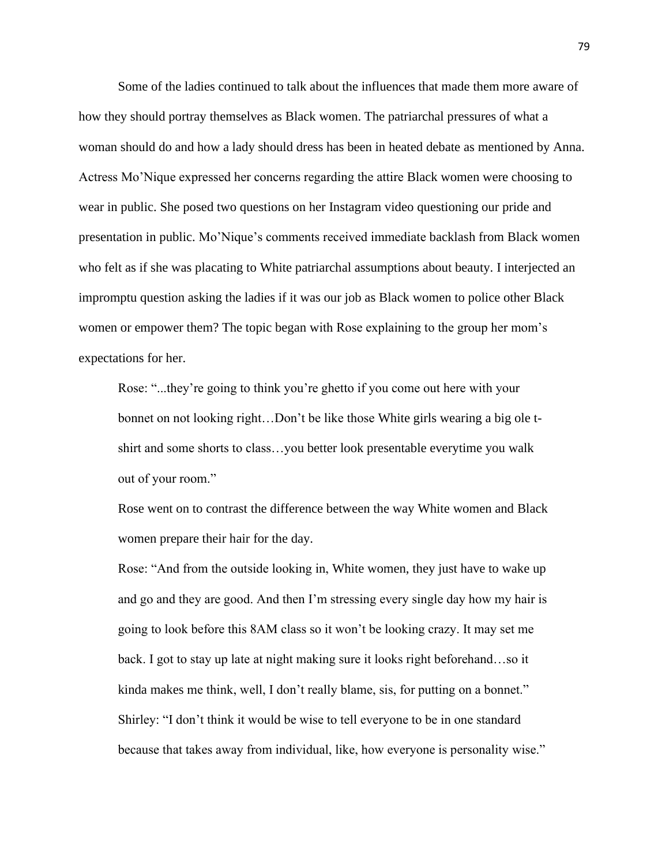Some of the ladies continued to talk about the influences that made them more aware of how they should portray themselves as Black women. The patriarchal pressures of what a woman should do and how a lady should dress has been in heated debate as mentioned by Anna. Actress Mo'Nique expressed her concerns regarding the attire Black women were choosing to wear in public. She posed two questions on her Instagram video questioning our pride and presentation in public. Mo'Nique's comments received immediate backlash from Black women who felt as if she was placating to White patriarchal assumptions about beauty. I interjected an impromptu question asking the ladies if it was our job as Black women to police other Black women or empower them? The topic began with Rose explaining to the group her mom's expectations for her.

Rose: "...they're going to think you're ghetto if you come out here with your bonnet on not looking right…Don't be like those White girls wearing a big ole tshirt and some shorts to class…you better look presentable everytime you walk out of your room."

Rose went on to contrast the difference between the way White women and Black women prepare their hair for the day.

Rose: "And from the outside looking in, White women, they just have to wake up and go and they are good. And then I'm stressing every single day how my hair is going to look before this 8AM class so it won't be looking crazy. It may set me back. I got to stay up late at night making sure it looks right beforehand…so it kinda makes me think, well, I don't really blame, sis, for putting on a bonnet." Shirley: "I don't think it would be wise to tell everyone to be in one standard because that takes away from individual, like, how everyone is personality wise."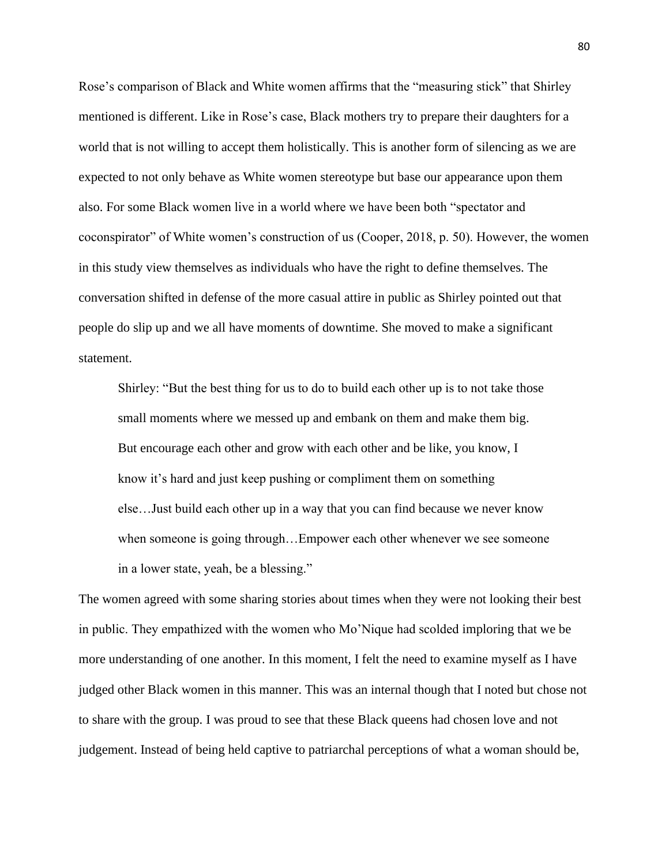Rose's comparison of Black and White women affirms that the "measuring stick" that Shirley mentioned is different. Like in Rose's case, Black mothers try to prepare their daughters for a world that is not willing to accept them holistically. This is another form of silencing as we are expected to not only behave as White women stereotype but base our appearance upon them also. For some Black women live in a world where we have been both "spectator and coconspirator" of White women's construction of us (Cooper, 2018, p. 50). However, the women in this study view themselves as individuals who have the right to define themselves. The conversation shifted in defense of the more casual attire in public as Shirley pointed out that people do slip up and we all have moments of downtime. She moved to make a significant statement.

Shirley: "But the best thing for us to do to build each other up is to not take those small moments where we messed up and embank on them and make them big. But encourage each other and grow with each other and be like, you know, I know it's hard and just keep pushing or compliment them on something else…Just build each other up in a way that you can find because we never know when someone is going through…Empower each other whenever we see someone in a lower state, yeah, be a blessing."

The women agreed with some sharing stories about times when they were not looking their best in public. They empathized with the women who Mo'Nique had scolded imploring that we be more understanding of one another. In this moment, I felt the need to examine myself as I have judged other Black women in this manner. This was an internal though that I noted but chose not to share with the group. I was proud to see that these Black queens had chosen love and not judgement. Instead of being held captive to patriarchal perceptions of what a woman should be,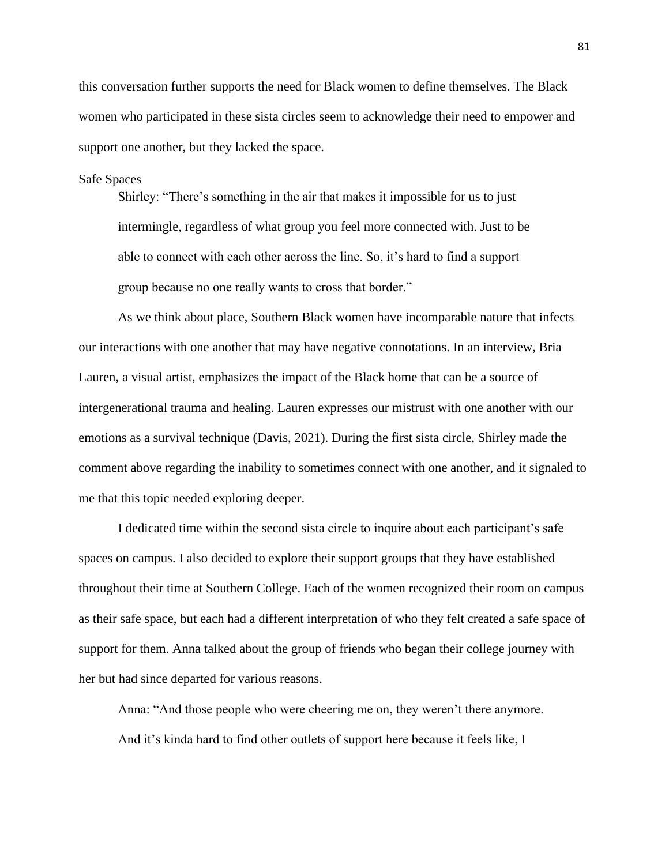this conversation further supports the need for Black women to define themselves. The Black women who participated in these sista circles seem to acknowledge their need to empower and support one another, but they lacked the space.

#### Safe Spaces

Shirley: "There's something in the air that makes it impossible for us to just intermingle, regardless of what group you feel more connected with. Just to be able to connect with each other across the line. So, it's hard to find a support group because no one really wants to cross that border."

As we think about place, Southern Black women have incomparable nature that infects our interactions with one another that may have negative connotations. In an interview, Bria Lauren, a visual artist, emphasizes the impact of the Black home that can be a source of intergenerational trauma and healing. Lauren expresses our mistrust with one another with our emotions as a survival technique (Davis, 2021). During the first sista circle, Shirley made the comment above regarding the inability to sometimes connect with one another, and it signaled to me that this topic needed exploring deeper.

I dedicated time within the second sista circle to inquire about each participant's safe spaces on campus. I also decided to explore their support groups that they have established throughout their time at Southern College. Each of the women recognized their room on campus as their safe space, but each had a different interpretation of who they felt created a safe space of support for them. Anna talked about the group of friends who began their college journey with her but had since departed for various reasons.

Anna: "And those people who were cheering me on, they weren't there anymore. And it's kinda hard to find other outlets of support here because it feels like, I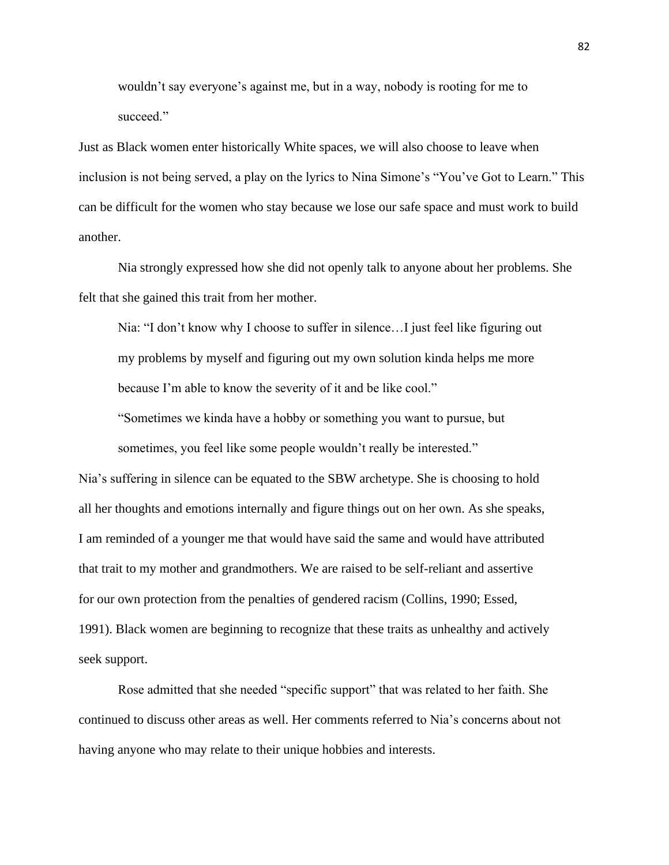wouldn't say everyone's against me, but in a way, nobody is rooting for me to succeed."

Just as Black women enter historically White spaces, we will also choose to leave when inclusion is not being served, a play on the lyrics to Nina Simone's "You've Got to Learn." This can be difficult for the women who stay because we lose our safe space and must work to build another.

Nia strongly expressed how she did not openly talk to anyone about her problems. She felt that she gained this trait from her mother.

Nia: "I don't know why I choose to suffer in silence…I just feel like figuring out my problems by myself and figuring out my own solution kinda helps me more because I'm able to know the severity of it and be like cool."

"Sometimes we kinda have a hobby or something you want to pursue, but sometimes, you feel like some people wouldn't really be interested."

Nia's suffering in silence can be equated to the SBW archetype. She is choosing to hold all her thoughts and emotions internally and figure things out on her own. As she speaks, I am reminded of a younger me that would have said the same and would have attributed that trait to my mother and grandmothers. We are raised to be self-reliant and assertive for our own protection from the penalties of gendered racism (Collins, 1990; Essed, 1991). Black women are beginning to recognize that these traits as unhealthy and actively seek support.

Rose admitted that she needed "specific support" that was related to her faith. She continued to discuss other areas as well. Her comments referred to Nia's concerns about not having anyone who may relate to their unique hobbies and interests.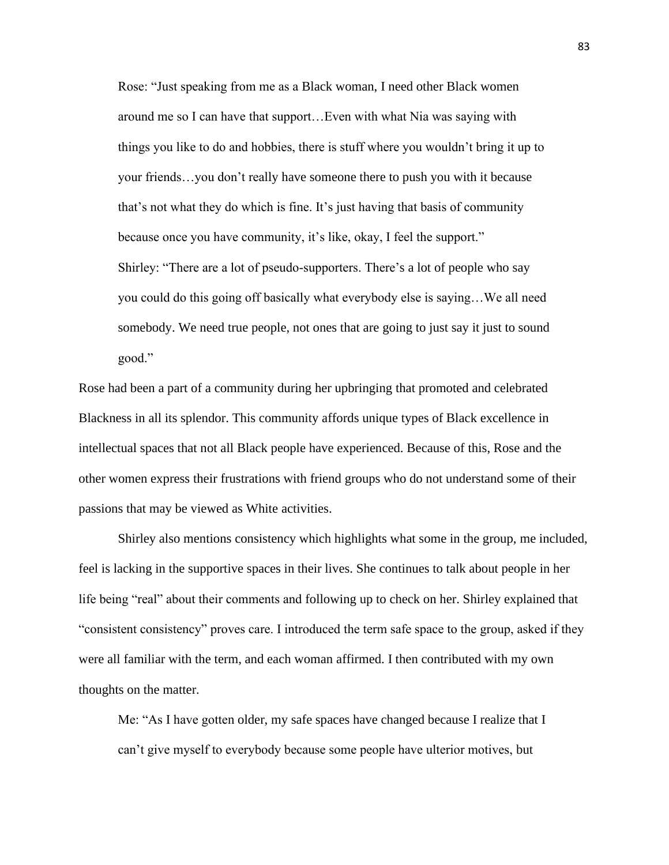Rose: "Just speaking from me as a Black woman, I need other Black women around me so I can have that support…Even with what Nia was saying with things you like to do and hobbies, there is stuff where you wouldn't bring it up to your friends…you don't really have someone there to push you with it because that's not what they do which is fine. It's just having that basis of community because once you have community, it's like, okay, I feel the support." Shirley: "There are a lot of pseudo-supporters. There's a lot of people who say you could do this going off basically what everybody else is saying…We all need somebody. We need true people, not ones that are going to just say it just to sound good."

Rose had been a part of a community during her upbringing that promoted and celebrated Blackness in all its splendor. This community affords unique types of Black excellence in intellectual spaces that not all Black people have experienced. Because of this, Rose and the other women express their frustrations with friend groups who do not understand some of their passions that may be viewed as White activities.

Shirley also mentions consistency which highlights what some in the group, me included, feel is lacking in the supportive spaces in their lives. She continues to talk about people in her life being "real" about their comments and following up to check on her. Shirley explained that "consistent consistency" proves care. I introduced the term safe space to the group, asked if they were all familiar with the term, and each woman affirmed. I then contributed with my own thoughts on the matter.

Me: "As I have gotten older, my safe spaces have changed because I realize that I can't give myself to everybody because some people have ulterior motives, but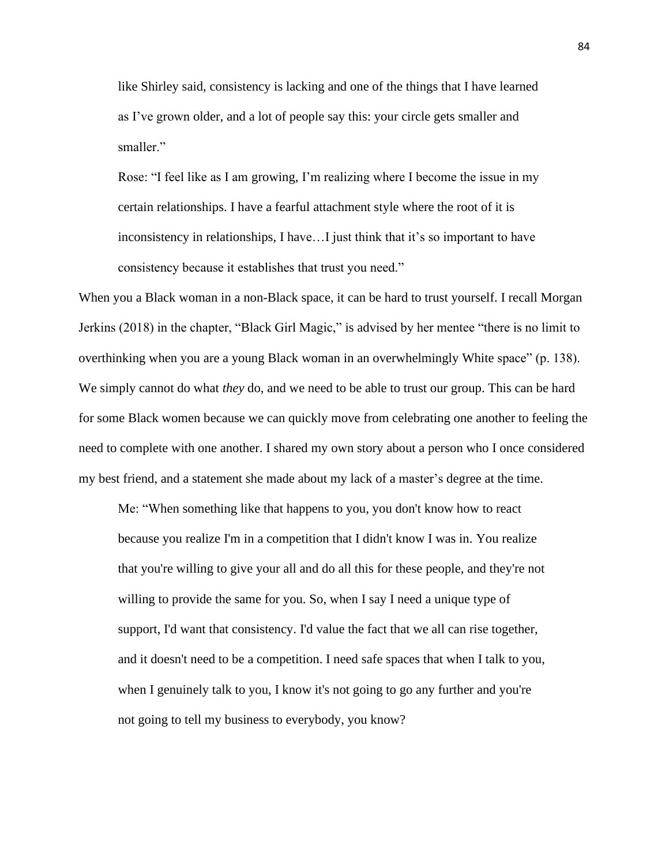like Shirley said, consistency is lacking and one of the things that I have learned as I've grown older, and a lot of people say this: your circle gets smaller and smaller."

Rose: "I feel like as I am growing, I'm realizing where I become the issue in my certain relationships. I have a fearful attachment style where the root of it is inconsistency in relationships, I have…I just think that it's so important to have consistency because it establishes that trust you need."

When you a Black woman in a non-Black space, it can be hard to trust yourself. I recall Morgan Jerkins (2018) in the chapter, "Black Girl Magic," is advised by her mentee "there is no limit to overthinking when you are a young Black woman in an overwhelmingly White space" (p. 138). We simply cannot do what *they* do, and we need to be able to trust our group. This can be hard for some Black women because we can quickly move from celebrating one another to feeling the need to complete with one another. I shared my own story about a person who I once considered my best friend, and a statement she made about my lack of a master's degree at the time.

Me: "When something like that happens to you, you don't know how to react because you realize I'm in a competition that I didn't know I was in. You realize that you're willing to give your all and do all this for these people, and they're not willing to provide the same for you. So, when I say I need a unique type of support, I'd want that consistency. I'd value the fact that we all can rise together, and it doesn't need to be a competition. I need safe spaces that when I talk to you, when I genuinely talk to you, I know it's not going to go any further and you're not going to tell my business to everybody, you know?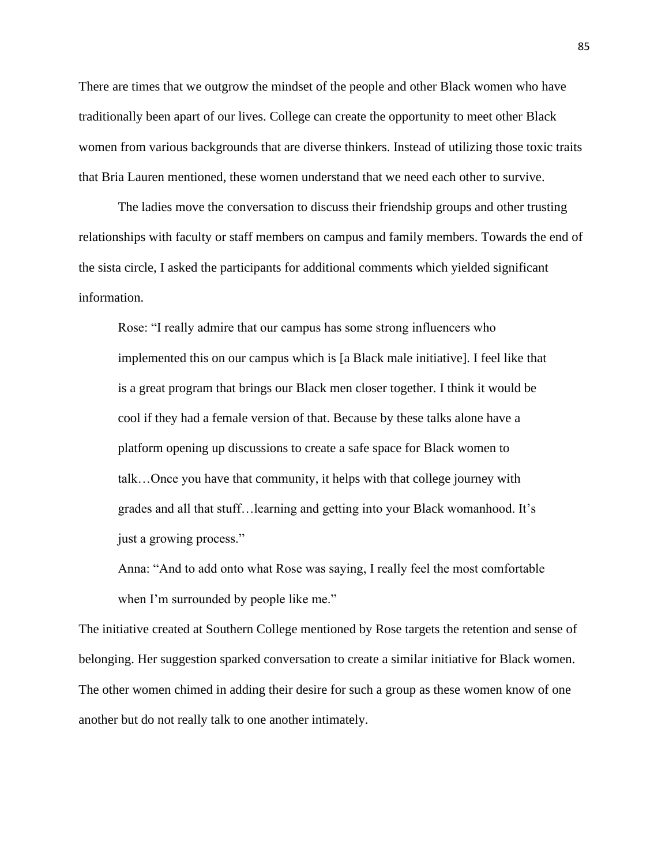There are times that we outgrow the mindset of the people and other Black women who have traditionally been apart of our lives. College can create the opportunity to meet other Black women from various backgrounds that are diverse thinkers. Instead of utilizing those toxic traits that Bria Lauren mentioned, these women understand that we need each other to survive.

The ladies move the conversation to discuss their friendship groups and other trusting relationships with faculty or staff members on campus and family members. Towards the end of the sista circle, I asked the participants for additional comments which yielded significant information.

Rose: "I really admire that our campus has some strong influencers who implemented this on our campus which is [a Black male initiative]. I feel like that is a great program that brings our Black men closer together. I think it would be cool if they had a female version of that. Because by these talks alone have a platform opening up discussions to create a safe space for Black women to talk…Once you have that community, it helps with that college journey with grades and all that stuff…learning and getting into your Black womanhood. It's just a growing process."

Anna: "And to add onto what Rose was saying, I really feel the most comfortable when I'm surrounded by people like me."

The initiative created at Southern College mentioned by Rose targets the retention and sense of belonging. Her suggestion sparked conversation to create a similar initiative for Black women. The other women chimed in adding their desire for such a group as these women know of one another but do not really talk to one another intimately.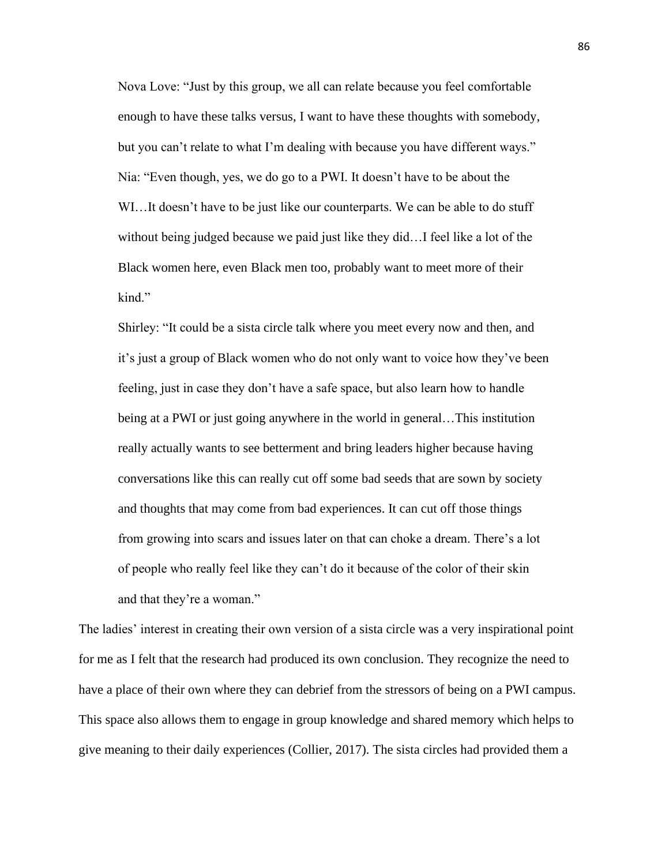Nova Love: "Just by this group, we all can relate because you feel comfortable enough to have these talks versus, I want to have these thoughts with somebody, but you can't relate to what I'm dealing with because you have different ways." Nia: "Even though, yes, we do go to a PWI. It doesn't have to be about the WI…It doesn't have to be just like our counterparts. We can be able to do stuff without being judged because we paid just like they did…I feel like a lot of the Black women here, even Black men too, probably want to meet more of their kind."

Shirley: "It could be a sista circle talk where you meet every now and then, and it's just a group of Black women who do not only want to voice how they've been feeling, just in case they don't have a safe space, but also learn how to handle being at a PWI or just going anywhere in the world in general…This institution really actually wants to see betterment and bring leaders higher because having conversations like this can really cut off some bad seeds that are sown by society and thoughts that may come from bad experiences. It can cut off those things from growing into scars and issues later on that can choke a dream. There's a lot of people who really feel like they can't do it because of the color of their skin and that they're a woman."

The ladies' interest in creating their own version of a sista circle was a very inspirational point for me as I felt that the research had produced its own conclusion. They recognize the need to have a place of their own where they can debrief from the stressors of being on a PWI campus. This space also allows them to engage in group knowledge and shared memory which helps to give meaning to their daily experiences (Collier, 2017). The sista circles had provided them a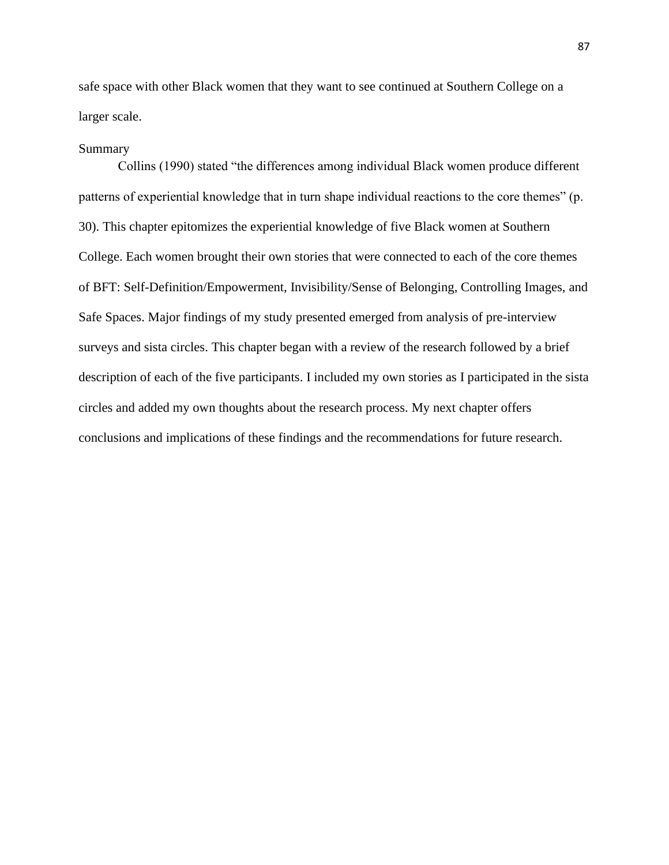safe space with other Black women that they want to see continued at Southern College on a larger scale.

#### Summary

Collins (1990) stated "the differences among individual Black women produce different patterns of experiential knowledge that in turn shape individual reactions to the core themes" (p. 30). This chapter epitomizes the experiential knowledge of five Black women at Southern College. Each women brought their own stories that were connected to each of the core themes of BFT: Self-Definition/Empowerment, Invisibility/Sense of Belonging, Controlling Images, and Safe Spaces. Major findings of my study presented emerged from analysis of pre-interview surveys and sista circles. This chapter began with a review of the research followed by a brief description of each of the five participants. I included my own stories as I participated in the sista circles and added my own thoughts about the research process. My next chapter offers conclusions and implications of these findings and the recommendations for future research.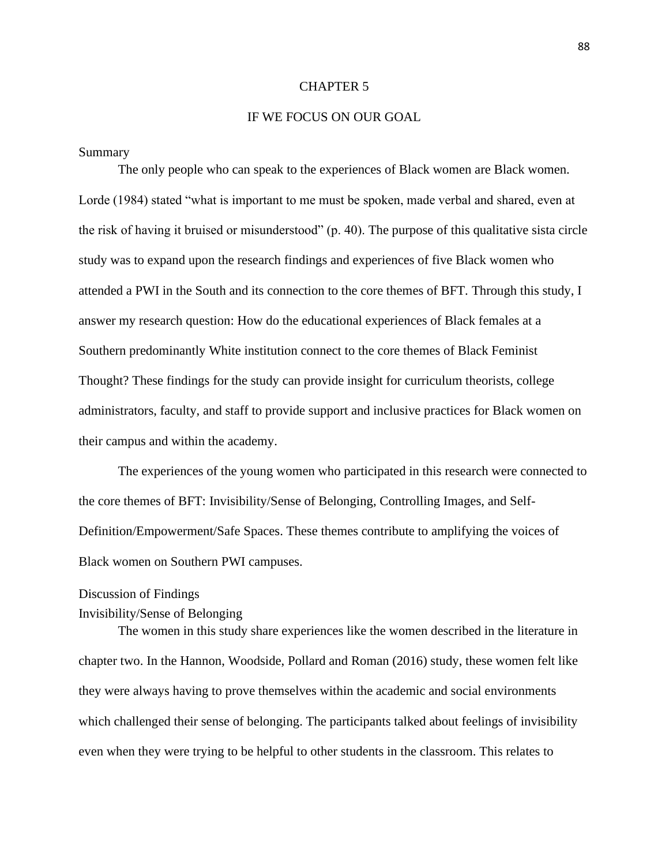#### CHAPTER 5

# IF WE FOCUS ON OUR GOAL

#### Summary

The only people who can speak to the experiences of Black women are Black women. Lorde (1984) stated "what is important to me must be spoken, made verbal and shared, even at the risk of having it bruised or misunderstood" (p. 40). The purpose of this qualitative sista circle study was to expand upon the research findings and experiences of five Black women who attended a PWI in the South and its connection to the core themes of BFT. Through this study, I answer my research question: How do the educational experiences of Black females at a Southern predominantly White institution connect to the core themes of Black Feminist Thought? These findings for the study can provide insight for curriculum theorists, college administrators, faculty, and staff to provide support and inclusive practices for Black women on their campus and within the academy.

The experiences of the young women who participated in this research were connected to the core themes of BFT: Invisibility/Sense of Belonging, Controlling Images, and Self-Definition/Empowerment/Safe Spaces. These themes contribute to amplifying the voices of Black women on Southern PWI campuses.

#### Discussion of Findings

# Invisibility/Sense of Belonging

The women in this study share experiences like the women described in the literature in chapter two. In the Hannon, Woodside, Pollard and Roman (2016) study, these women felt like they were always having to prove themselves within the academic and social environments which challenged their sense of belonging. The participants talked about feelings of invisibility even when they were trying to be helpful to other students in the classroom. This relates to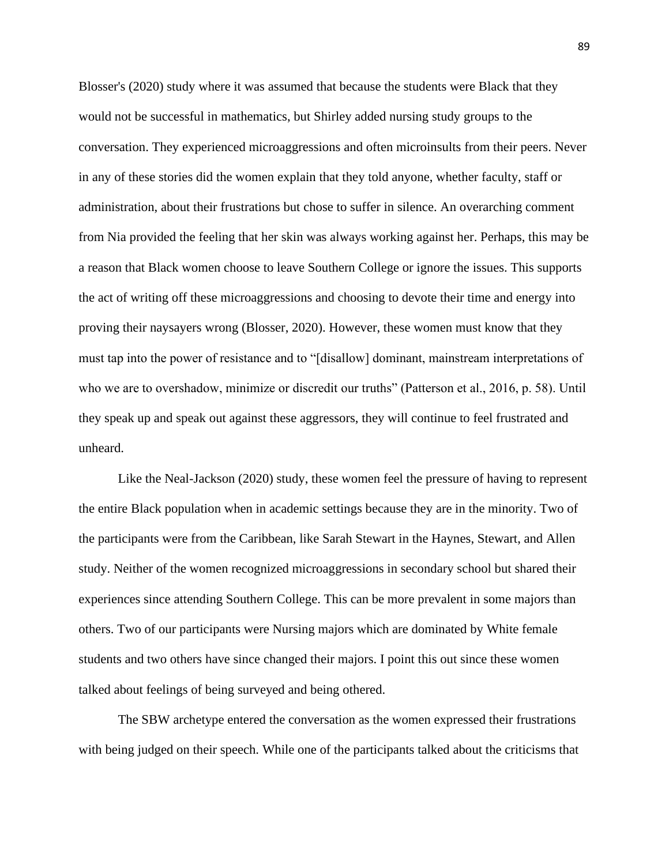Blosser's (2020) study where it was assumed that because the students were Black that they would not be successful in mathematics, but Shirley added nursing study groups to the conversation. They experienced microaggressions and often microinsults from their peers. Never in any of these stories did the women explain that they told anyone, whether faculty, staff or administration, about their frustrations but chose to suffer in silence. An overarching comment from Nia provided the feeling that her skin was always working against her. Perhaps, this may be a reason that Black women choose to leave Southern College or ignore the issues. This supports the act of writing off these microaggressions and choosing to devote their time and energy into proving their naysayers wrong (Blosser, 2020). However, these women must know that they must tap into the power of resistance and to "[disallow] dominant, mainstream interpretations of who we are to overshadow, minimize or discredit our truths" (Patterson et al., 2016, p. 58). Until they speak up and speak out against these aggressors, they will continue to feel frustrated and unheard.

Like the Neal-Jackson (2020) study, these women feel the pressure of having to represent the entire Black population when in academic settings because they are in the minority. Two of the participants were from the Caribbean, like Sarah Stewart in the Haynes, Stewart, and Allen study. Neither of the women recognized microaggressions in secondary school but shared their experiences since attending Southern College. This can be more prevalent in some majors than others. Two of our participants were Nursing majors which are dominated by White female students and two others have since changed their majors. I point this out since these women talked about feelings of being surveyed and being othered.

The SBW archetype entered the conversation as the women expressed their frustrations with being judged on their speech. While one of the participants talked about the criticisms that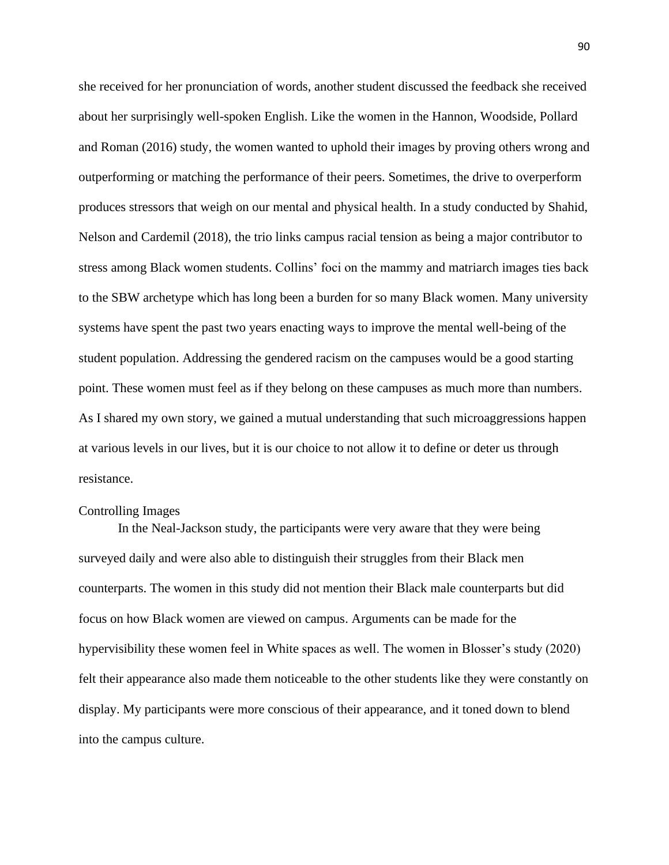she received for her pronunciation of words, another student discussed the feedback she received about her surprisingly well-spoken English. Like the women in the Hannon, Woodside, Pollard and Roman (2016) study, the women wanted to uphold their images by proving others wrong and outperforming or matching the performance of their peers. Sometimes, the drive to overperform produces stressors that weigh on our mental and physical health. In a study conducted by Shahid, Nelson and Cardemil (2018), the trio links campus racial tension as being a major contributor to stress among Black women students. Collins' foci on the mammy and matriarch images ties back to the SBW archetype which has long been a burden for so many Black women. Many university systems have spent the past two years enacting ways to improve the mental well-being of the student population. Addressing the gendered racism on the campuses would be a good starting point. These women must feel as if they belong on these campuses as much more than numbers. As I shared my own story, we gained a mutual understanding that such microaggressions happen at various levels in our lives, but it is our choice to not allow it to define or deter us through resistance.

# Controlling Images

In the Neal-Jackson study, the participants were very aware that they were being surveyed daily and were also able to distinguish their struggles from their Black men counterparts. The women in this study did not mention their Black male counterparts but did focus on how Black women are viewed on campus. Arguments can be made for the hypervisibility these women feel in White spaces as well. The women in Blosser's study (2020) felt their appearance also made them noticeable to the other students like they were constantly on display. My participants were more conscious of their appearance, and it toned down to blend into the campus culture.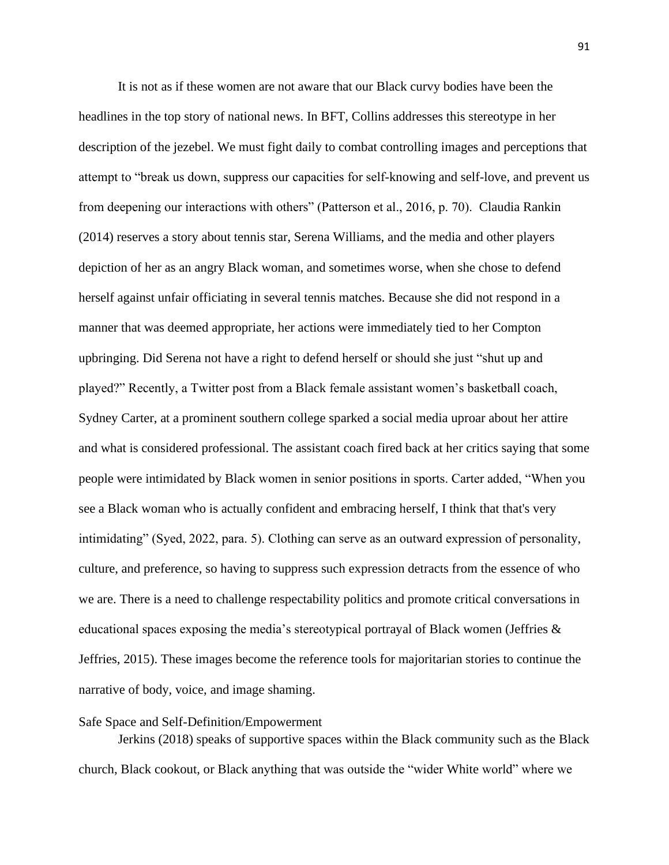It is not as if these women are not aware that our Black curvy bodies have been the headlines in the top story of national news. In BFT, Collins addresses this stereotype in her description of the jezebel. We must fight daily to combat controlling images and perceptions that attempt to "break us down, suppress our capacities for self-knowing and self-love, and prevent us from deepening our interactions with others" (Patterson et al., 2016, p. 70). Claudia Rankin (2014) reserves a story about tennis star, Serena Williams, and the media and other players depiction of her as an angry Black woman, and sometimes worse, when she chose to defend herself against unfair officiating in several tennis matches. Because she did not respond in a manner that was deemed appropriate, her actions were immediately tied to her Compton upbringing. Did Serena not have a right to defend herself or should she just "shut up and played?" Recently, a Twitter post from a Black female assistant women's basketball coach, Sydney Carter, at a prominent southern college sparked a social media uproar about her attire and what is considered professional. The assistant coach fired back at her critics saying that some people were intimidated by Black women in senior positions in sports. Carter added, "When you see a Black woman who is actually confident and embracing herself, I think that that's very intimidating" (Syed, 2022, para. 5). Clothing can serve as an outward expression of personality, culture, and preference, so having to suppress such expression detracts from the essence of who we are. There is a need to challenge respectability politics and promote critical conversations in educational spaces exposing the media's stereotypical portrayal of Black women (Jeffries & Jeffries, 2015). These images become the reference tools for majoritarian stories to continue the narrative of body, voice, and image shaming.

# Safe Space and Self-Definition/Empowerment

Jerkins (2018) speaks of supportive spaces within the Black community such as the Black church, Black cookout, or Black anything that was outside the "wider White world" where we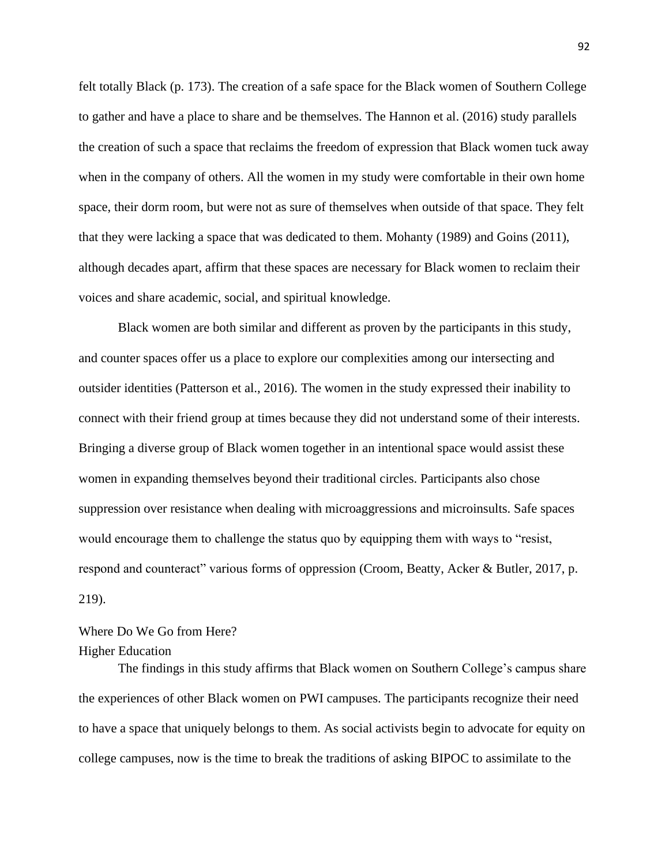felt totally Black (p. 173). The creation of a safe space for the Black women of Southern College to gather and have a place to share and be themselves. The Hannon et al. (2016) study parallels the creation of such a space that reclaims the freedom of expression that Black women tuck away when in the company of others. All the women in my study were comfortable in their own home space, their dorm room, but were not as sure of themselves when outside of that space. They felt that they were lacking a space that was dedicated to them. Mohanty (1989) and Goins (2011), although decades apart, affirm that these spaces are necessary for Black women to reclaim their voices and share academic, social, and spiritual knowledge.

Black women are both similar and different as proven by the participants in this study, and counter spaces offer us a place to explore our complexities among our intersecting and outsider identities (Patterson et al., 2016). The women in the study expressed their inability to connect with their friend group at times because they did not understand some of their interests. Bringing a diverse group of Black women together in an intentional space would assist these women in expanding themselves beyond their traditional circles. Participants also chose suppression over resistance when dealing with microaggressions and microinsults. Safe spaces would encourage them to challenge the status quo by equipping them with ways to "resist, respond and counteract" various forms of oppression (Croom, Beatty, Acker & Butler, 2017, p. 219).

Where Do We Go from Here? Higher Education

The findings in this study affirms that Black women on Southern College's campus share the experiences of other Black women on PWI campuses. The participants recognize their need to have a space that uniquely belongs to them. As social activists begin to advocate for equity on college campuses, now is the time to break the traditions of asking BIPOC to assimilate to the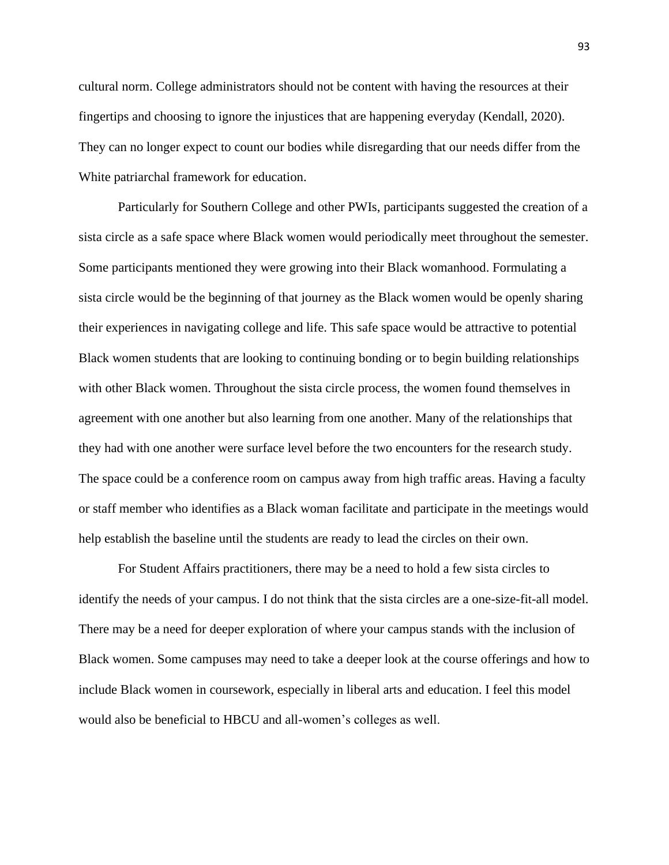cultural norm. College administrators should not be content with having the resources at their fingertips and choosing to ignore the injustices that are happening everyday (Kendall, 2020). They can no longer expect to count our bodies while disregarding that our needs differ from the White patriarchal framework for education.

Particularly for Southern College and other PWIs, participants suggested the creation of a sista circle as a safe space where Black women would periodically meet throughout the semester. Some participants mentioned they were growing into their Black womanhood. Formulating a sista circle would be the beginning of that journey as the Black women would be openly sharing their experiences in navigating college and life. This safe space would be attractive to potential Black women students that are looking to continuing bonding or to begin building relationships with other Black women. Throughout the sista circle process, the women found themselves in agreement with one another but also learning from one another. Many of the relationships that they had with one another were surface level before the two encounters for the research study. The space could be a conference room on campus away from high traffic areas. Having a faculty or staff member who identifies as a Black woman facilitate and participate in the meetings would help establish the baseline until the students are ready to lead the circles on their own.

For Student Affairs practitioners, there may be a need to hold a few sista circles to identify the needs of your campus. I do not think that the sista circles are a one-size-fit-all model. There may be a need for deeper exploration of where your campus stands with the inclusion of Black women. Some campuses may need to take a deeper look at the course offerings and how to include Black women in coursework, especially in liberal arts and education. I feel this model would also be beneficial to HBCU and all-women's colleges as well.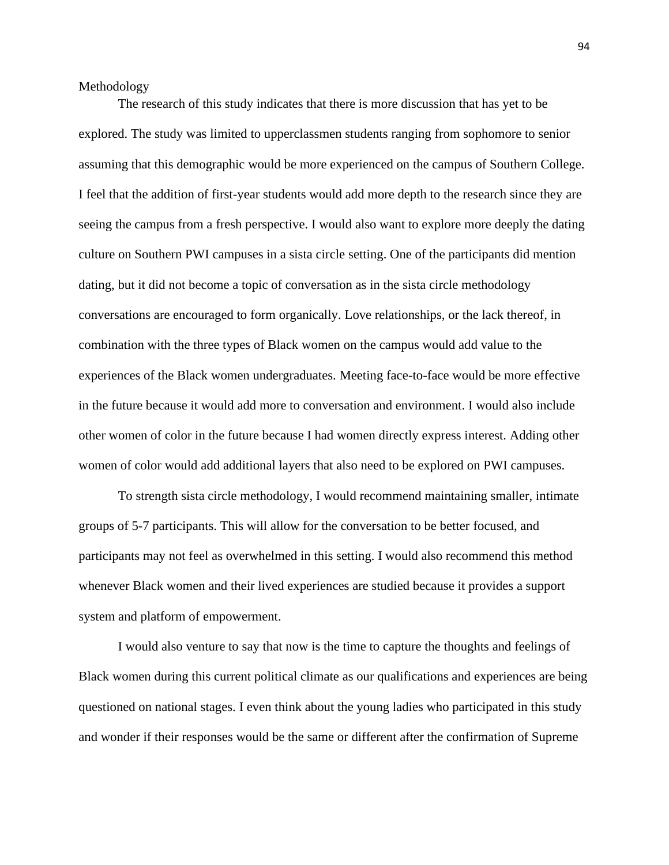Methodology

The research of this study indicates that there is more discussion that has yet to be explored. The study was limited to upperclassmen students ranging from sophomore to senior assuming that this demographic would be more experienced on the campus of Southern College. I feel that the addition of first-year students would add more depth to the research since they are seeing the campus from a fresh perspective. I would also want to explore more deeply the dating culture on Southern PWI campuses in a sista circle setting. One of the participants did mention dating, but it did not become a topic of conversation as in the sista circle methodology conversations are encouraged to form organically. Love relationships, or the lack thereof, in combination with the three types of Black women on the campus would add value to the experiences of the Black women undergraduates. Meeting face-to-face would be more effective in the future because it would add more to conversation and environment. I would also include other women of color in the future because I had women directly express interest. Adding other women of color would add additional layers that also need to be explored on PWI campuses.

To strength sista circle methodology, I would recommend maintaining smaller, intimate groups of 5-7 participants. This will allow for the conversation to be better focused, and participants may not feel as overwhelmed in this setting. I would also recommend this method whenever Black women and their lived experiences are studied because it provides a support system and platform of empowerment.

I would also venture to say that now is the time to capture the thoughts and feelings of Black women during this current political climate as our qualifications and experiences are being questioned on national stages. I even think about the young ladies who participated in this study and wonder if their responses would be the same or different after the confirmation of Supreme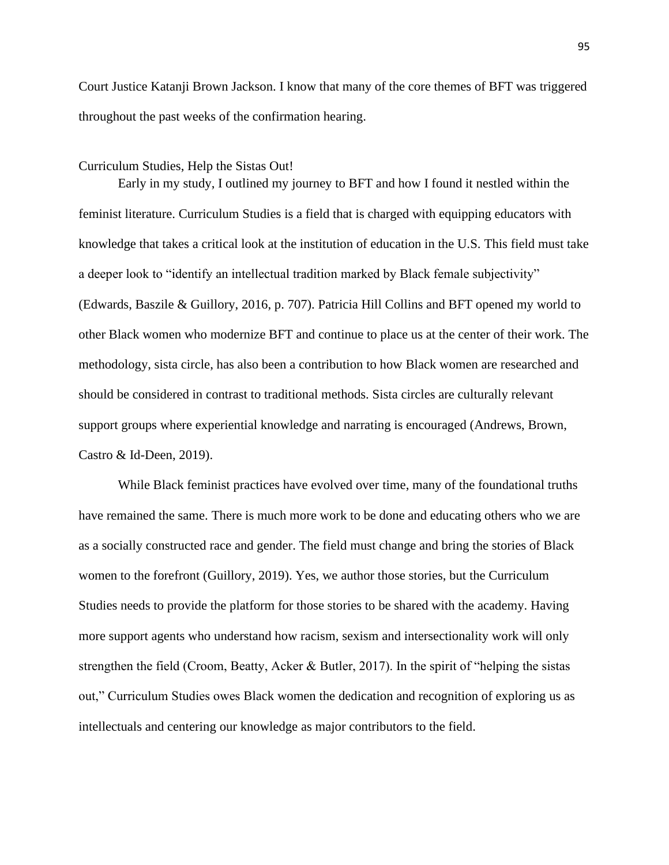Court Justice Katanji Brown Jackson. I know that many of the core themes of BFT was triggered throughout the past weeks of the confirmation hearing.

#### Curriculum Studies, Help the Sistas Out!

Early in my study, I outlined my journey to BFT and how I found it nestled within the feminist literature. Curriculum Studies is a field that is charged with equipping educators with knowledge that takes a critical look at the institution of education in the U.S. This field must take a deeper look to "identify an intellectual tradition marked by Black female subjectivity" (Edwards, Baszile & Guillory, 2016, p. 707). Patricia Hill Collins and BFT opened my world to other Black women who modernize BFT and continue to place us at the center of their work. The methodology, sista circle, has also been a contribution to how Black women are researched and should be considered in contrast to traditional methods. Sista circles are culturally relevant support groups where experiential knowledge and narrating is encouraged (Andrews, Brown, Castro & Id-Deen, 2019).

While Black feminist practices have evolved over time, many of the foundational truths have remained the same. There is much more work to be done and educating others who we are as a socially constructed race and gender. The field must change and bring the stories of Black women to the forefront (Guillory, 2019). Yes, we author those stories, but the Curriculum Studies needs to provide the platform for those stories to be shared with the academy. Having more support agents who understand how racism, sexism and intersectionality work will only strengthen the field (Croom, Beatty, Acker & Butler, 2017). In the spirit of "helping the sistas out," Curriculum Studies owes Black women the dedication and recognition of exploring us as intellectuals and centering our knowledge as major contributors to the field.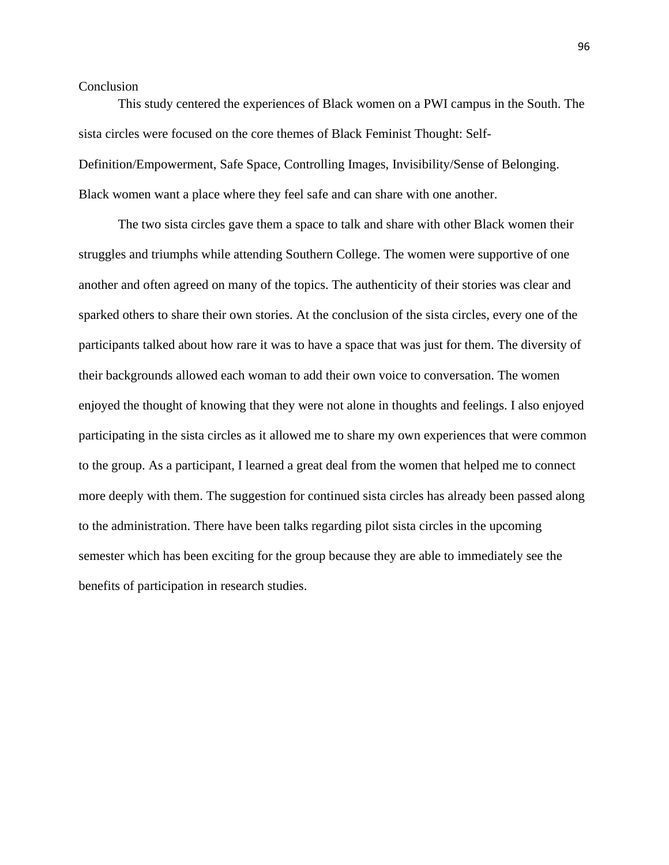# **Conclusion**

This study centered the experiences of Black women on a PWI campus in the South. The sista circles were focused on the core themes of Black Feminist Thought: Self-Definition/Empowerment, Safe Space, Controlling Images, Invisibility/Sense of Belonging. Black women want a place where they feel safe and can share with one another.

The two sista circles gave them a space to talk and share with other Black women their struggles and triumphs while attending Southern College. The women were supportive of one another and often agreed on many of the topics. The authenticity of their stories was clear and sparked others to share their own stories. At the conclusion of the sista circles, every one of the participants talked about how rare it was to have a space that was just for them. The diversity of their backgrounds allowed each woman to add their own voice to conversation. The women enjoyed the thought of knowing that they were not alone in thoughts and feelings. I also enjoyed participating in the sista circles as it allowed me to share my own experiences that were common to the group. As a participant, I learned a great deal from the women that helped me to connect more deeply with them. The suggestion for continued sista circles has already been passed along to the administration. There have been talks regarding pilot sista circles in the upcoming semester which has been exciting for the group because they are able to immediately see the benefits of participation in research studies.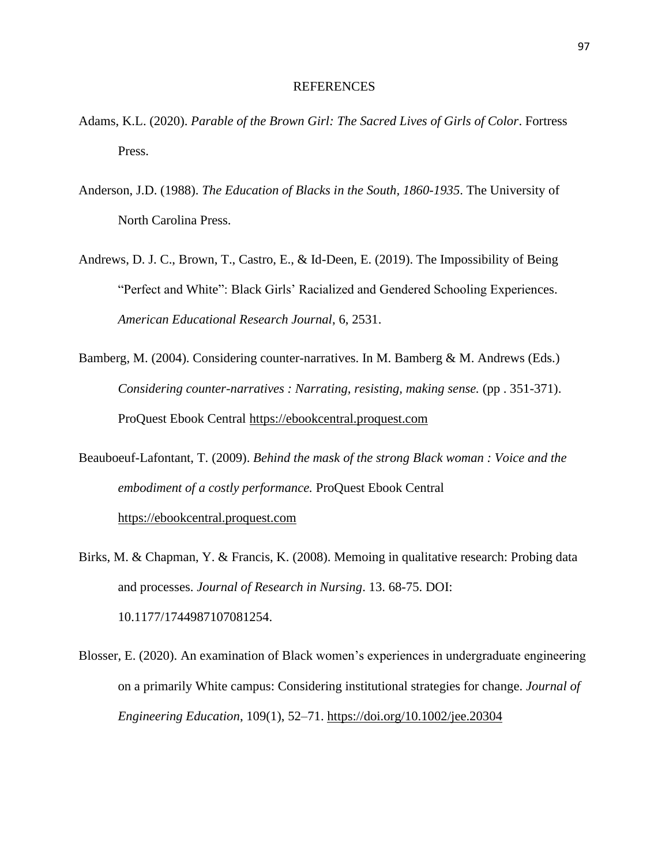#### REFERENCES

- Adams, K.L. (2020). *Parable of the Brown Girl: The Sacred Lives of Girls of Color*. Fortress Press.
- Anderson, J.D. (1988). *The Education of Blacks in the South, 1860-1935*. The University of North Carolina Press.
- Andrews, D. J. C., Brown, T., Castro, E., & Id-Deen, E. (2019). The Impossibility of Being "Perfect and White": Black Girls' Racialized and Gendered Schooling Experiences. *American Educational Research Journal*, 6, 2531.
- Bamberg, M. (2004). Considering counter-narratives. In M. Bamberg & M. Andrews (Eds.) *Considering counter-narratives : Narrating, resisting, making sense.* (pp. 351-371). ProQuest Ebook Central [https://ebookcentral.proquest.com](https://ebookcentral.proquest.com/)
- Beauboeuf-Lafontant, T. (2009). *Behind the mask of the strong Black woman : Voice and the embodiment of a costly performance.* ProQuest Ebook Central [https://ebookcentral.proquest.com](https://ebookcentral.proquest.com/)
- Birks, M. & Chapman, Y. & Francis, K. (2008). Memoing in qualitative research: Probing data and processes. *Journal of Research in Nursing*. 13. 68-75. DOI: 10.1177/1744987107081254.
- Blosser, E. (2020). An examination of Black women's experiences in undergraduate engineering on a primarily White campus: Considering institutional strategies for change. *Journal of Engineering Education*, 109(1), 52–71.<https://doi.org/10.1002/jee.20304>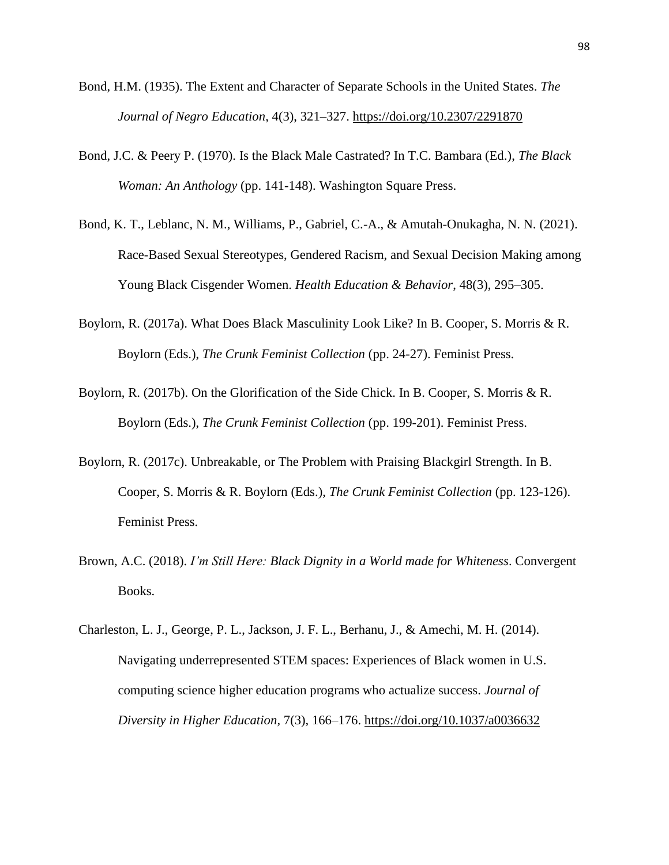- Bond, H.M. (1935). The Extent and Character of Separate Schools in the United States. *The Journal of Negro Education*, 4(3), 321–327.<https://doi.org/10.2307/2291870>
- Bond, J.C. & Peery P. (1970). Is the Black Male Castrated? In T.C. Bambara (Ed.), *The Black Woman: An Anthology* (pp. 141-148). Washington Square Press.
- Bond, K. T., Leblanc, N. M., Williams, P., Gabriel, C.-A., & Amutah-Onukagha, N. N. (2021). Race-Based Sexual Stereotypes, Gendered Racism, and Sexual Decision Making among Young Black Cisgender Women. *Health Education & Behavior*, 48(3), 295–305.
- Boylorn, R. (2017a). What Does Black Masculinity Look Like? In B. Cooper, S. Morris & R. Boylorn (Eds.), *The Crunk Feminist Collection* (pp. 24-27). Feminist Press.
- Boylorn, R. (2017b). On the Glorification of the Side Chick. In B. Cooper, S. Morris & R. Boylorn (Eds.), *The Crunk Feminist Collection* (pp. 199-201). Feminist Press.
- Boylorn, R. (2017c). Unbreakable, or The Problem with Praising Blackgirl Strength. In B. Cooper, S. Morris & R. Boylorn (Eds.), *The Crunk Feminist Collection* (pp. 123-126). Feminist Press.
- Brown, A.C. (2018). *I'm Still Here: Black Dignity in a World made for Whiteness*. Convergent Books.
- Charleston, L. J., George, P. L., Jackson, J. F. L., Berhanu, J., & Amechi, M. H. (2014). Navigating underrepresented STEM spaces: Experiences of Black women in U.S. computing science higher education programs who actualize success. *Journal of Diversity in Higher Education*, 7(3), 166–176.<https://doi.org/10.1037/a0036632>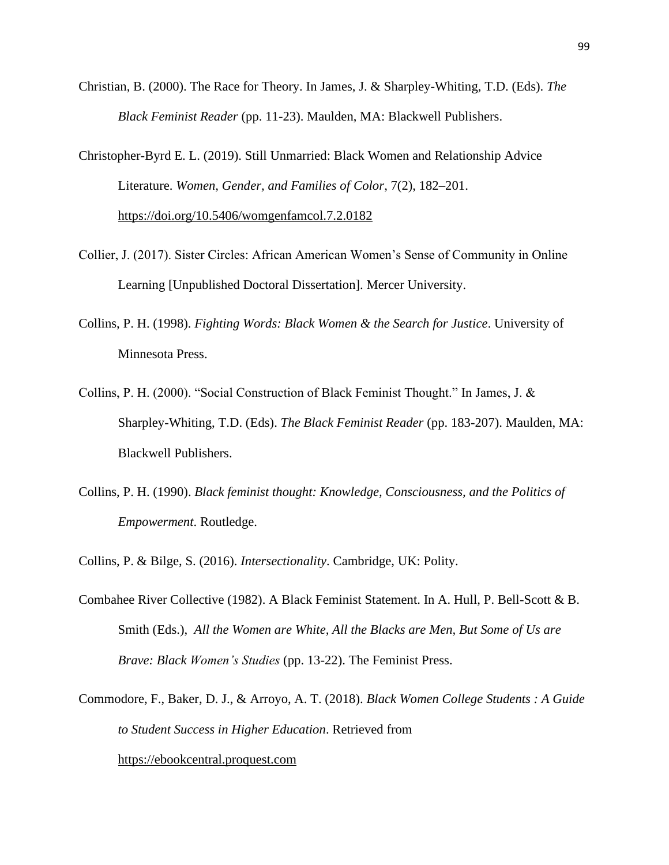Christian, B. (2000). The Race for Theory. In James, J. & Sharpley-Whiting, T.D. (Eds). *The Black Feminist Reader* (pp. 11-23). Maulden, MA: Blackwell Publishers.

Christopher-Byrd E. L. (2019). Still Unmarried: Black Women and Relationship Advice Literature. *Women, Gender, and Families of Color*, 7(2), 182–201. <https://doi.org/10.5406/womgenfamcol.7.2.0182>

- Collier, J. (2017). Sister Circles: African American Women's Sense of Community in Online Learning [Unpublished Doctoral Dissertation]. Mercer University.
- Collins, P. H. (1998). *Fighting Words: Black Women & the Search for Justice*. University of Minnesota Press.
- Collins, P. H. (2000). "Social Construction of Black Feminist Thought." In James, J. & Sharpley-Whiting, T.D. (Eds). *The Black Feminist Reader* (pp. 183-207). Maulden, MA: Blackwell Publishers.
- Collins, P. H. (1990). *Black feminist thought: Knowledge, Consciousness, and the Politics of Empowerment*. Routledge.
- Collins, P. & Bilge, S. (2016). *Intersectionality*. Cambridge, UK: Polity.
- Combahee River Collective (1982). A Black Feminist Statement. In A. Hull, P. Bell-Scott & B. Smith (Eds.), *All the Women are White, All the Blacks are Men, But Some of Us are Brave: Black Women's Studies* (pp. 13-22). The Feminist Press.
- Commodore, F., Baker, D. J., & Arroyo, A. T. (2018). *Black Women College Students : A Guide to Student Success in Higher Education*. Retrieved from [https://ebookcentral.proquest.com](https://ebookcentral.proquest.com/)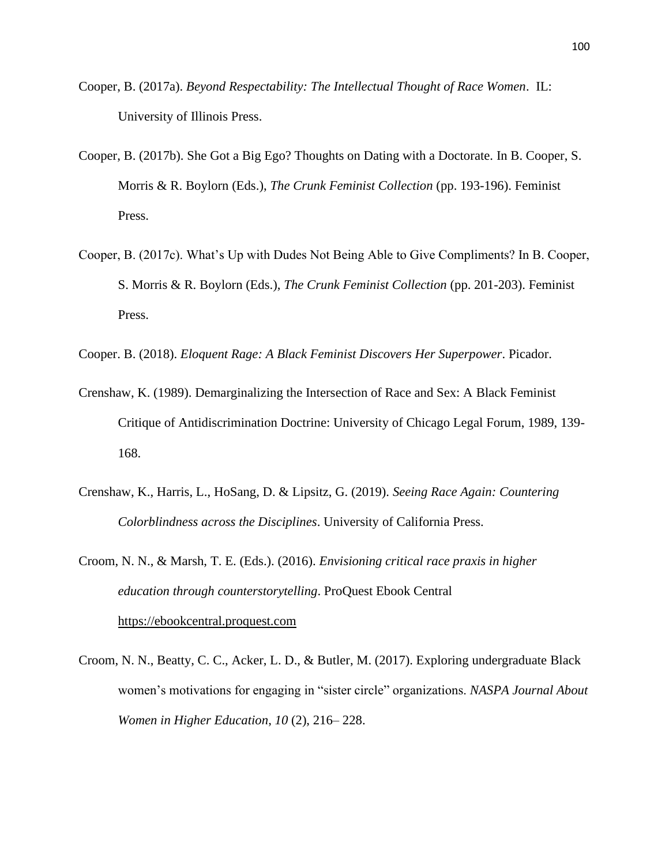- Cooper, B. (2017a). *Beyond Respectability: The Intellectual Thought of Race Women*. IL: University of Illinois Press.
- Cooper, B. (2017b). She Got a Big Ego? Thoughts on Dating with a Doctorate. In B. Cooper, S. Morris & R. Boylorn (Eds.), *The Crunk Feminist Collection* (pp. 193-196). Feminist Press.
- Cooper, B. (2017c). What's Up with Dudes Not Being Able to Give Compliments? In B. Cooper, S. Morris & R. Boylorn (Eds.), *The Crunk Feminist Collection* (pp. 201-203). Feminist Press.
- Cooper. B. (2018). *Eloquent Rage: A Black Feminist Discovers Her Superpower*. Picador.
- Crenshaw, K. (1989). Demarginalizing the Intersection of Race and Sex: A Black Feminist Critique of Antidiscrimination Doctrine: University of Chicago Legal Forum, 1989, 139- 168.
- Crenshaw, K., Harris, L., HoSang, D. & Lipsitz, G. (2019). *Seeing Race Again: Countering Colorblindness across the Disciplines*. University of California Press.
- Croom, N. N., & Marsh, T. E. (Eds.). (2016). *Envisioning critical race praxis in higher education through counterstorytelling*. ProQuest Ebook Central [https://ebookcentral.proquest.com](https://ebookcentral.proquest.com/)
- Croom, N. N., Beatty, C. C., Acker, L. D., & Butler, M. (2017). Exploring undergraduate Black women's motivations for engaging in "sister circle" organizations. *NASPA Journal About Women in Higher Education*, *10* (2), 216– 228.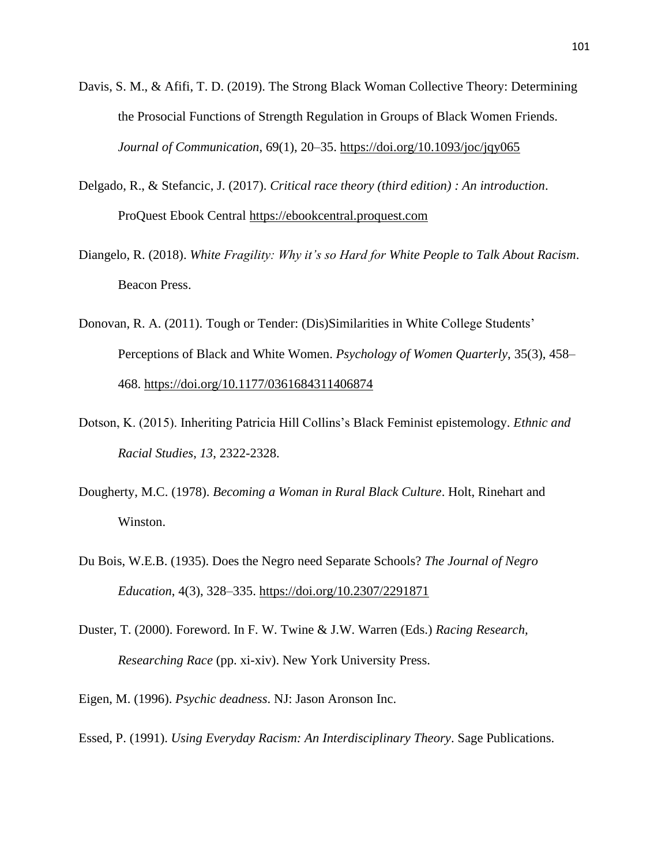- Davis, S. M., & Afifi, T. D. (2019). The Strong Black Woman Collective Theory: Determining the Prosocial Functions of Strength Regulation in Groups of Black Women Friends. *Journal of Communication*, 69(1), 20–35.<https://doi.org/10.1093/joc/jqy065>
- Delgado, R., & Stefancic, J. (2017). *Critical race theory (third edition) : An introduction*. ProQuest Ebook Central [https://ebookcentral.proquest.com](https://ebookcentral.proquest.com/)
- Diangelo, R. (2018). *White Fragility: Why it's so Hard for White People to Talk About Racism*. Beacon Press.
- Donovan, R. A. (2011). Tough or Tender: (Dis)Similarities in White College Students' Perceptions of Black and White Women. *Psychology of Women Quarterly*, 35(3), 458– 468.<https://doi.org/10.1177/0361684311406874>
- Dotson, K. (2015). Inheriting Patricia Hill Collins's Black Feminist epistemology. *Ethnic and Racial Studies*, *13*, 2322-2328.
- Dougherty, M.C. (1978). *Becoming a Woman in Rural Black Culture*. Holt, Rinehart and Winston.
- Du Bois, W.E.B. (1935). Does the Negro need Separate Schools? *The Journal of Negro Education*, 4(3), 328–335.<https://doi.org/10.2307/2291871>
- Duster, T. (2000). Foreword. In F. W. Twine & J.W. Warren (Eds.) *Racing Research, Researching Race* (pp. xi-xiv). New York University Press.
- Eigen, M. (1996). *Psychic deadness*. NJ: Jason Aronson Inc.
- Essed, P. (1991). *Using Everyday Racism: An Interdisciplinary Theory*. Sage Publications.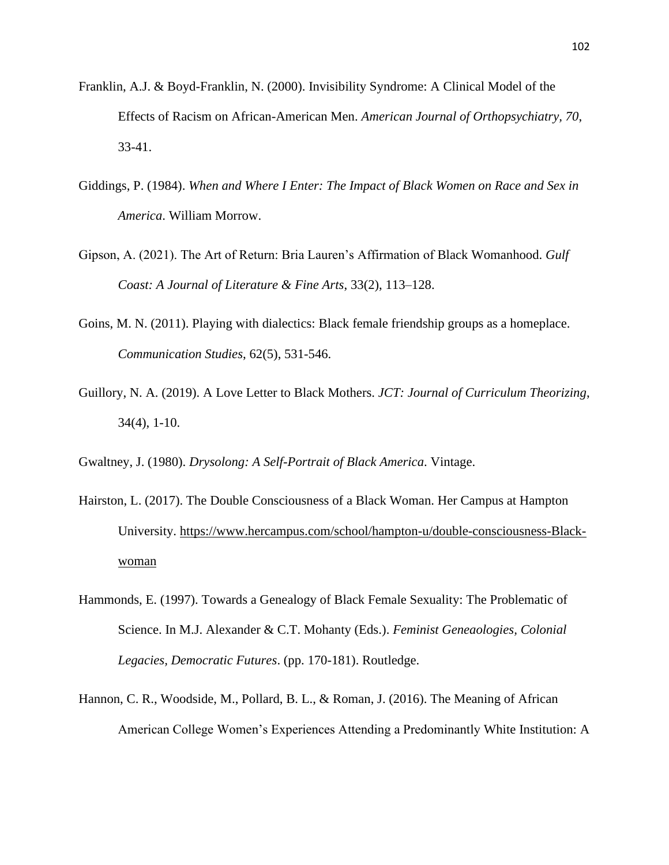- Franklin, A.J. & Boyd-Franklin, N. (2000). Invisibility Syndrome: A Clinical Model of the Effects of Racism on African-American Men. *American Journal of Orthopsychiatry, 70*, 33-41.
- Giddings, P. (1984). *When and Where I Enter: The Impact of Black Women on Race and Sex in America*. William Morrow.
- Gipson, A. (2021). The Art of Return: Bria Lauren's Affirmation of Black Womanhood. *Gulf Coast: A Journal of Literature & Fine Arts*, 33(2), 113–128.
- Goins, M. N. (2011). Playing with dialectics: Black female friendship groups as a homeplace. *Communication Studies*, 62(5), 531-546.
- Guillory, N. A. (2019). A Love Letter to Black Mothers. *JCT: Journal of Curriculum Theorizing*, 34(4), 1-10.
- Gwaltney, J. (1980). *Drysolong: A Self-Portrait of Black America*. Vintage.
- Hairston, L. (2017). The Double Consciousness of a Black Woman. Her Campus at Hampton University. [https://www.hercampus.com/school/hampton-u/double-consciousness-Black](https://www.hercampus.com/school/hampton-u/double-consciousness-black-woman)[woman](https://www.hercampus.com/school/hampton-u/double-consciousness-black-woman)
- Hammonds, E. (1997). Towards a Genealogy of Black Female Sexuality: The Problematic of Science. In M.J. Alexander & C.T. Mohanty (Eds.). *Feminist Geneaologies, Colonial Legacies, Democratic Futures*. (pp. 170-181). Routledge.
- Hannon, C. R., Woodside, M., Pollard, B. L., & Roman, J. (2016). The Meaning of African American College Women's Experiences Attending a Predominantly White Institution: A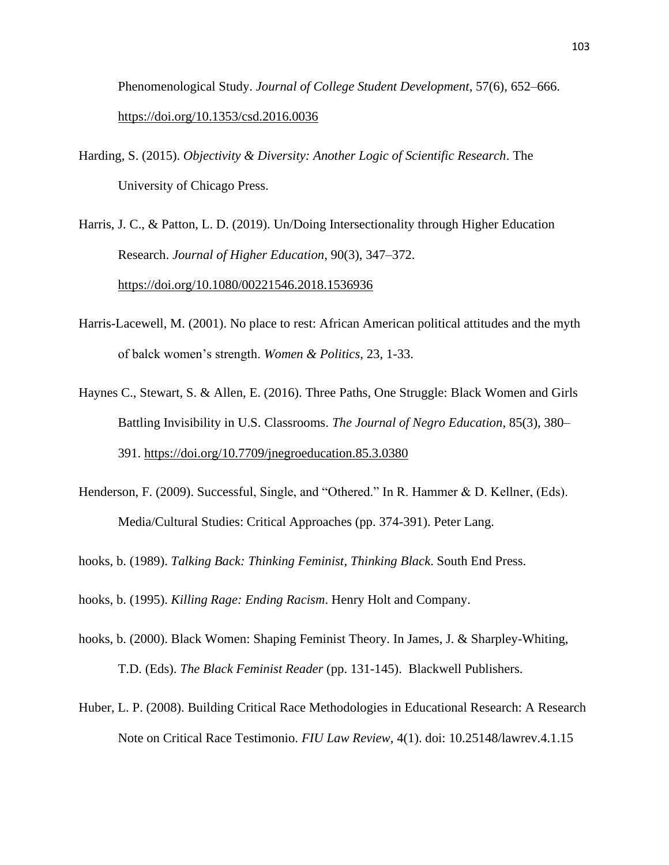Phenomenological Study. *Journal of College Student Development*, 57(6), 652–666. <https://doi.org/10.1353/csd.2016.0036>

Harding, S. (2015). *Objectivity & Diversity: Another Logic of Scientific Research*. The University of Chicago Press.

Harris, J. C., & Patton, L. D. (2019). Un/Doing Intersectionality through Higher Education Research. *Journal of Higher Education*, 90(3), 347–372. <https://doi.org/10.1080/00221546.2018.1536936>

- Harris-Lacewell, M. (2001). No place to rest: African American political attitudes and the myth of balck women's strength. *Women & Politics*, 23, 1-33.
- Haynes C., Stewart, S. & Allen, E. (2016). Three Paths, One Struggle: Black Women and Girls Battling Invisibility in U.S. Classrooms. *The Journal of Negro Education*, 85(3), 380– 391.<https://doi.org/10.7709/jnegroeducation.85.3.0380>
- Henderson, F. (2009). Successful, Single, and "Othered." In R. Hammer & D. Kellner, (Eds). Media/Cultural Studies: Critical Approaches (pp. 374-391). Peter Lang.
- hooks, b. (1989). *Talking Back: Thinking Feminist, Thinking Black*. South End Press.

hooks, b. (1995). *Killing Rage: Ending Racism*. Henry Holt and Company.

- hooks, b. (2000). Black Women: Shaping Feminist Theory. In James, J. & Sharpley-Whiting, T.D. (Eds). *The Black Feminist Reader* (pp. 131-145). Blackwell Publishers.
- Huber, L. P. (2008). Building Critical Race Methodologies in Educational Research: A Research Note on Critical Race Testimonio. *FIU Law Review*, 4(1). doi: 10.25148/lawrev.4.1.15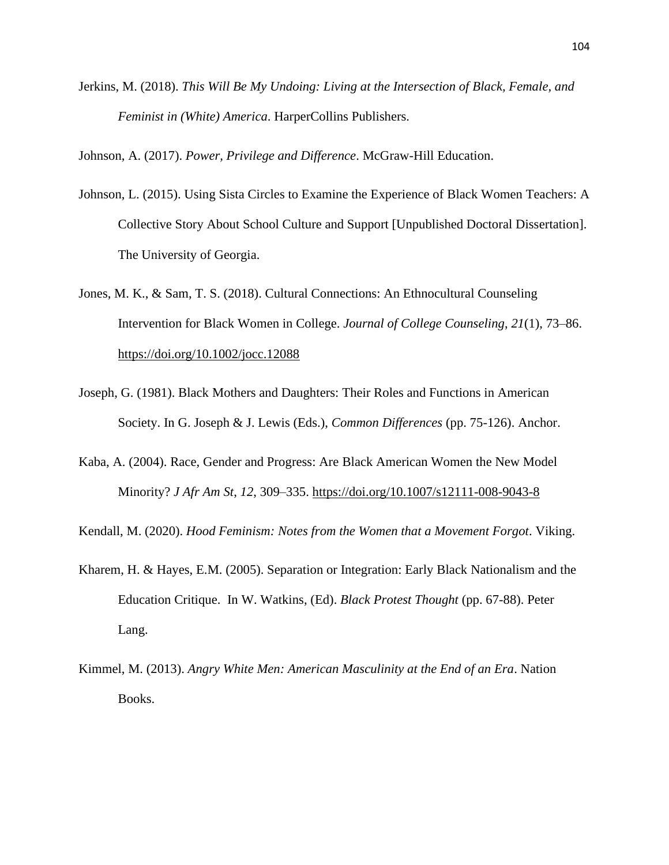Jerkins, M. (2018). *This Will Be My Undoing: Living at the Intersection of Black, Female, and Feminist in (White) America*. HarperCollins Publishers.

Johnson, A. (2017). *Power, Privilege and Difference*. McGraw-Hill Education.

- Johnson, L. (2015). Using Sista Circles to Examine the Experience of Black Women Teachers: A Collective Story About School Culture and Support [Unpublished Doctoral Dissertation]. The University of Georgia.
- Jones, M. K., & Sam, T. S. (2018). Cultural Connections: An Ethnocultural Counseling Intervention for Black Women in College. *Journal of College Counseling*, *21*(1), 73–86. <https://doi.org/10.1002/jocc.12088>
- Joseph, G. (1981). Black Mothers and Daughters: Their Roles and Functions in American Society. In G. Joseph & J. Lewis (Eds.), *Common Differences* (pp. 75-126). Anchor.
- Kaba, A. (2004). Race, Gender and Progress: Are Black American Women the New Model Minority? *J Afr Am St*, *12*, 309–335.<https://doi.org/10.1007/s12111-008-9043-8>

Kendall, M. (2020). *Hood Feminism: Notes from the Women that a Movement Forgot*. Viking.

- Kharem, H. & Hayes, E.M. (2005). Separation or Integration: Early Black Nationalism and the Education Critique. In W. Watkins, (Ed). *Black Protest Thought* (pp. 67-88). Peter Lang.
- Kimmel, M. (2013). *Angry White Men: American Masculinity at the End of an Era*. Nation Books.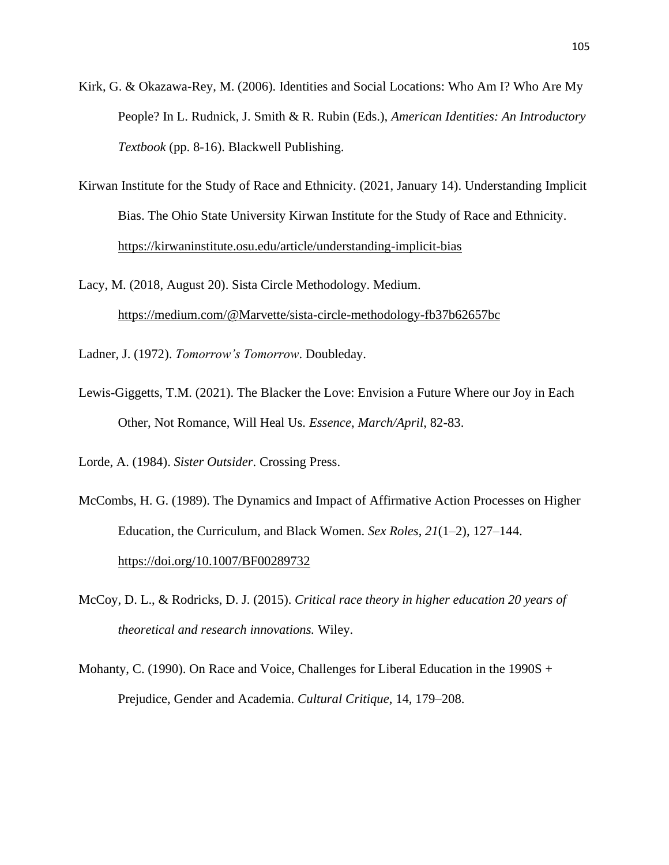- Kirk, G. & Okazawa-Rey, M. (2006). Identities and Social Locations: Who Am I? Who Are My People? In L. Rudnick, J. Smith & R. Rubin (Eds.), *American Identities: An Introductory Textbook* (pp. 8-16). Blackwell Publishing.
- Kirwan Institute for the Study of Race and Ethnicity. (2021, January 14). Understanding Implicit Bias. The Ohio State University Kirwan Institute for the Study of Race and Ethnicity. <https://kirwaninstitute.osu.edu/article/understanding-implicit-bias>

Lacy, M. (2018, August 20). Sista Circle Methodology. Medium. <https://medium.com/@Marvette/sista-circle-methodology-fb37b62657bc>

Ladner, J. (1972). *Tomorrow's Tomorrow*. Doubleday.

Lewis-Giggetts, T.M. (2021). The Blacker the Love: Envision a Future Where our Joy in Each Other, Not Romance, Will Heal Us. *Essence*, *March/April*, 82-83.

Lorde, A. (1984). *Sister Outsider*. Crossing Press.

- McCombs, H. G. (1989). The Dynamics and Impact of Affirmative Action Processes on Higher Education, the Curriculum, and Black Women. *Sex Roles*, *21*(1–2), 127–144. <https://doi.org/10.1007/BF00289732>
- McCoy, D. L., & Rodricks, D. J. (2015). *Critical race theory in higher education 20 years of theoretical and research innovations.* Wiley.
- Mohanty, C. (1990). On Race and Voice, Challenges for Liberal Education in the 1990S + Prejudice, Gender and Academia. *Cultural Critique*, 14, 179–208.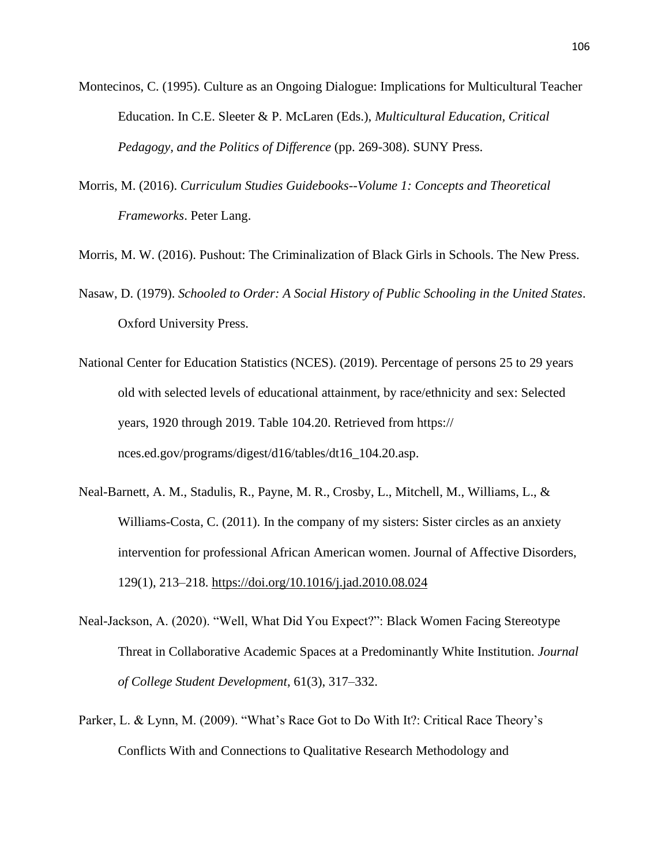- Montecinos, C. (1995). Culture as an Ongoing Dialogue: Implications for Multicultural Teacher Education. In C.E. Sleeter & P. McLaren (Eds.), *Multicultural Education, Critical Pedagogy, and the Politics of Difference* (pp. 269-308). SUNY Press.
- Morris, M. (2016). *Curriculum Studies Guidebooks--Volume 1: Concepts and Theoretical Frameworks*. Peter Lang.

Morris, M. W. (2016). Pushout: The Criminalization of Black Girls in Schools. The New Press.

- Nasaw, D. (1979). *Schooled to Order: A Social History of Public Schooling in the United States*. Oxford University Press.
- National Center for Education Statistics (NCES). (2019). Percentage of persons 25 to 29 years old with selected levels of educational attainment, by race/ethnicity and sex: Selected years, 1920 through 2019. Table 104.20. Retrieved from https:// nces.ed.gov/programs/digest/d16/tables/dt16\_104.20.asp.
- Neal-Barnett, A. M., Stadulis, R., Payne, M. R., Crosby, L., Mitchell, M., Williams, L., & Williams-Costa, C. (2011). In the company of my sisters: Sister circles as an anxiety intervention for professional African American women. Journal of Affective Disorders, 129(1), 213–218.<https://doi.org/10.1016/j.jad.2010.08.024>
- Neal-Jackson, A. (2020). "Well, What Did You Expect?": Black Women Facing Stereotype Threat in Collaborative Academic Spaces at a Predominantly White Institution. *Journal of College Student Development*, 61(3), 317–332.
- Parker, L. & Lynn, M. (2009). "What's Race Got to Do With It?: Critical Race Theory's Conflicts With and Connections to Qualitative Research Methodology and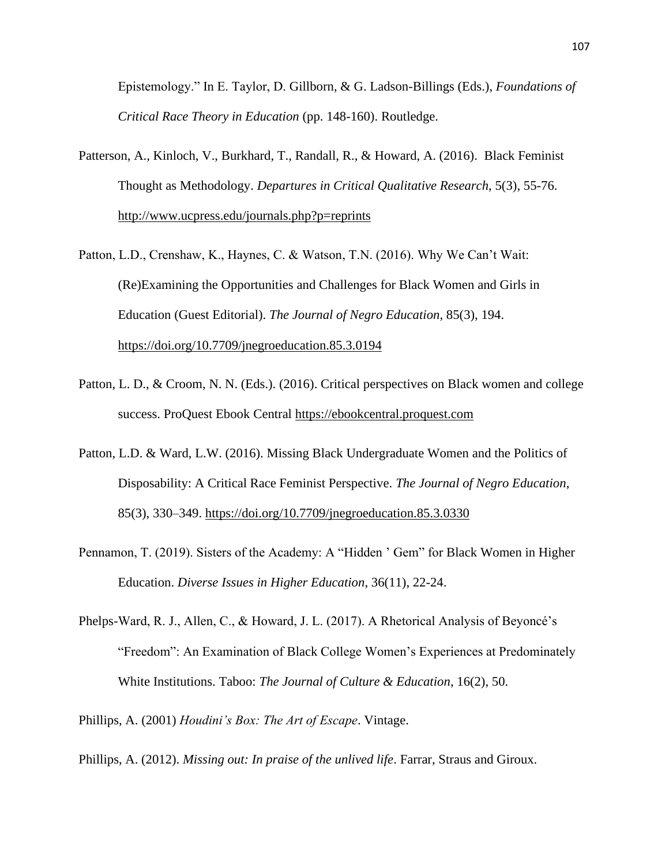Epistemology." In E. Taylor, D. Gillborn, & G. Ladson-Billings (Eds.), *Foundations of Critical Race Theory in Education* (pp. 148-160). Routledge.

- Patterson, A., Kinloch, V., Burkhard, T., Randall, R., & Howard, A. (2016). Black Feminist Thought as Methodology. *Departures in Critical Qualitative Research*, 5(3), 55-76. <http://www.ucpress.edu/journals.php?p=reprints>
- Patton, L.D., Crenshaw, K., Haynes, C. & Watson, T.N. (2016). Why We Can't Wait: (Re)Examining the Opportunities and Challenges for Black Women and Girls in Education (Guest Editorial). *The Journal of Negro Education*, 85(3), 194. <https://doi.org/10.7709/jnegroeducation.85.3.0194>
- Patton, L. D., & Croom, N. N. (Eds.). (2016). Critical perspectives on Black women and college success. ProQuest Ebook Central [https://ebookcentral.proquest.com](https://ebookcentral.proquest.com/)
- Patton, L.D. & Ward, L.W. (2016). Missing Black Undergraduate Women and the Politics of Disposability: A Critical Race Feminist Perspective. *The Journal of Negro Education*, 85(3), 330–349.<https://doi.org/10.7709/jnegroeducation.85.3.0330>
- Pennamon, T. (2019). Sisters of the Academy: A "Hidden ' Gem" for Black Women in Higher Education. *Diverse Issues in Higher Education*, 36(11), 22-24.
- Phelps-Ward, R. J., Allen, C., & Howard, J. L. (2017). A Rhetorical Analysis of Beyoncé's "Freedom": An Examination of Black College Women's Experiences at Predominately White Institutions. Taboo: *The Journal of Culture & Education*, 16(2), 50.
- Phillips, A. (2001) *Houdini's Box: The Art of Escape*. Vintage.
- Phillips, A. (2012). *Missing out: In praise of the unlived life*. Farrar, Straus and Giroux.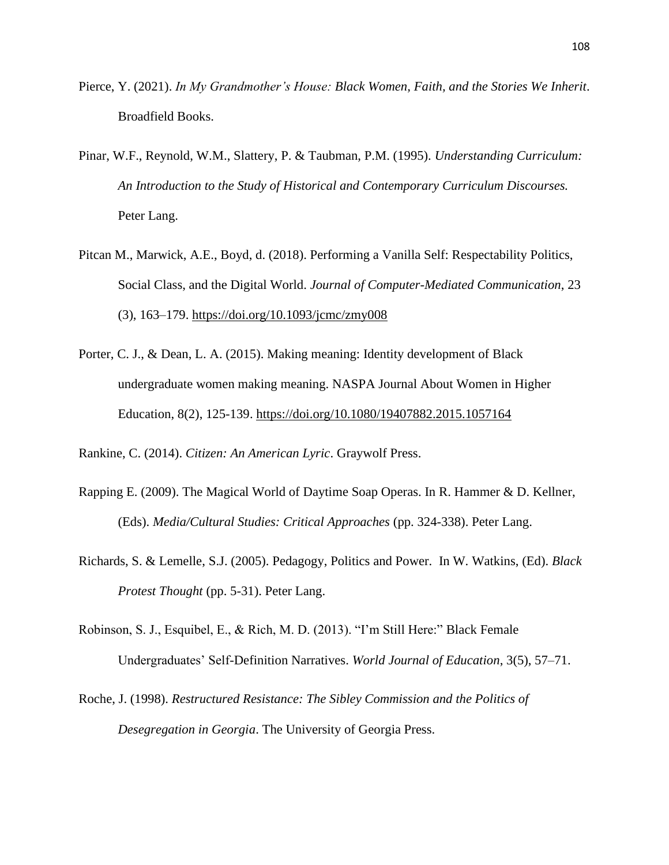- Pierce, Y. (2021). *In My Grandmother's House: Black Women, Faith, and the Stories We Inherit*. Broadfield Books.
- Pinar, W.F., Reynold, W.M., Slattery, P. & Taubman, P.M. (1995). *Understanding Curriculum: An Introduction to the Study of Historical and Contemporary Curriculum Discourses.*  Peter Lang.
- Pitcan M., Marwick, A.E., Boyd, d. (2018). Performing a Vanilla Self: Respectability Politics, Social Class, and the Digital World. *Journal of Computer-Mediated Communication*, 23 (3), 163–179.<https://doi.org/10.1093/jcmc/zmy008>
- Porter, C. J., & Dean, L. A. (2015). Making meaning: Identity development of Black undergraduate women making meaning. NASPA Journal About Women in Higher Education, 8(2), 125-139.<https://doi.org/10.1080/19407882.2015.1057164>
- Rankine, C. (2014). *Citizen: An American Lyric*. Graywolf Press.
- Rapping E. (2009). The Magical World of Daytime Soap Operas. In R. Hammer & D. Kellner, (Eds). *Media/Cultural Studies: Critical Approaches* (pp. 324-338). Peter Lang.
- Richards, S. & Lemelle, S.J. (2005). Pedagogy, Politics and Power. In W. Watkins, (Ed). *Black Protest Thought* (pp. 5-31). Peter Lang.
- Robinson, S. J., Esquibel, E., & Rich, M. D. (2013). "I'm Still Here:" Black Female Undergraduates' Self-Definition Narratives. *World Journal of Education*, 3(5), 57–71.
- Roche, J. (1998). *Restructured Resistance: The Sibley Commission and the Politics of Desegregation in Georgia*. The University of Georgia Press.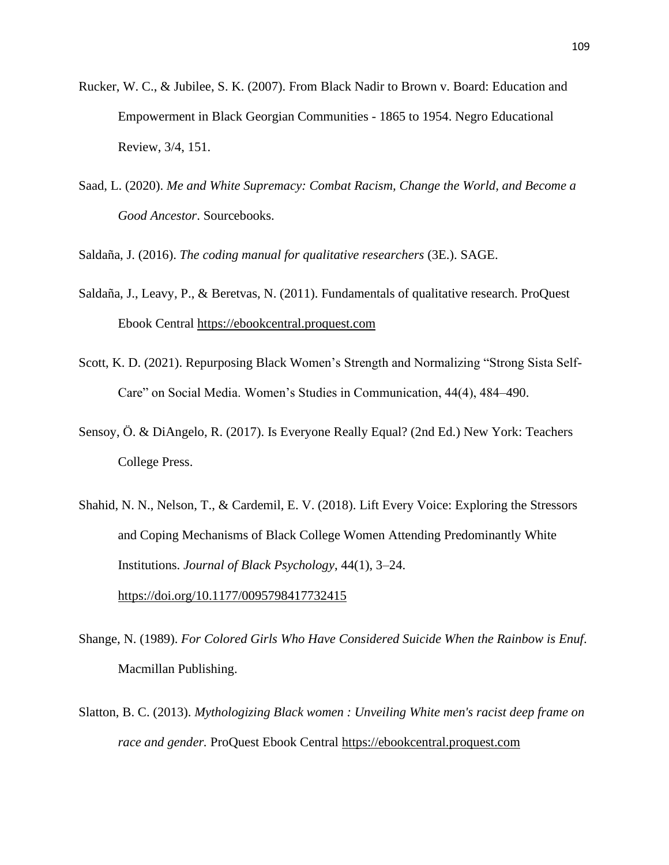- Rucker, W. C., & Jubilee, S. K. (2007). From Black Nadir to Brown v. Board: Education and Empowerment in Black Georgian Communities - 1865 to 1954. Negro Educational Review, 3/4, 151.
- Saad, L. (2020). *Me and White Supremacy: Combat Racism, Change the World, and Become a Good Ancestor*. Sourcebooks.

Saldaña, J. (2016). *The coding manual for qualitative researchers* (3E.). SAGE.

- Saldaña, J., Leavy, P., & Beretvas, N. (2011). Fundamentals of qualitative research. ProQuest Ebook Central [https://ebookcentral.proquest.com](https://ebookcentral.proquest.com/)
- Scott, K. D. (2021). Repurposing Black Women's Strength and Normalizing "Strong Sista Self-Care" on Social Media. Women's Studies in Communication, 44(4), 484–490.
- Sensoy, Ö. & DiAngelo, R. (2017). Is Everyone Really Equal? (2nd Ed.) New York: Teachers College Press.
- Shahid, N. N., Nelson, T., & Cardemil, E. V. (2018). Lift Every Voice: Exploring the Stressors and Coping Mechanisms of Black College Women Attending Predominantly White Institutions. *Journal of Black Psychology*, 44(1), 3–24. <https://doi.org/10.1177/0095798417732415>

Shange, N. (1989). *For Colored Girls Who Have Considered Suicide When the Rainbow is Enuf*. Macmillan Publishing.

Slatton, B. C. (2013). *Mythologizing Black women : Unveiling White men's racist deep frame on race and gender.* ProQuest Ebook Central [https://ebookcentral.proquest.com](https://ebookcentral.proquest.com/)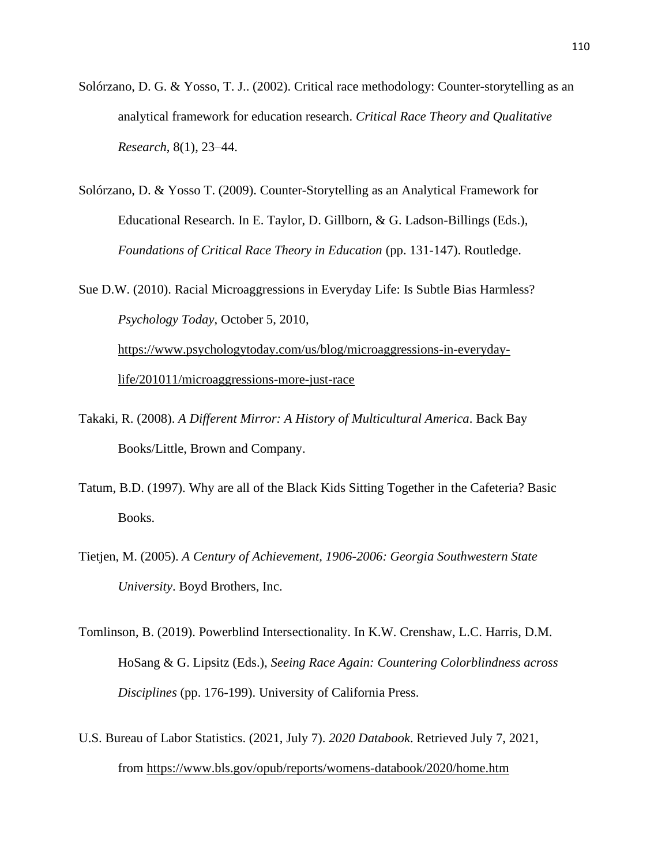- Solórzano, D. G. & Yosso, T. J.. (2002). Critical race methodology: Counter-storytelling as an analytical framework for education research. *Critical Race Theory and Qualitative Research*, 8(1), 23–44.
- Solórzano, D. & Yosso T. (2009). Counter-Storytelling as an Analytical Framework for Educational Research. In E. Taylor, D. Gillborn, & G. Ladson-Billings (Eds.), *Foundations of Critical Race Theory in Education* (pp. 131-147). Routledge.
- Sue D.W. (2010). Racial Microaggressions in Everyday Life: Is Subtle Bias Harmless? *Psychology Today*, October 5, 2010, [https://www.psychologytoday.com/us/blog/microaggressions-in-everyday](https://www.psychologytoday.com/us/blog/microaggressions-in-everyday-life/201011/microaggressions-more-just-race)[life/201011/microaggressions-more-just-race](https://www.psychologytoday.com/us/blog/microaggressions-in-everyday-life/201011/microaggressions-more-just-race)
- Takaki, R. (2008). *A Different Mirror: A History of Multicultural America*. Back Bay Books/Little, Brown and Company.
- Tatum, B.D. (1997). Why are all of the Black Kids Sitting Together in the Cafeteria? Basic Books.
- Tietjen, M. (2005). *A Century of Achievement, 1906-2006: Georgia Southwestern State University*. Boyd Brothers, Inc.
- Tomlinson, B. (2019). Powerblind Intersectionality. In K.W. Crenshaw, L.C. Harris, D.M. HoSang & G. Lipsitz (Eds.), *Seeing Race Again: Countering Colorblindness across Disciplines* (pp. 176-199). University of California Press.
- U.S. Bureau of Labor Statistics. (2021, July 7). *2020 Databook*. Retrieved July 7, 2021, from <https://www.bls.gov/opub/reports/womens-databook/2020/home.htm>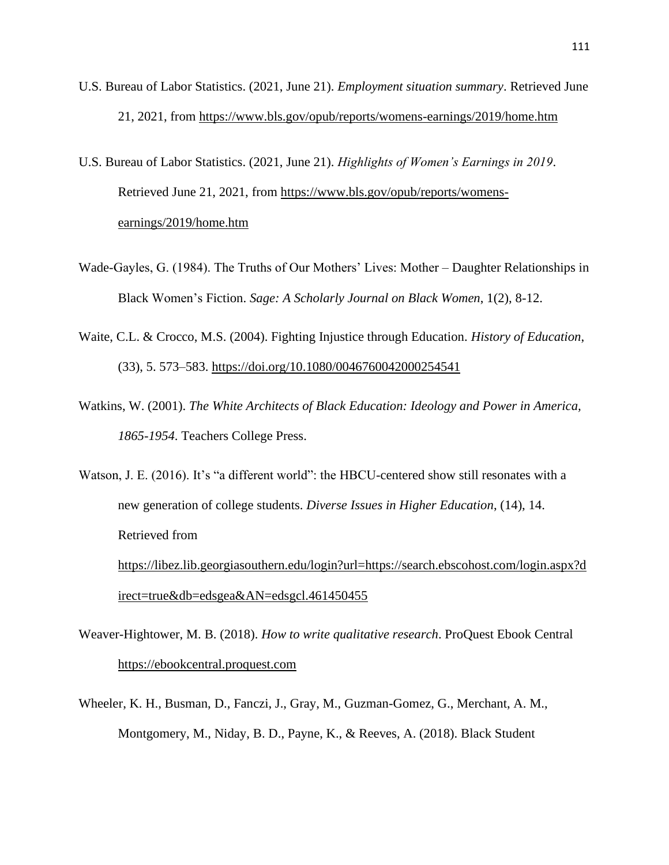- U.S. Bureau of Labor Statistics. (2021, June 21). *Employment situation summary*. Retrieved June 21, 2021, from <https://www.bls.gov/opub/reports/womens-earnings/2019/home.htm>
- U.S. Bureau of Labor Statistics. (2021, June 21). *Highlights of Women's Earnings in 2019*. Retrieved June 21, 2021, from [https://www.bls.gov/opub/reports/womens](https://www.bls.gov/opub/reports/womens-earnings/2019/home.htm)[earnings/2019/home.htm](https://www.bls.gov/opub/reports/womens-earnings/2019/home.htm)
- Wade-Gayles, G. (1984). The Truths of Our Mothers' Lives: Mother Daughter Relationships in Black Women's Fiction. *Sage: A Scholarly Journal on Black Women*, 1(2), 8-12.
- Waite, C.L. & Crocco, M.S. (2004). Fighting Injustice through Education. *History of Education*, (33), 5. 573–583.<https://doi.org/10.1080/0046760042000254541>
- Watkins, W. (2001). *The White Architects of Black Education: Ideology and Power in America, 1865-1954*. Teachers College Press.
- Watson, J. E. (2016). It's "a different world": the HBCU-centered show still resonates with a new generation of college students. *Diverse Issues in Higher Education*, (14), 14. Retrieved from [https://libez.lib.georgiasouthern.edu/login?url=https://search.ebscohost.com/login.aspx?d](https://libez.lib.georgiasouthern.edu/login?url=https://search.ebscohost.com/login.aspx?direct=true&db=edsgea&AN=edsgcl.461450455) [irect=true&db=edsgea&AN=edsgcl.461450455](https://libez.lib.georgiasouthern.edu/login?url=https://search.ebscohost.com/login.aspx?direct=true&db=edsgea&AN=edsgcl.461450455)
- Weaver-Hightower, M. B. (2018). *How to write qualitative research*. ProQuest Ebook Central [https://ebookcentral.proquest.com](https://ebookcentral.proquest.com/)
- Wheeler, K. H., Busman, D., Fanczi, J., Gray, M., Guzman-Gomez, G., Merchant, A. M., Montgomery, M., Niday, B. D., Payne, K., & Reeves, A. (2018). Black Student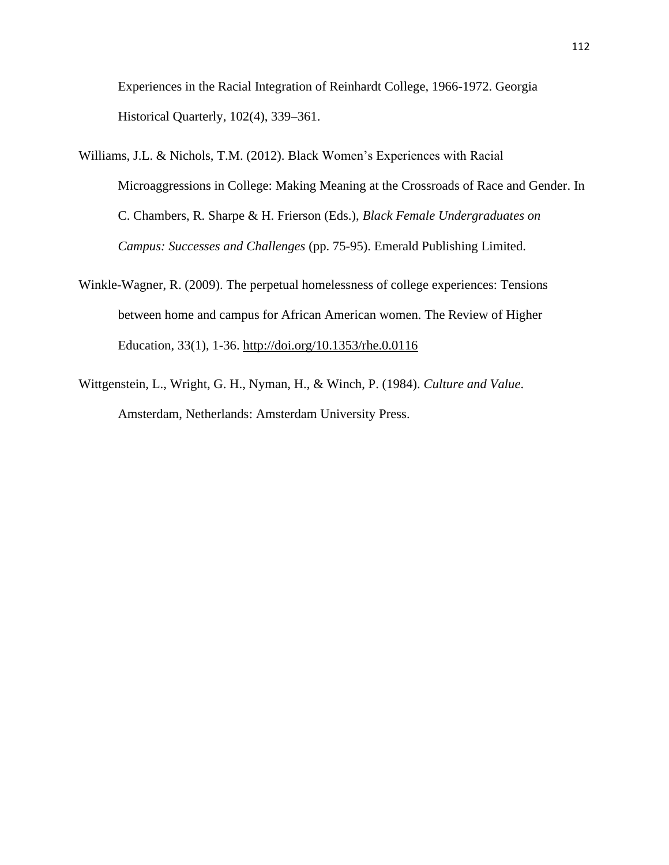Experiences in the Racial Integration of Reinhardt College, 1966-1972. Georgia Historical Quarterly, 102(4), 339–361.

- Williams, J.L. & Nichols, T.M. (2012). Black Women's Experiences with Racial Microaggressions in College: Making Meaning at the Crossroads of Race and Gender. In C. Chambers, R. Sharpe & H. Frierson (Eds.), *Black Female Undergraduates on Campus: Successes and Challenges* (pp. 75-95). Emerald Publishing Limited.
- Winkle-Wagner, R. (2009). The perpetual homelessness of college experiences: Tensions between home and campus for African American women. The Review of Higher Education, 33(1), 1-36.<http://doi.org/10.1353/rhe.0.0116>
- Wittgenstein, L., Wright, G. H., Nyman, H., & Winch, P. (1984). *Culture and Value*. Amsterdam, Netherlands: Amsterdam University Press.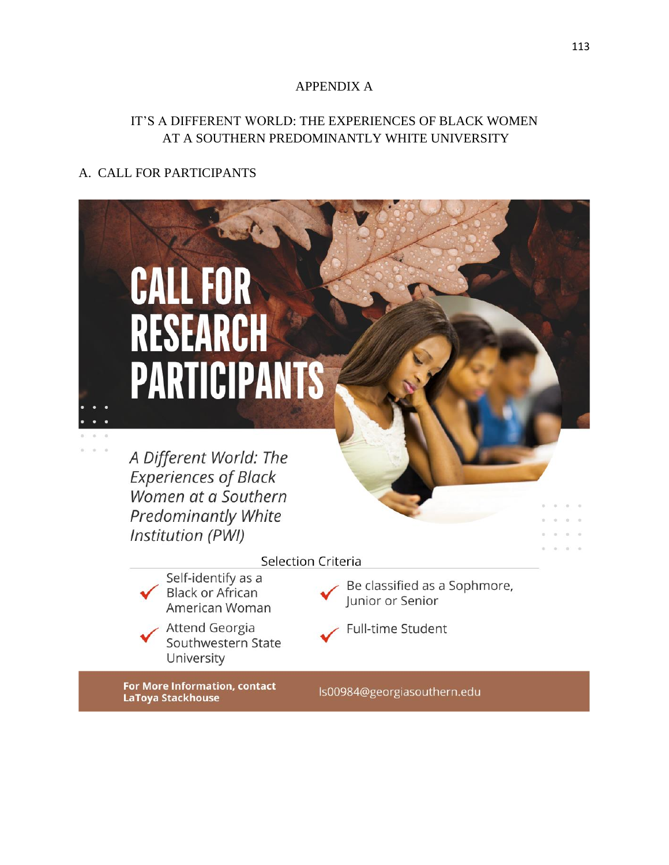### APPENDIX A

## IT'S A DIFFERENT WORLD: THE EXPERIENCES OF BLACK WOMEN AT A SOUTHERN PREDOMINANTLY WHITE UNIVERSITY

# A. CALL FOR PARTICIPANTS

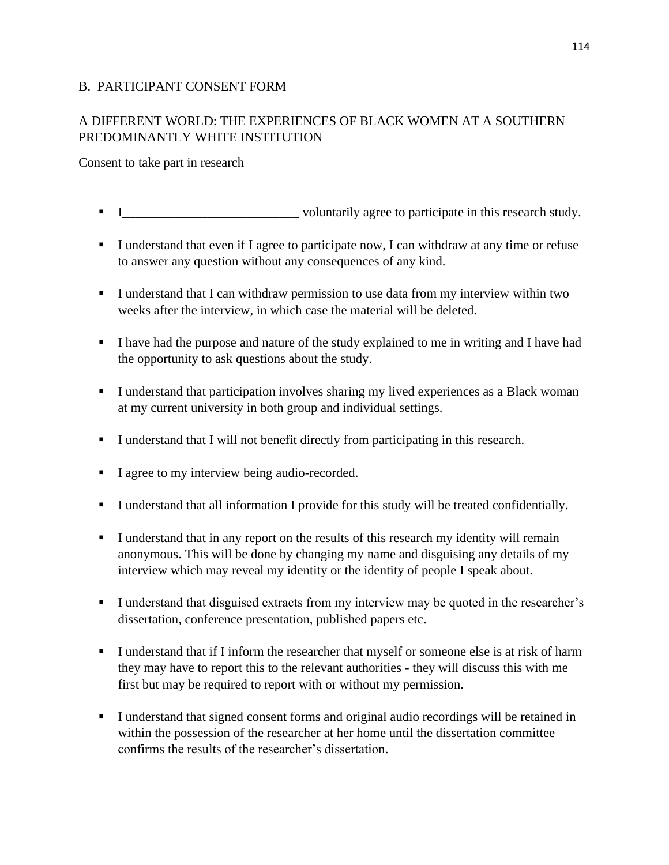### B. PARTICIPANT CONSENT FORM

# A DIFFERENT WORLD: THE EXPERIENCES OF BLACK WOMEN AT A SOUTHERN PREDOMINANTLY WHITE INSTITUTION

Consent to take part in research

- **EXECUTE:** Voluntarily agree to participate in this research study.
- I understand that even if I agree to participate now, I can withdraw at any time or refuse to answer any question without any consequences of any kind.
- **I** understand that I can withdraw permission to use data from my interview within two weeks after the interview, in which case the material will be deleted.
- I have had the purpose and nature of the study explained to me in writing and I have had the opportunity to ask questions about the study.
- I understand that participation involves sharing my lived experiences as a Black woman at my current university in both group and individual settings.
- I understand that I will not benefit directly from participating in this research.
- I agree to my interview being audio-recorded.
- I understand that all information I provide for this study will be treated confidentially.
- **I** I understand that in any report on the results of this research my identity will remain anonymous. This will be done by changing my name and disguising any details of my interview which may reveal my identity or the identity of people I speak about.
- I understand that disguised extracts from my interview may be quoted in the researcher's dissertation, conference presentation, published papers etc.
- **I** understand that if I inform the researcher that myself or someone else is at risk of harm they may have to report this to the relevant authorities - they will discuss this with me first but may be required to report with or without my permission.
- I understand that signed consent forms and original audio recordings will be retained in within the possession of the researcher at her home until the dissertation committee confirms the results of the researcher's dissertation.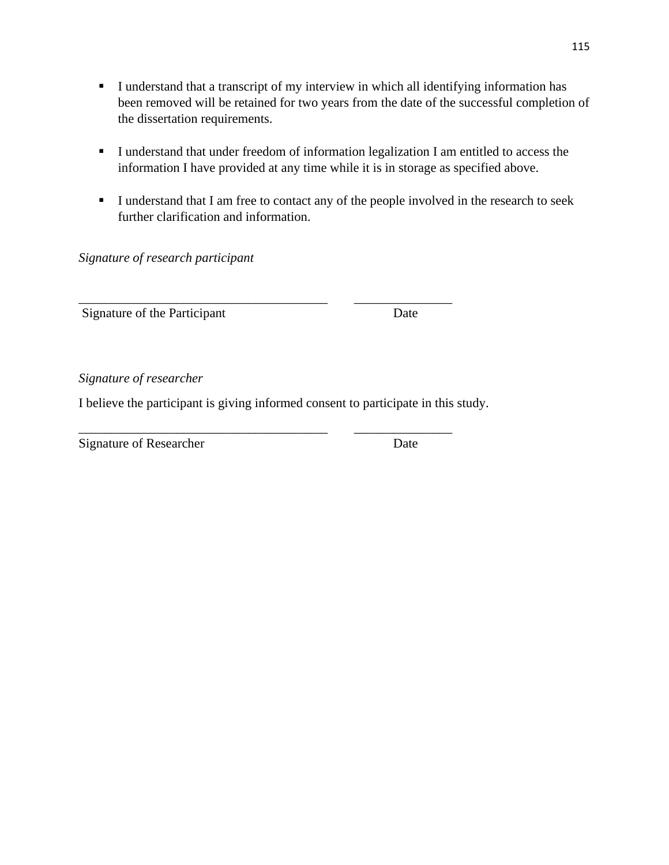- I understand that a transcript of my interview in which all identifying information has been removed will be retained for two years from the date of the successful completion of the dissertation requirements.
- I understand that under freedom of information legalization I am entitled to access the information I have provided at any time while it is in storage as specified above.
- **I** I understand that I am free to contact any of the people involved in the research to seek further clarification and information.

*Signature of research participant* 

Signature of the Participant Date

*Signature of researcher* 

I believe the participant is giving informed consent to participate in this study.

\_\_\_\_\_\_\_\_\_\_\_\_\_\_\_\_\_\_\_\_\_\_\_\_\_\_\_\_\_\_\_\_\_\_\_\_\_\_ \_\_\_\_\_\_\_\_\_\_\_\_\_\_\_

\_\_\_\_\_\_\_\_\_\_\_\_\_\_\_\_\_\_\_\_\_\_\_\_\_\_\_\_\_\_\_\_\_\_\_\_\_\_ \_\_\_\_\_\_\_\_\_\_\_\_\_\_\_ Signature of Researcher Date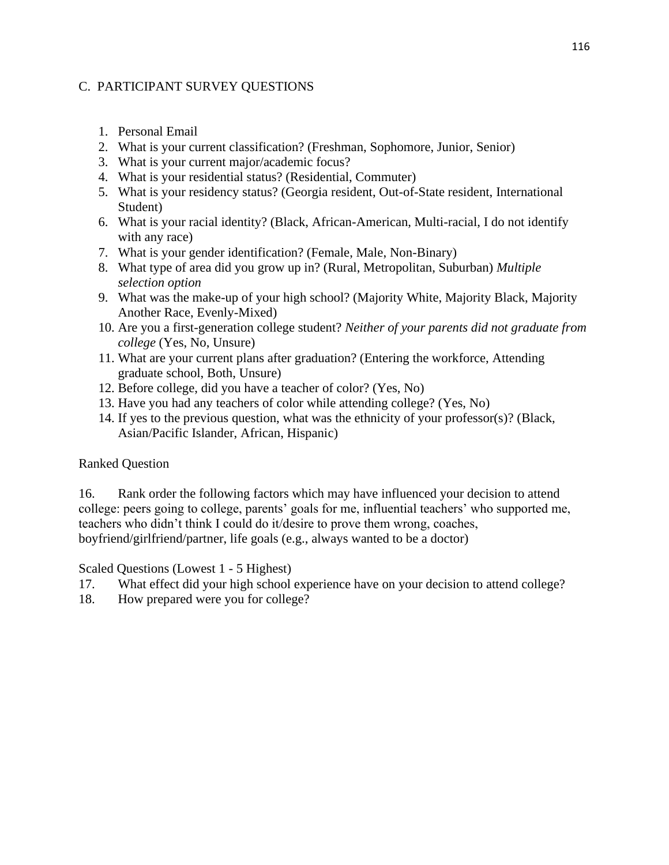### C. PARTICIPANT SURVEY QUESTIONS

- 1. Personal Email
- 2. What is your current classification? (Freshman, Sophomore, Junior, Senior)
- 3. What is your current major/academic focus?
- 4. What is your residential status? (Residential, Commuter)
- 5. What is your residency status? (Georgia resident, Out-of-State resident, International Student)
- 6. What is your racial identity? (Black, African-American, Multi-racial, I do not identify with any race)
- 7. What is your gender identification? (Female, Male, Non-Binary)
- 8. What type of area did you grow up in? (Rural, Metropolitan, Suburban) *Multiple selection option*
- 9. What was the make-up of your high school? (Majority White, Majority Black, Majority Another Race, Evenly-Mixed)
- 10. Are you a first-generation college student? *Neither of your parents did not graduate from college* (Yes, No, Unsure)
- 11. What are your current plans after graduation? (Entering the workforce, Attending graduate school, Both, Unsure)
- 12. Before college, did you have a teacher of color? (Yes, No)
- 13. Have you had any teachers of color while attending college? (Yes, No)
- 14. If yes to the previous question, what was the ethnicity of your professor(s)? (Black, Asian/Pacific Islander, African, Hispanic)

### Ranked Question

16. Rank order the following factors which may have influenced your decision to attend college: peers going to college, parents' goals for me, influential teachers' who supported me, teachers who didn't think I could do it/desire to prove them wrong, coaches, boyfriend/girlfriend/partner, life goals (e.g., always wanted to be a doctor)

Scaled Questions (Lowest 1 - 5 Highest)

- 17. What effect did your high school experience have on your decision to attend college?
- 18. How prepared were you for college?